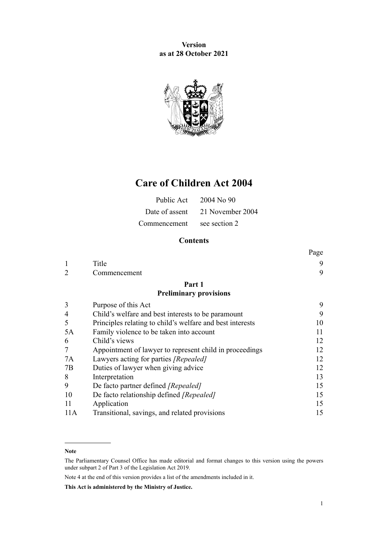**Version as at 28 October 2021**



# **Care of Children Act 2004**

|                            | Public Act 2004 No 90           |
|----------------------------|---------------------------------|
|                            | Date of assent 21 November 2004 |
| Commencement see section 2 |                                 |

# **Contents**

|                |                                                           | Page |
|----------------|-----------------------------------------------------------|------|
| 1              | Title                                                     | 9    |
| $\overline{2}$ | Commencement                                              | 9    |
|                | Part 1                                                    |      |
|                | <b>Preliminary provisions</b>                             |      |
| 3              | Purpose of this Act                                       | 9    |
| 4              | Child's welfare and best interests to be paramount        | 9    |
| 5              | Principles relating to child's welfare and best interests | 10   |
| 5A             | Family violence to be taken into account                  | 11   |
| 6              | Child's views                                             | 12   |
| 7              | Appointment of lawyer to represent child in proceedings   | 12   |
| 7A             | Lawyers acting for parties [Repealed]                     | 12   |
| 7B             | Duties of lawyer when giving advice                       | 12   |
| 8              | Interpretation                                            | 13   |
| 9              | De facto partner defined [Repealed]                       | 15   |
| 10             | De facto relationship defined [Repealed]                  | 15   |
| 11             | Application                                               | 15   |
| 11A            | Transitional, savings, and related provisions             | 15   |

#### **Note**

Note 4 at the end of this version provides a list of the amendments included in it.

**This Act is administered by the Ministry of Justice.**

The Parliamentary Counsel Office has made editorial and format changes to this version using the powers under [subpart 2](http://legislation.govt.nz/pdflink.aspx?id=DLM7298371) of Part 3 of the Legislation Act 2019.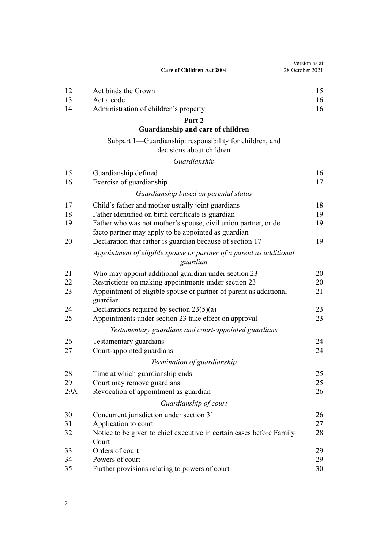|     | <b>Care of Children Act 2004</b>                                                     | Version as at<br>28 October 2021 |
|-----|--------------------------------------------------------------------------------------|----------------------------------|
| 12  | Act binds the Crown                                                                  | 15                               |
| 13  | Act a code                                                                           | 16                               |
| 14  | Administration of children's property                                                | 16                               |
|     | Part 2                                                                               |                                  |
|     | Guardianship and care of children                                                    |                                  |
|     | Subpart 1—Guardianship: responsibility for children, and<br>decisions about children |                                  |
|     | Guardianship                                                                         |                                  |
| 15  | Guardianship defined                                                                 | 16                               |
| 16  | Exercise of guardianship                                                             | 17                               |
|     | Guardianship based on parental status                                                |                                  |
| 17  | Child's father and mother usually joint guardians                                    | 18                               |
| 18  | Father identified on birth certificate is guardian                                   | 19                               |
| 19  | Father who was not mother's spouse, civil union partner, or de                       | 19                               |
|     | facto partner may apply to be appointed as guardian                                  |                                  |
| 20  | Declaration that father is guardian because of section 17                            | 19                               |
|     | Appointment of eligible spouse or partner of a parent as additional<br>guardian      |                                  |
| 21  | Who may appoint additional guardian under section 23                                 | 20                               |
| 22  | Restrictions on making appointments under section 23                                 | 20                               |
| 23  | Appointment of eligible spouse or partner of parent as additional<br>guardian        | 21                               |
| 24  | Declarations required by section $23(5)(a)$                                          | 23                               |
| 25  | Appointments under section 23 take effect on approval                                | 23                               |
|     | Testamentary guardians and court-appointed guardians                                 |                                  |
| 26  | Testamentary guardians                                                               | 24                               |
| 27  | Court-appointed guardians                                                            | 24                               |
|     | Termination of guardianship                                                          |                                  |
| 28  | Time at which guardianship ends                                                      | 25                               |
| 29  | Court may remove guardians                                                           | 25                               |
| 29A | Revocation of appointment as guardian                                                | 26                               |
|     | Guardianship of court                                                                |                                  |
| 30  | Concurrent jurisdiction under section 31                                             | 26                               |
| 31  | Application to court                                                                 | 27                               |
| 32  | Notice to be given to chief executive in certain cases before Family                 | 28                               |
| 33  | Court<br>Orders of court                                                             | 29                               |
| 34  | Powers of court                                                                      | 29                               |
| 35  | Further provisions relating to powers of court                                       | 30                               |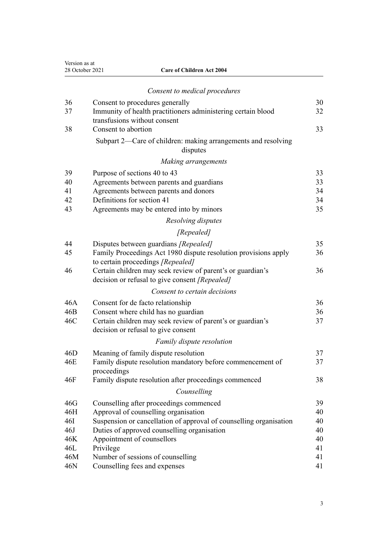| Version as at<br>28 October 2021 | <b>Care of Children Act 2004</b>                                          |    |
|----------------------------------|---------------------------------------------------------------------------|----|
|                                  | Consent to medical procedures                                             |    |
| 36                               | Consent to procedures generally                                           | 30 |
| 37                               | Immunity of health practitioners administering certain blood              | 32 |
|                                  | transfusions without consent                                              |    |
| 38                               | Consent to abortion                                                       | 33 |
|                                  | Subpart 2-Care of children: making arrangements and resolving<br>disputes |    |
|                                  | Making arrangements                                                       |    |
| 39                               | Purpose of sections 40 to 43                                              | 33 |
| 40                               | Agreements between parents and guardians                                  | 33 |
| 41                               | Agreements between parents and donors                                     | 34 |
| 42                               | Definitions for section 41                                                | 34 |
| 43                               | Agreements may be entered into by minors                                  | 35 |
|                                  | Resolving disputes                                                        |    |
|                                  | [Repealed]                                                                |    |
| 44                               | Disputes between guardians [Repealed]                                     | 35 |
| 45                               | Family Proceedings Act 1980 dispute resolution provisions apply           | 36 |
|                                  | to certain proceedings [Repealed]                                         |    |
| 46                               | Certain children may seek review of parent's or guardian's                | 36 |
|                                  | decision or refusal to give consent [Repealed]                            |    |
|                                  | Consent to certain decisions                                              |    |
| 46A                              | Consent for de facto relationship                                         | 36 |
| 46B                              | Consent where child has no guardian                                       | 36 |
| 46C                              | Certain children may seek review of parent's or guardian's                | 37 |
|                                  | decision or refusal to give consent                                       |    |
|                                  | Family dispute resolution                                                 |    |
| 46D                              | Meaning of family dispute resolution                                      | 37 |
| 46E                              | Family dispute resolution mandatory before commencement of                | 37 |
|                                  | proceedings                                                               |    |
| 46F                              | Family dispute resolution after proceedings commenced                     | 38 |
|                                  | Counselling                                                               |    |
| 46G                              | Counselling after proceedings commenced                                   | 39 |
| 46H                              | Approval of counselling organisation                                      | 40 |
| 46I                              | Suspension or cancellation of approval of counselling organisation        | 40 |
| 46J                              | Duties of approved counselling organisation                               | 40 |
| 46K                              | Appointment of counsellors                                                | 40 |
| 46L                              | Privilege                                                                 | 41 |
| 46M                              | Number of sessions of counselling                                         | 41 |
| 46N                              | Counselling fees and expenses                                             | 41 |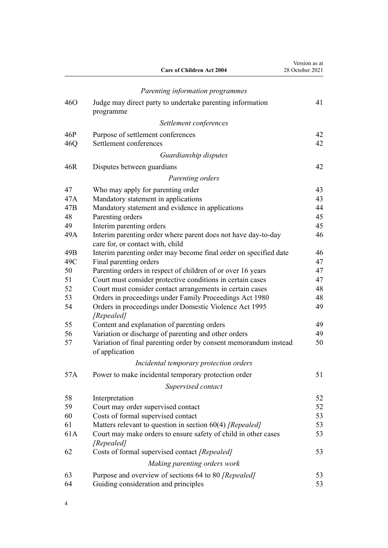|                 | <b>Care of Children Act 2004</b>                                                                  | Version as at<br>28 October 2021 |
|-----------------|---------------------------------------------------------------------------------------------------|----------------------------------|
|                 | Parenting information programmes                                                                  |                                  |
| 46 <sub>O</sub> | Judge may direct party to undertake parenting information<br>programme                            | 41                               |
|                 | Settlement conferences                                                                            |                                  |
| 46P<br>46Q      | Purpose of settlement conferences<br>Settlement conferences                                       | 42<br>42                         |
|                 | Guardianship disputes                                                                             |                                  |
| 46R             | Disputes between guardians                                                                        | 42                               |
|                 | Parenting orders                                                                                  |                                  |
| 47              | Who may apply for parenting order                                                                 | 43                               |
| 47A             | Mandatory statement in applications                                                               | 43                               |
| 47B             | Mandatory statement and evidence in applications                                                  | 44                               |
| 48              | Parenting orders                                                                                  | 45                               |
| 49              | Interim parenting orders                                                                          | 45                               |
| 49A             | Interim parenting order where parent does not have day-to-day<br>care for, or contact with, child | 46                               |
| 49B             | Interim parenting order may become final order on specified date                                  | 46                               |
| 49C             | Final parenting orders                                                                            | 47                               |
| 50              | Parenting orders in respect of children of or over 16 years                                       | 47                               |
| 51              | Court must consider protective conditions in certain cases                                        | 47                               |
| 52              | Court must consider contact arrangements in certain cases                                         | 48                               |
| 53              | Orders in proceedings under Family Proceedings Act 1980                                           | 48                               |
| 54              | Orders in proceedings under Domestic Violence Act 1995<br>[Repealed]                              | 49                               |
| 55              | Content and explanation of parenting orders                                                       | 49                               |
| 56              | Variation or discharge of parenting and other orders                                              | 49                               |
| 57              | Variation of final parenting order by consent memorandum instead<br>of application                | 50                               |
|                 | Incidental temporary protection orders                                                            |                                  |
| 57A             | Power to make incidental temporary protection order                                               | 51                               |
|                 | Supervised contact                                                                                |                                  |
| 58              | Interpretation                                                                                    | 52                               |
| 59              | Court may order supervised contact                                                                | 52                               |
| 60              | Costs of formal supervised contact                                                                | 53                               |
| 61              | Matters relevant to question in section 60(4) [Repealed]                                          | 53                               |
| 61A             | Court may make orders to ensure safety of child in other cases<br>[Repealed]                      | 53                               |
| 62              | Costs of formal supervised contact [Repealed]                                                     | 53                               |
|                 | Making parenting orders work                                                                      |                                  |
| 63              | Purpose and overview of sections 64 to 80 [Repealed]                                              | 53                               |
| 64              | Guiding consideration and principles                                                              | 53                               |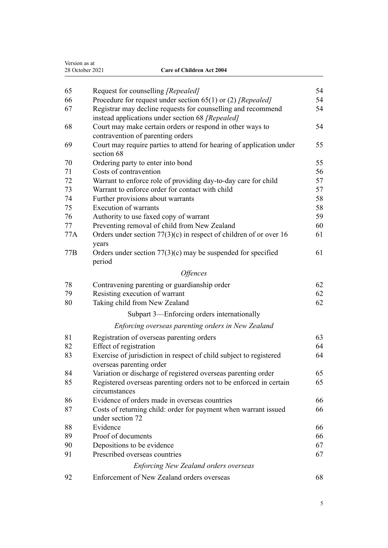| 28 October 2021 | <b>Care of Children Act 2004</b>                                     |  |
|-----------------|----------------------------------------------------------------------|--|
| 65              | Request for counselling [Repealed]                                   |  |
| 66              | Procedure for request under section $65(1)$ or (2) [Repealed]        |  |
| 67              | Registrar may decline requests for counselling and recommend         |  |
|                 | instead applications under section 68 [Repealed]                     |  |
| 68              | Court may make certain orders or respond in other ways to            |  |
|                 | contravention of parenting orders                                    |  |
| 69              | Court may require parties to attend for hearing of application under |  |
|                 | section 68                                                           |  |
| 70              | Ordering party to enter into bond                                    |  |
| 71              | Costs of contravention                                               |  |
| 72              | Warrant to enforce role of providing day-to-day care for child       |  |
| 73              | Warrant to enforce order for contact with child                      |  |
| 74              | Further provisions about warrants                                    |  |
| 75              | <b>Execution of warrants</b>                                         |  |
| 76              | Authority to use faxed copy of warrant                               |  |
| 77              | Preventing removal of child from New Zealand                         |  |
| 77A             | Orders under section $77(3)(c)$ in respect of children of or over 16 |  |
|                 | years                                                                |  |
| 77B             | Orders under section $77(3)(c)$ may be suspended for specified       |  |
|                 | period                                                               |  |
|                 | <i><b>Offences</b></i>                                               |  |
|                 |                                                                      |  |
| 78              | Contravening parenting or guardianship order                         |  |
| 79              | Resisting execution of warrant                                       |  |
| 80              | Taking child from New Zealand                                        |  |
|                 | Subpart 3—Enforcing orders internationally                           |  |
|                 | Enforcing overseas parenting orders in New Zealand                   |  |
| 81              | Registration of overseas parenting orders                            |  |
| 82              | Effect of registration                                               |  |
| 83              | Exercise of jurisdiction in respect of child subject to registered   |  |
|                 | overseas parenting order                                             |  |
| 84              | Variation or discharge of registered overseas parenting order        |  |
| 85              | Registered overseas parenting orders not to be enforced in certain   |  |
|                 | circumstances                                                        |  |
| 86              | Evidence of orders made in overseas countries                        |  |
| 87              | Costs of returning child: order for payment when warrant issued      |  |
|                 | under section 72                                                     |  |
| 88              | Evidence                                                             |  |
| 89              | Proof of documents                                                   |  |
| 90              | Depositions to be evidence                                           |  |
| 91              | Prescribed overseas countries                                        |  |
|                 | <b>Enforcing New Zealand orders overseas</b>                         |  |
| 92              | Enforcement of New Zealand orders overseas                           |  |
|                 |                                                                      |  |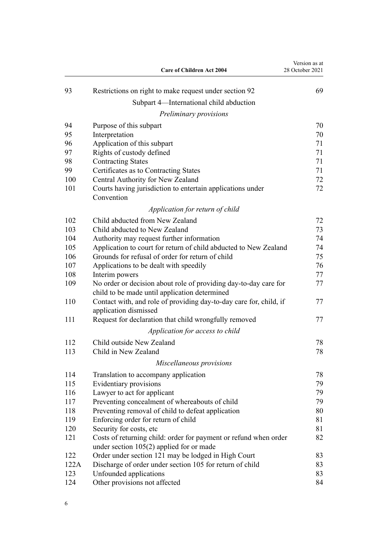|          | <b>Care of Children Act 2004</b>                                                                                  | Version as at<br>28 October 2021 |
|----------|-------------------------------------------------------------------------------------------------------------------|----------------------------------|
| 93       | Restrictions on right to make request under section 92                                                            | 69                               |
|          | Subpart 4-International child abduction                                                                           |                                  |
|          | Preliminary provisions                                                                                            |                                  |
|          |                                                                                                                   |                                  |
| 94       | Purpose of this subpart                                                                                           | 70                               |
| 95<br>96 | Interpretation<br>Application of this subpart                                                                     | 70<br>71                         |
| 97       | Rights of custody defined                                                                                         | 71                               |
| 98       | <b>Contracting States</b>                                                                                         | 71                               |
| 99       | Certificates as to Contracting States                                                                             | 71                               |
| 100      | Central Authority for New Zealand                                                                                 | 72                               |
| 101      | Courts having jurisdiction to entertain applications under                                                        | 72                               |
|          | Convention                                                                                                        |                                  |
|          | Application for return of child                                                                                   |                                  |
| 102      | Child abducted from New Zealand                                                                                   | 72                               |
| 103      | Child abducted to New Zealand                                                                                     | 73                               |
| 104      | Authority may request further information                                                                         | 74                               |
| 105      | Application to court for return of child abducted to New Zealand                                                  | 74                               |
| 106      | Grounds for refusal of order for return of child                                                                  | 75                               |
| 107      | Applications to be dealt with speedily                                                                            | 76                               |
| 108      | Interim powers                                                                                                    | 77                               |
| 109      | No order or decision about role of providing day-to-day care for<br>child to be made until application determined | 77                               |
| 110      | Contact with, and role of providing day-to-day care for, child, if                                                | 77                               |
| 111      | application dismissed<br>Request for declaration that child wrongfully removed                                    | 77                               |
|          |                                                                                                                   |                                  |
|          | Application for access to child                                                                                   |                                  |
| 112      | Child outside New Zealand                                                                                         | 78                               |
| 113      | Child in New Zealand                                                                                              | 78                               |
|          | Miscellaneous provisions                                                                                          |                                  |
| 114      | Translation to accompany application                                                                              | 78                               |
| 115      | Evidentiary provisions                                                                                            | 79                               |
| 116      | Lawyer to act for applicant                                                                                       | 79                               |
| 117      | Preventing concealment of whereabouts of child                                                                    | 79                               |
| 118      | Preventing removal of child to defeat application                                                                 | 80                               |
| 119      | Enforcing order for return of child                                                                               | 81                               |
| 120      | Security for costs, etc                                                                                           | 81                               |
| 121      | Costs of returning child: order for payment or refund when order<br>under section $105(2)$ applied for or made    | 82                               |
| 122      | Order under section 121 may be lodged in High Court                                                               | 83                               |
| 122A     | Discharge of order under section 105 for return of child                                                          | 83                               |
| 123      | Unfounded applications                                                                                            | 83                               |
| 124      | Other provisions not affected                                                                                     | 84                               |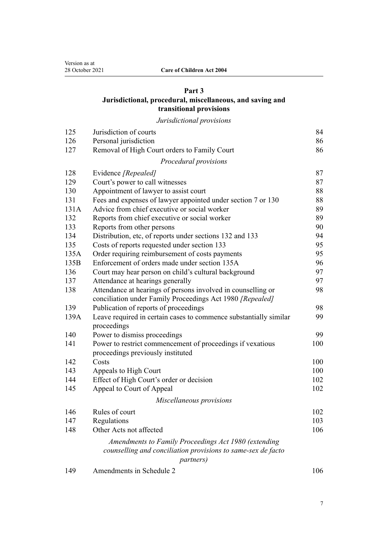# **[Part 3](#page-83-0) [Jurisdictional, procedural, miscellaneous, and saving and](#page-83-0) [transitional provisions](#page-83-0)**

*[Jurisdictional provisions](#page-83-0)*

| 125  | Jurisdiction of courts                                                            | 84  |
|------|-----------------------------------------------------------------------------------|-----|
| 126  | Personal jurisdiction                                                             | 86  |
| 127  | Removal of High Court orders to Family Court                                      | 86  |
|      | Procedural provisions                                                             |     |
| 128  | Evidence [Repealed]                                                               | 87  |
| 129  | Court's power to call witnesses                                                   | 87  |
| 130  | Appointment of lawyer to assist court                                             | 88  |
| 131  | Fees and expenses of lawyer appointed under section 7 or 130                      | 88  |
| 131A | Advice from chief executive or social worker                                      | 89  |
| 132  | Reports from chief executive or social worker                                     | 89  |
| 133  | Reports from other persons                                                        | 90  |
| 134  | Distribution, etc, of reports under sections 132 and 133                          | 94  |
| 135  | Costs of reports requested under section 133                                      | 95  |
| 135A | Order requiring reimbursement of costs payments                                   | 95  |
| 135B | Enforcement of orders made under section 135A                                     | 96  |
| 136  | Court may hear person on child's cultural background                              | 97  |
| 137  | Attendance at hearings generally                                                  | 97  |
| 138  | Attendance at hearings of persons involved in counselling or                      | 98  |
|      | conciliation under Family Proceedings Act 1980 [Repealed]                         |     |
| 139  | Publication of reports of proceedings                                             | 98  |
| 139A | Leave required in certain cases to commence substantially similar<br>proceedings  | 99  |
| 140  | Power to dismiss proceedings                                                      | 99  |
| 141  | Power to restrict commencement of proceedings if vexatious                        | 100 |
|      | proceedings previously instituted                                                 |     |
| 142  | Costs                                                                             | 100 |
| 143  | Appeals to High Court                                                             | 100 |
| 144  | Effect of High Court's order or decision                                          | 102 |
| 145  | Appeal to Court of Appeal                                                         | 102 |
|      | Miscellaneous provisions                                                          |     |
| 146  | Rules of court                                                                    | 102 |
| 147  | Regulations                                                                       | 103 |
| 148  | Other Acts not affected                                                           | 106 |
|      | Amendments to Family Proceedings Act 1980 (extending                              |     |
|      | counselling and conciliation provisions to same-sex de facto<br><i>partners</i> ) |     |
|      |                                                                                   |     |
| 149  | Amendments in Schedule 2                                                          | 106 |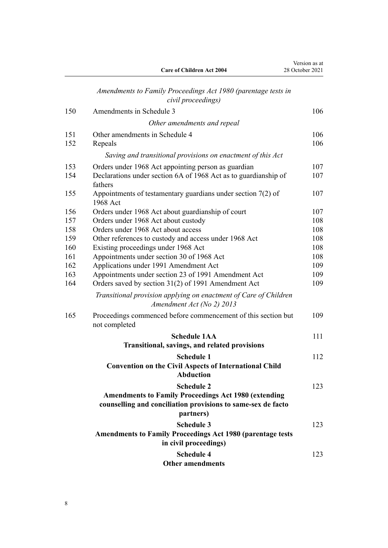|            | <b>Care of Children Act 2004</b>                                                                                                                              | Version as at<br>28 October 2021 |
|------------|---------------------------------------------------------------------------------------------------------------------------------------------------------------|----------------------------------|
|            | Amendments to Family Proceedings Act 1980 (parentage tests in<br>civil proceedings)                                                                           |                                  |
| 150        | Amendments in Schedule 3                                                                                                                                      | 106                              |
|            | Other amendments and repeal                                                                                                                                   |                                  |
| 151        | Other amendments in Schedule 4                                                                                                                                | 106                              |
| 152        | Repeals                                                                                                                                                       | 106                              |
|            | Saving and transitional provisions on enactment of this Act                                                                                                   |                                  |
| 153        | Orders under 1968 Act appointing person as guardian                                                                                                           | 107                              |
| 154        | Declarations under section 6A of 1968 Act as to guardianship of<br>fathers                                                                                    | 107                              |
| 155        | Appointments of testamentary guardians under section $7(2)$ of<br>1968 Act                                                                                    | 107                              |
| 156        | Orders under 1968 Act about guardianship of court                                                                                                             | 107                              |
| 157        | Orders under 1968 Act about custody                                                                                                                           | 108                              |
| 158        | Orders under 1968 Act about access                                                                                                                            | 108                              |
| 159        | Other references to custody and access under 1968 Act                                                                                                         | 108                              |
| 160        | Existing proceedings under 1968 Act                                                                                                                           | 108                              |
| 161<br>162 | Appointments under section 30 of 1968 Act                                                                                                                     | 108<br>109                       |
| 163        | Applications under 1991 Amendment Act                                                                                                                         | 109                              |
| 164        | Appointments under section 23 of 1991 Amendment Act<br>Orders saved by section 31(2) of 1991 Amendment Act                                                    | 109                              |
|            | Transitional provision applying on enactment of Care of Children<br>Amendment Act (No 2) 2013                                                                 |                                  |
| 165        | Proceedings commenced before commencement of this section but<br>not completed                                                                                | 109                              |
|            | <b>Schedule 1AA</b><br>Transitional, savings, and related provisions                                                                                          | 111                              |
|            | <b>Schedule 1</b><br><b>Convention on the Civil Aspects of International Child</b><br><b>Abduction</b>                                                        | 112                              |
|            | <b>Schedule 2</b><br><b>Amendments to Family Proceedings Act 1980 (extending</b><br>counselling and conciliation provisions to same-sex de facto<br>partners) | 123                              |
|            | <b>Schedule 3</b><br><b>Amendments to Family Proceedings Act 1980 (parentage tests</b><br>in civil proceedings)                                               | 123                              |
|            | <b>Schedule 4</b><br><b>Other amendments</b>                                                                                                                  | 123                              |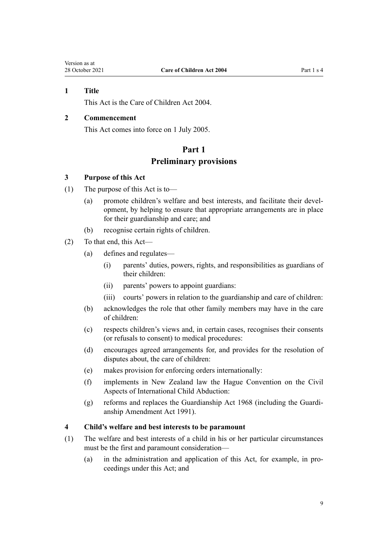#### <span id="page-8-0"></span>**1 Title**

This Act is the Care of Children Act 2004.

# **2 Commencement**

This Act comes into force on 1 July 2005.

# **Part 1 Preliminary provisions**

#### **3 Purpose of this Act**

- (1) The purpose of this Act is to—
	- (a) promote children's welfare and best interests, and facilitate their devel‐ opment, by helping to ensure that appropriate arrangements are in place for their guardianship and care; and
	- (b) recognise certain rights of children.
- (2) To that end, this Act—
	- (a) defines and regulates—
		- (i) parents' duties, powers, rights, and responsibilities as guardians of their children:
		- (ii) parents' powers to appoint guardians:
		- (iii) courts' powers in relation to the guardianship and care of children:
	- (b) acknowledges the role that other family members may have in the care of children:
	- (c) respects children's views and, in certain cases, recognises their consents (or refusals to consent) to medical procedures:
	- (d) encourages agreed arrangements for, and provides for the resolution of disputes about, the care of children:
	- (e) makes provision for enforcing orders internationally:
	- (f) implements in New Zealand law the Hague Convention on the Civil Aspects of International Child Abduction:
	- (g) reforms and replaces the Guardianship Act 1968 (including the Guardi‐ anship Amendment Act 1991).

#### **4 Child's welfare and best interests to be paramount**

- (1) The welfare and best interests of a child in his or her particular circumstances must be the first and paramount consideration—
	- (a) in the administration and application of this Act, for example, in pro‐ ceedings under this Act; and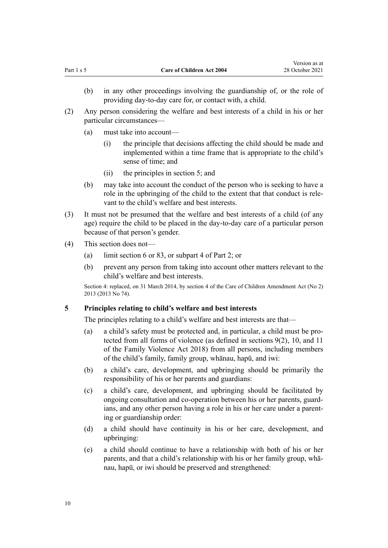- <span id="page-9-0"></span>(b) in any other proceedings involving the guardianship of, or the role of providing day-to-day care for, or contact with, a child.
- (2) Any person considering the welfare and best interests of a child in his or her particular circumstances—
	- (a) must take into account—
		- (i) the principle that decisions affecting the child should be made and implemented within a time frame that is appropriate to the child's sense of time; and
		- (ii) the principles in section 5; and
	- (b) may take into account the conduct of the person who is seeking to have a role in the upbringing of the child to the extent that that conduct is relevant to the child's welfare and best interests.
- (3) It must not be presumed that the welfare and best interests of a child (of any age) require the child to be placed in the day-to-day care of a particular person because of that person's gender.
- (4) This section does not—
	- (a) limit [section 6](#page-11-0) or [83,](#page-63-0) or [subpart 4](#page-69-0) of Part 2; or
	- (b) prevent any person from taking into account other matters relevant to the child's welfare and best interests.

Section 4: replaced, on 31 March 2014, by [section 4](http://legislation.govt.nz/pdflink.aspx?id=DLM4896287) of the Care of Children Amendment Act (No 2) 2013 (2013 No 74).

#### **5 Principles relating to child's welfare and best interests**

The principles relating to a child's welfare and best interests are that—

- (a) a child's safety must be protected and, in particular, a child must be pro‐ tected from all forms of violence (as defined in [sections 9\(2\)](http://legislation.govt.nz/pdflink.aspx?id=LMS112966), [10](http://legislation.govt.nz/pdflink.aspx?id=LMS112967), and [11](http://legislation.govt.nz/pdflink.aspx?id=LMS112968) of the Family Violence Act 2018) from all persons, including members of the child's family, family group, whānau, hapū, and iwi:
- (b) a child's care, development, and upbringing should be primarily the responsibility of his or her parents and guardians:
- (c) a child's care, development, and upbringing should be facilitated by ongoing consultation and co-operation between his or her parents, guard‐ ians, and any other person having a role in his or her care under a parenting or guardianship order:
- (d) a child should have continuity in his or her care, development, and upbringing:
- (e) a child should continue to have a relationship with both of his or her parents, and that a child's relationship with his or her family group, whānau, hapū, or iwi should be preserved and strengthened: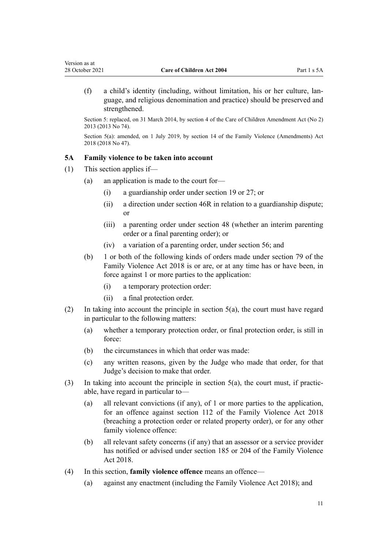(f) a child's identity (including, without limitation, his or her culture, lan‐ guage, and religious denomination and practice) should be preserved and strengthened.

Section 5: replaced, on 31 March 2014, by [section 4](http://legislation.govt.nz/pdflink.aspx?id=DLM4896287) of the Care of Children Amendment Act (No 2) 2013 (2013 No 74).

Section 5(a): amended, on 1 July 2019, by [section 14](http://legislation.govt.nz/pdflink.aspx?id=LMS113462) of the Family Violence (Amendments) Act 2018 (2018 No 47).

#### **5A Family violence to be taken into account**

(1) This section applies if—

<span id="page-10-0"></span>Version as at

- (a) an application is made to the court for—
	- (i) a guardianship order under [section 19](#page-18-0) or [27](#page-23-0); or
	- (ii) a direction under [section 46R](#page-41-0) in relation to a guardianship dispute; or
	- (iii) a parenting order under [section 48](#page-44-0) (whether an interim parenting order or a final parenting order); or
	- (iv) a variation of a parenting order, under [section 56](#page-48-0); and
- (b) 1 or both of the following kinds of orders made under [section 79](http://legislation.govt.nz/pdflink.aspx?id=LMS113135) of the Family Violence Act 2018 is or are, or at any time has or have been, in force against 1 or more parties to the application:
	- (i) a temporary protection order:
	- (ii) a final protection order.
- (2) In taking into account the principle in [section 5\(a\)](#page-9-0), the court must have regard in particular to the following matters:
	- (a) whether a temporary protection order, or final protection order, is still in force:
	- (b) the circumstances in which that order was made:
	- (c) any written reasons, given by the Judge who made that order, for that Judge's decision to make that order.
- (3) In taking into account the principle in section  $5(a)$ , the court must, if practicable, have regard in particular to—
	- (a) all relevant convictions (if any), of 1 or more parties to the application, for an offence against [section 112](http://legislation.govt.nz/pdflink.aspx?id=LMS113176) of the Family Violence Act 2018 (breaching a protection order or related property order), or for any other family violence offence:
	- (b) all relevant safety concerns (if any) that an assessor or a service provider has notified or advised under [section 185](http://legislation.govt.nz/pdflink.aspx?id=LMS113289) or [204](http://legislation.govt.nz/pdflink.aspx?id=LMS113310) of the Family Violence Act 2018.
- (4) In this section, **family violence offence** means an offence—
	- (a) against any enactment (including the [Family Violence Act 2018\)](http://legislation.govt.nz/pdflink.aspx?id=DLM7159300); and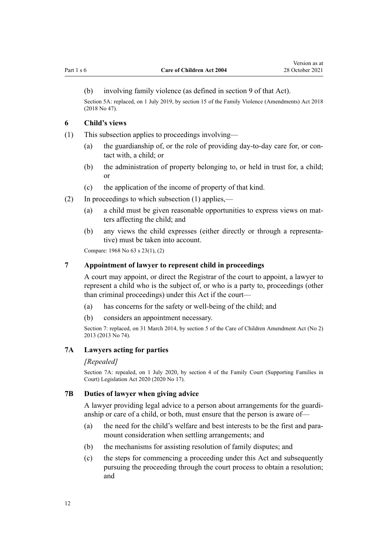<span id="page-11-0"></span>

(b) involving family violence (as defined in [section 9](http://legislation.govt.nz/pdflink.aspx?id=LMS112966) of that Act).

Section 5A: replaced, on 1 July 2019, by [section 15](http://legislation.govt.nz/pdflink.aspx?id=LMS113465) of the Family Violence (Amendments) Act 2018 (2018 No 47).

## **6 Child's views**

- (1) This subsection applies to proceedings involving—
	- (a) the guardianship of, or the role of providing day-to-day care for, or contact with, a child; or
	- (b) the administration of property belonging to, or held in trust for, a child; or
	- (c) the application of the income of property of that kind.
- (2) In proceedings to which subsection (1) applies,—
	- (a) a child must be given reasonable opportunities to express views on matters affecting the child; and
	- (b) any views the child expresses (either directly or through a representative) must be taken into account.

Compare: 1968 No 63 s 23(1), (2)

#### **7 Appointment of lawyer to represent child in proceedings**

A court may appoint, or direct the Registrar of the court to appoint, a lawyer to represent a child who is the subject of, or who is a party to, proceedings (other than criminal proceedings) under this Act if the court—

- (a) has concerns for the safety or well-being of the child; and
- (b) considers an appointment necessary.

Section 7: replaced, on 31 March 2014, by [section 5](http://legislation.govt.nz/pdflink.aspx?id=DLM4896290) of the Care of Children Amendment Act (No 2) 2013 (2013 No 74).

### **7A Lawyers acting for parties**

#### *[Repealed]*

Section 7A: repealed, on 1 July 2020, by [section 4](http://legislation.govt.nz/pdflink.aspx?id=LMS344708) of the Family Court (Supporting Families in Court) Legislation Act 2020 (2020 No 17).

#### **7B Duties of lawyer when giving advice**

A lawyer providing legal advice to a person about arrangements for the guardi‐ anship or care of a child, or both, must ensure that the person is aware of—

- (a) the need for the child's welfare and best interests to be the first and para‐ mount consideration when settling arrangements; and
- (b) the mechanisms for assisting resolution of family disputes; and
- (c) the steps for commencing a proceeding under this Act and subsequently pursuing the proceeding through the court process to obtain a resolution; and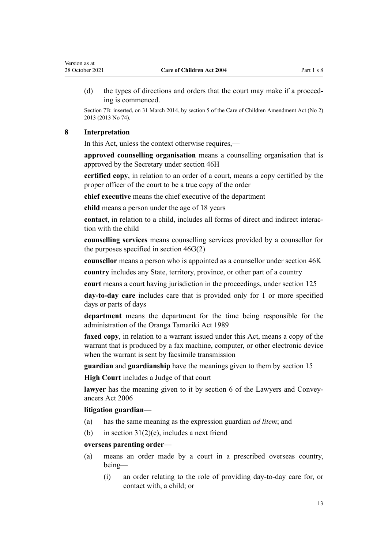Section 7B: inserted, on 31 March 2014, by [section 5](http://legislation.govt.nz/pdflink.aspx?id=DLM4896290) of the Care of Children Amendment Act (No 2) 2013 (2013 No 74).

#### **8 Interpretation**

<span id="page-12-0"></span>Version as at

In this Act, unless the context otherwise requires,—

**approved counselling organisation** means a counselling organisation that is approved by the Secretary under [section 46H](#page-39-0)

**certified copy**, in relation to an order of a court, means a copy certified by the proper officer of the court to be a true copy of the order

**chief executive** means the chief executive of the department

**child** means a person under the age of 18 years

**contact**, in relation to a child, includes all forms of direct and indirect interac‐ tion with the child

**counselling services** means counselling services provided by a counsellor for the purposes specified in section  $46G(2)$ 

**counsellor** means a person who is appointed as a counsellor under [section 46K](#page-39-0)

**country** includes any State, territory, province, or other part of a country

**court** means a court having jurisdiction in the proceedings, under [section 125](#page-83-0)

**day-to-day care** includes care that is provided only for 1 or more specified days or parts of days

**department** means the department for the time being responsible for the administration of the [Oranga Tamariki Act 1989](http://legislation.govt.nz/pdflink.aspx?id=DLM147087)

**faxed copy**, in relation to a warrant issued under this Act, means a copy of the warrant that is produced by a fax machine, computer, or other electronic device when the warrant is sent by facsimile transmission

**guardian** and **guardianship** have the meanings given to them by [section 15](#page-15-0)

**High Court** includes a Judge of that court

lawyer has the meaning given to it by [section 6](http://legislation.govt.nz/pdflink.aspx?id=DLM364948) of the Lawyers and Conveyancers Act 2006

# **litigation guardian**—

- (a) has the same meaning as the expression guardian *ad litem*; and
- (b) in section  $31(2)$ (e), includes a next friend

### **overseas parenting order**—

- (a) means an order made by a court in a prescribed overseas country, being—
	- (i) an order relating to the role of providing day-to-day care for, or contact with, a child; or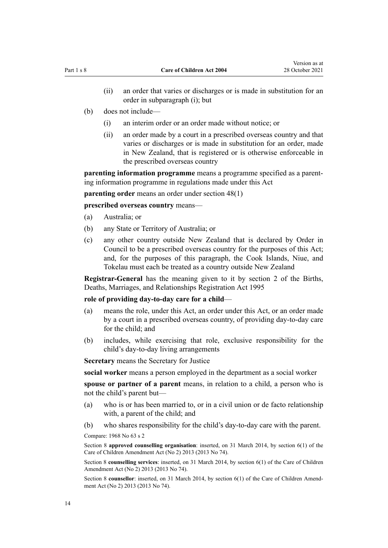- (ii) an order that varies or discharges or is made in substitution for an order in subparagraph (i); but
- (b) does not include—
	- (i) an interim order or an order made without notice; or
	- (ii) an order made by a court in a prescribed overseas country and that varies or discharges or is made in substitution for an order, made in New Zealand, that is registered or is otherwise enforceable in the prescribed overseas country

**parenting information programme** means a programme specified as a parent– ing information programme in regulations made under this Act

**parenting order** means an order under [section 48\(1\)](#page-44-0)

**prescribed overseas country** means—

- (a) Australia; or
- (b) any State or Territory of Australia; or
- (c) any other country outside New Zealand that is declared by Order in Council to be a prescribed overseas country for the purposes of this Act; and, for the purposes of this paragraph, the Cook Islands, Niue, and Tokelau must each be treated as a country outside New Zealand

**Registrar-General** has the meaning given to it by [section 2](http://legislation.govt.nz/pdflink.aspx?id=DLM359378) of the Births, Deaths, Marriages, and Relationships Registration Act 1995

#### **role of providing day-to-day care for a child**—

- (a) means the role, under this Act, an order under this Act, or an order made by a court in a prescribed overseas country, of providing day-to-day care for the child; and
- (b) includes, while exercising that role, exclusive responsibility for the child's day-to-day living arrangements

**Secretary** means the Secretary for Justice

**social worker** means a person employed in the department as a social worker

**spouse or partner of a parent** means, in relation to a child, a person who is not the child's parent but—

- (a) who is or has been married to, or in a civil union or de facto relationship with, a parent of the child; and
- (b) who shares responsibility for the child's day-to-day care with the parent.

Compare: 1968 No 63 s 2

Section 8 **approved counselling organisation**: inserted, on 31 March 2014, by [section 6\(1\)](http://legislation.govt.nz/pdflink.aspx?id=DLM4896299) of the Care of Children Amendment Act (No 2) 2013 (2013 No 74).

Section 8 **counselling services**: inserted, on 31 March 2014, by [section 6\(1\)](http://legislation.govt.nz/pdflink.aspx?id=DLM4896299) of the Care of Children Amendment Act (No 2) 2013 (2013 No 74).

Section 8 **counsellor**: inserted, on 31 March 2014, by [section 6\(1\)](http://legislation.govt.nz/pdflink.aspx?id=DLM4896299) of the Care of Children Amendment Act (No 2) 2013 (2013 No 74).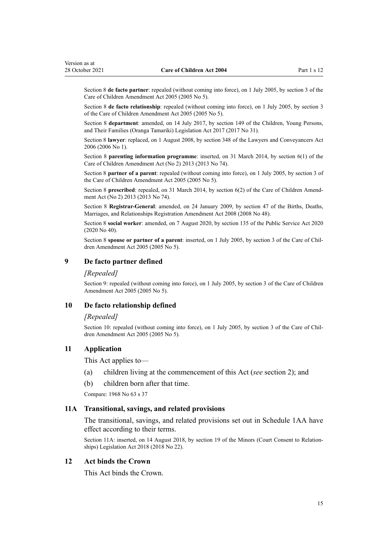<span id="page-14-0"></span>Section 8 **de facto partner**: repealed (without coming into force), on 1 July 2005, by [section 3](http://legislation.govt.nz/pdflink.aspx?id=DLM334765) of the Care of Children Amendment Act 2005 (2005 No 5).

Section 8 **de facto relationship**: repealed (without coming into force), on 1 July 2005, by [section 3](http://legislation.govt.nz/pdflink.aspx?id=DLM334765) of the Care of Children Amendment Act 2005 (2005 No 5).

Section 8 **department**: amended, on 14 July 2017, by [section 149](http://legislation.govt.nz/pdflink.aspx?id=DLM7287401) of the Children, Young Persons, and Their Families (Oranga Tamariki) Legislation Act 2017 (2017 No 31).

Section 8 **lawyer**: replaced, on 1 August 2008, by [section 348](http://legislation.govt.nz/pdflink.aspx?id=DLM367849) of the Lawyers and Conveyancers Act 2006 (2006 No 1).

Section 8 **parenting information programme**: inserted, on 31 March 2014, by [section 6\(1\)](http://legislation.govt.nz/pdflink.aspx?id=DLM4896299) of the Care of Children Amendment Act (No 2) 2013 (2013 No 74).

Section 8 **partner of a parent**: repealed (without coming into force), on 1 July 2005, by [section 3](http://legislation.govt.nz/pdflink.aspx?id=DLM334765) of the Care of Children Amendment Act 2005 (2005 No 5).

Section 8 **prescribed**: repealed, on 31 March 2014, by [section 6\(2\)](http://legislation.govt.nz/pdflink.aspx?id=DLM4896299) of the Care of Children Amendment Act (No 2) 2013 (2013 No 74).

Section 8 **Registrar-General**: amended, on 24 January 2009, by [section 47](http://legislation.govt.nz/pdflink.aspx?id=DLM1048943) of the Births, Deaths, Marriages, and Relationships Registration Amendment Act 2008 (2008 No 48).

Section 8 **social worker**: amended, on 7 August 2020, by [section 135](http://legislation.govt.nz/pdflink.aspx?id=LMS176959) of the Public Service Act 2020 (2020 No 40).

Section 8 **spouse or partner of a parent**: inserted, on 1 July 2005, by [section 3](http://legislation.govt.nz/pdflink.aspx?id=DLM334765) of the Care of Children Amendment Act 2005 (2005 No 5).

#### **9 De facto partner defined**

#### *[Repealed]*

Section 9: repealed (without coming into force), on 1 July 2005, by [section 3](http://legislation.govt.nz/pdflink.aspx?id=DLM334765) of the Care of Children Amendment Act 2005 (2005 No 5).

#### **10 De facto relationship defined**

#### *[Repealed]*

Section 10: repealed (without coming into force), on 1 July 2005, by [section 3](http://legislation.govt.nz/pdflink.aspx?id=DLM334765) of the Care of Children Amendment Act 2005 (2005 No 5).

#### **11 Application**

This Act applies to—

- (a) children living at the commencement of this Act (*see* [section 2](#page-8-0)); and
- (b) children born after that time.

Compare: 1968 No 63 s 37

#### **11A Transitional, savings, and related provisions**

The transitional, savings, and related provisions set out in [Schedule 1AA](#page-110-0) have effect according to their terms.

Section 11A: inserted, on 14 August 2018, by [section 19](http://legislation.govt.nz/pdflink.aspx?id=LMS25387) of the Minors (Court Consent to Relationships) Legislation Act 2018 (2018 No 22).

#### **12 Act binds the Crown**

This Act binds the Crown.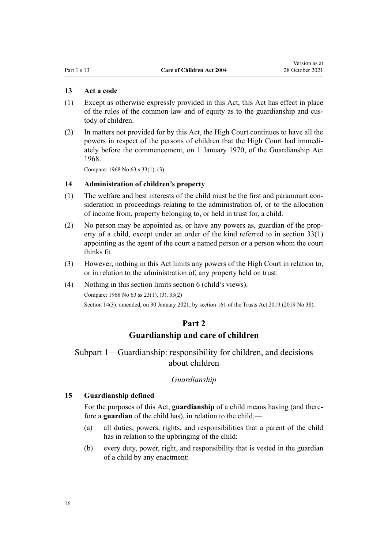#### <span id="page-15-0"></span>**13 Act a code**

- (1) Except as otherwise expressly provided in this Act, this Act has effect in place of the rules of the common law and of equity as to the guardianship and cus‐ tody of children.
- (2) In matters not provided for by this Act, the High Court continues to have all the powers in respect of the persons of children that the High Court had immediately before the commencement, on 1 January 1970, of the Guardianship Act 1968.

Compare: 1968 No 63 s 33(1), (3)

#### **14 Administration of children's property**

- (1) The welfare and best interests of the child must be the first and paramount con‐ sideration in proceedings relating to the administration of, or to the allocation of income from, property belonging to, or held in trust for, a child.
- (2) No person may be appointed as, or have any powers as, guardian of the prop‐ erty of a child, except under an order of the kind referred to in [section 33\(1\)](#page-28-0) appointing as the agent of the court a named person or a person whom the court thinks fit.
- (3) However, nothing in this Act limits any powers of the High Court in relation to, or in relation to the administration of, any property held on trust.
- (4) Nothing in this section limits [section 6](#page-11-0) (child's views).

Compare: 1968 No 63 ss 23(1), (3), 33(2) Section 14(3): amended, on 30 January 2021, by [section 161](http://legislation.govt.nz/pdflink.aspx?id=DLM7383110) of the Trusts Act 2019 (2019 No 38).

# **Part 2 Guardianship and care of children**

Subpart 1—Guardianship: responsibility for children, and decisions about children

#### *Guardianship*

## **15 Guardianship defined**

For the purposes of this Act, **guardianship** of a child means having (and therefore a **guardian** of the child has), in relation to the child,—

- (a) all duties, powers, rights, and responsibilities that a parent of the child has in relation to the upbringing of the child:
- (b) every duty, power, right, and responsibility that is vested in the guardian of a child by any enactment: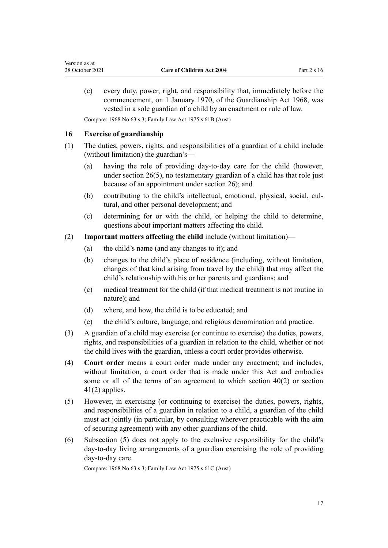(c) every duty, power, right, and responsibility that, immediately before the commencement, on 1 January 1970, of the Guardianship Act 1968, was vested in a sole guardian of a child by an enactment or rule of law.

Compare: 1968 No 63 s 3; Family Law Act 1975 s 61B (Aust)

#### **16 Exercise of guardianship**

<span id="page-16-0"></span>Version as at

- (1) The duties, powers, rights, and responsibilities of a guardian of a child include (without limitation) the guardian's—
	- (a) having the role of providing day-to-day care for the child (however, under [section 26\(5\),](#page-23-0) no testamentary guardian of a child has that role just because of an appointment under section 26); and
	- (b) contributing to the child's intellectual, emotional, physical, social, cultural, and other personal development; and
	- (c) determining for or with the child, or helping the child to determine, questions about important matters affecting the child.
- (2) **Important matters affecting the child** include (without limitation)—
	- (a) the child's name (and any changes to it); and
	- (b) changes to the child's place of residence (including, without limitation, changes of that kind arising from travel by the child) that may affect the child's relationship with his or her parents and guardians; and
	- (c) medical treatment for the child (if that medical treatment is not routine in nature); and
	- (d) where, and how, the child is to be educated; and
	- (e) the child's culture, language, and religious denomination and practice.
- (3) A guardian of a child may exercise (or continue to exercise) the duties, powers, rights, and responsibilities of a guardian in relation to the child, whether or not the child lives with the guardian, unless a court order provides otherwise.
- (4) **Court order** means a court order made under any enactment; and includes, without limitation, a court order that is made under this Act and embodies some or all of the terms of an agreement to which [section 40\(2\)](#page-32-0) or [section](#page-33-0) [41\(2\)](#page-33-0) applies.
- (5) However, in exercising (or continuing to exercise) the duties, powers, rights, and responsibilities of a guardian in relation to a child, a guardian of the child must act jointly (in particular, by consulting wherever practicable with the aim of securing agreement) with any other guardians of the child.
- (6) Subsection (5) does not apply to the exclusive responsibility for the child's day-to-day living arrangements of a guardian exercising the role of providing day-to-day care.

Compare: 1968 No 63 s 3; Family Law Act 1975 s 61C (Aust)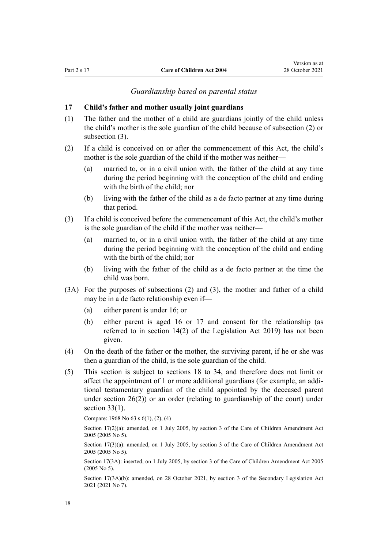#### *Guardianship based on parental status*

#### <span id="page-17-0"></span>**17 Child's father and mother usually joint guardians**

- (1) The father and the mother of a child are guardians jointly of the child unless the child's mother is the sole guardian of the child because of subsection (2) or subsection (3).
- (2) If a child is conceived on or after the commencement of this Act, the child's mother is the sole guardian of the child if the mother was neither—
	- (a) married to, or in a civil union with, the father of the child at any time during the period beginning with the conception of the child and ending with the birth of the child; nor
	- (b) living with the father of the child as a de facto partner at any time during that period.
- (3) If a child is conceived before the commencement of this Act, the child's mother is the sole guardian of the child if the mother was neither—
	- (a) married to, or in a civil union with, the father of the child at any time during the period beginning with the conception of the child and ending with the birth of the child; nor
	- (b) living with the father of the child as a de facto partner at the time the child was born.
- (3A) For the purposes of subsections (2) and (3), the mother and father of a child may be in a de facto relationship even if—
	- (a) either parent is under 16; or
	- (b) either parent is aged 16 or 17 and consent for the relationship (as referred to in [section 14\(2\)](http://legislation.govt.nz/pdflink.aspx?id=DLM7298260) of the Legislation Act 2019) has not been given.
- (4) On the death of the father or the mother, the surviving parent, if he or she was then a guardian of the child, is the sole guardian of the child.
- (5) This section is subject to [sections 18 to 34](#page-18-0), and therefore does not limit or affect the appointment of 1 or more additional guardians (for example, an addi‐ tional testamentary guardian of the child appointed by the deceased parent under [section 26\(2\)](#page-23-0)) or an order (relating to guardianship of the court) under section  $33(1)$ .

Compare: 1968 No 63 s 6(1), (2), (4)

Section 17(2)(a): amended, on 1 July 2005, by [section 3](http://legislation.govt.nz/pdflink.aspx?id=DLM334765) of the Care of Children Amendment Act 2005 (2005 No 5).

Section 17(3)(a): amended, on 1 July 2005, by [section 3](http://legislation.govt.nz/pdflink.aspx?id=DLM334765) of the Care of Children Amendment Act 2005 (2005 No 5).

Section 17(3A): inserted, on 1 July 2005, by [section 3](http://legislation.govt.nz/pdflink.aspx?id=DLM334765) of the Care of Children Amendment Act 2005 (2005 No 5).

Section 17(3A)(b): amended, on 28 October 2021, by [section 3](http://legislation.govt.nz/pdflink.aspx?id=LMS268932) of the Secondary Legislation Act 2021 (2021 No 7).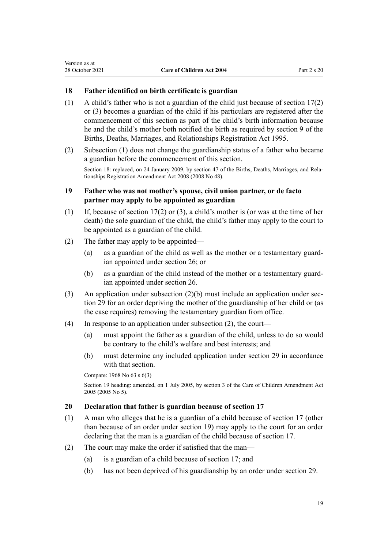<span id="page-18-0"></span>Version as at

- (1) A child's father who is not a guardian of the child just because of [section 17\(2\)](#page-17-0) [or \(3\)](#page-17-0) becomes a guardian of the child if his particulars are registered after the commencement of this section as part of the child's birth information because he and the child's mother both notified the birth as required by [section 9](http://legislation.govt.nz/pdflink.aspx?id=DLM364101) of the Births, Deaths, Marriages, and Relationships Registration Act 1995.
- (2) Subsection (1) does not change the guardianship status of a father who became a guardian before the commencement of this section.

Section 18: replaced, on 24 January 2009, by [section 47](http://legislation.govt.nz/pdflink.aspx?id=DLM1048943) of the Births, Deaths, Marriages, and Relationships Registration Amendment Act 2008 (2008 No 48).

# **19 Father who was not mother's spouse, civil union partner, or de facto partner may apply to be appointed as guardian**

- (1) If, because of [section 17\(2\) or \(3\),](#page-17-0) a child's mother is (or was at the time of her death) the sole guardian of the child, the child's father may apply to the court to be appointed as a guardian of the child.
- (2) The father may apply to be appointed—
	- (a) as a guardian of the child as well as the mother or a testamentary guard‐ ian appointed under [section 26](#page-23-0); or
	- (b) as a guardian of the child instead of the mother or a testamentary guard‐ ian appointed under [section 26](#page-23-0).
- (3) An application under subsection  $(2)(b)$  must include an application under sec[tion 29](#page-24-0) for an order depriving the mother of the guardianship of her child or (as the case requires) removing the testamentary guardian from office.
- (4) In response to an application under subsection (2), the court—
	- (a) must appoint the father as a guardian of the child, unless to do so would be contrary to the child's welfare and best interests; and
	- (b) must determine any included application under [section 29](#page-24-0) in accordance with that section.

Compare: 1968 No 63 s 6(3)

Section 19 heading: amended, on 1 July 2005, by [section 3](http://legislation.govt.nz/pdflink.aspx?id=DLM334765) of the Care of Children Amendment Act 2005 (2005 No 5).

#### **20 Declaration that father is guardian because of section 17**

- (1) A man who alleges that he is a guardian of a child because of [section 17](#page-17-0) (other than because of an order under section 19) may apply to the court for an order declaring that the man is a guardian of the child because of section 17.
- (2) The court may make the order if satisfied that the man—
	- (a) is a guardian of a child because of [section 17;](#page-17-0) and
	- (b) has not been deprived of his guardianship by an order under [section 29.](#page-24-0)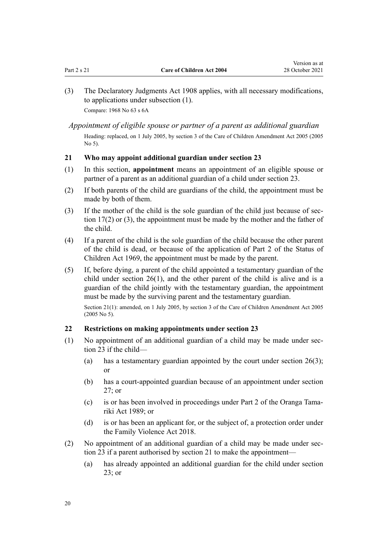<span id="page-19-0"></span>(3) The [Declaratory Judgments Act 1908](http://legislation.govt.nz/pdflink.aspx?id=DLM176192) applies, with all necessary modifications, to applications under subsection (1). Compare: 1968 No 63 s 6A

*Appointment of eligible spouse or partner of a parent as additional guardian* Heading: replaced, on 1 July 2005, by [section 3](http://legislation.govt.nz/pdflink.aspx?id=DLM334765) of the Care of Children Amendment Act 2005 (2005 No 5).

#### **21 Who may appoint additional guardian under section 23**

- (1) In this section, **appointment** means an appointment of an eligible spouse or partner of a parent as an additional guardian of a child under [section 23](#page-20-0).
- (2) If both parents of the child are guardians of the child, the appointment must be made by both of them.
- (3) If the mother of the child is the sole guardian of the child just because of [sec‐](#page-17-0) [tion 17\(2\) or \(3\),](#page-17-0) the appointment must be made by the mother and the father of the child.
- (4) If a parent of the child is the sole guardian of the child because the other parent of the child is dead, or because of the application of [Part 2](http://legislation.govt.nz/pdflink.aspx?id=DLM391031) of the Status of Children Act 1969, the appointment must be made by the parent.
- (5) If, before dying, a parent of the child appointed a testamentary guardian of the child under [section 26\(1\),](#page-23-0) and the other parent of the child is alive and is a guardian of the child jointly with the testamentary guardian, the appointment must be made by the surviving parent and the testamentary guardian.

Section 21(1): amended, on 1 July 2005, by [section 3](http://legislation.govt.nz/pdflink.aspx?id=DLM334765) of the Care of Children Amendment Act 2005 (2005 No 5).

#### **22 Restrictions on making appointments under section 23**

- (1) No appointment of an additional guardian of a child may be made under [sec‐](#page-20-0) [tion 23](#page-20-0) if the child—
	- (a) has a testamentary guardian appointed by the court under section  $26(3)$ ; or
	- (b) has a court-appointed guardian because of an appointment under [section](#page-23-0) [27;](#page-23-0) or
	- (c) is or has been involved in proceedings under [Part 2](http://legislation.govt.nz/pdflink.aspx?id=DLM149452) of the Oranga Tama‐ riki Act 1989; or
	- (d) is or has been an applicant for, or the subject of, a protection order under the [Family Violence Act 2018.](http://legislation.govt.nz/pdflink.aspx?id=DLM7159300)
- (2) No appointment of an additional guardian of a child may be made under sec[tion 23](#page-20-0) if a parent authorised by section 21 to make the appointment—
	- (a) has already appointed an additional guardian for the child under [section](#page-20-0) [23;](#page-20-0) or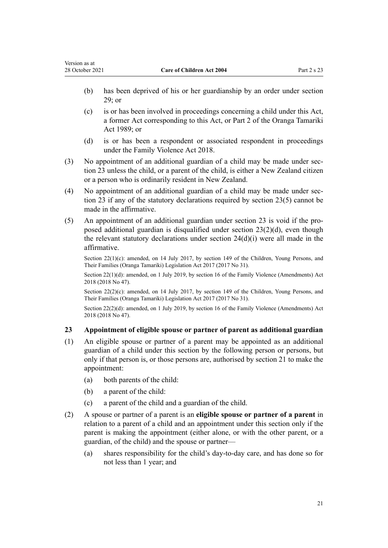- <span id="page-20-0"></span>(b) has been deprived of his or her guardianship by an order under [section](#page-24-0) [29;](#page-24-0) or
- (c) is or has been involved in proceedings concerning a child under this Act, a former Act corresponding to this Act, or [Part 2](http://legislation.govt.nz/pdflink.aspx?id=DLM149452) of the Oranga Tamariki Act 1989; or
- (d) is or has been a respondent or associated respondent in proceedings under the [Family Violence Act 2018.](http://legislation.govt.nz/pdflink.aspx?id=DLM7159300)
- (3) No appointment of an additional guardian of a child may be made under section 23 unless the child, or a parent of the child, is either a New Zealand citizen or a person who is ordinarily resident in New Zealand.
- (4) No appointment of an additional guardian of a child may be made under sec‐ tion 23 if any of the statutory declarations required by section 23(5) cannot be made in the affirmative.
- (5) An appointment of an additional guardian under section 23 is void if the pro‐ posed additional guardian is disqualified under section  $23(2)(d)$ , even though the relevant statutory declarations under [section 24\(d\)\(i\)](#page-22-0) were all made in the affirmative.

Section  $22(1)(c)$ : amended, on 14 July 2017, by [section 149](http://legislation.govt.nz/pdflink.aspx?id=DLM7287401) of the Children, Young Persons, and Their Families (Oranga Tamariki) Legislation Act 2017 (2017 No 31).

Section 22(1)(d): amended, on 1 July 2019, by [section 16](http://legislation.govt.nz/pdflink.aspx?id=LMS113466) of the Family Violence (Amendments) Act 2018 (2018 No 47).

Section 22(2)(c): amended, on 14 July 2017, by [section 149](http://legislation.govt.nz/pdflink.aspx?id=DLM7287401) of the Children, Young Persons, and Their Families (Oranga Tamariki) Legislation Act 2017 (2017 No 31).

Section 22(2)(d): amended, on 1 July 2019, by [section 16](http://legislation.govt.nz/pdflink.aspx?id=LMS113466) of the Family Violence (Amendments) Act 2018 (2018 No 47).

# **23 Appointment of eligible spouse or partner of parent as additional guardian**

- (1) An eligible spouse or partner of a parent may be appointed as an additional guardian of a child under this section by the following person or persons, but only if that person is, or those persons are, authorised by [section 21](#page-19-0) to make the appointment:
	- (a) both parents of the child:
	- (b) a parent of the child:
	- (c) a parent of the child and a guardian of the child.
- (2) A spouse or partner of a parent is an **eligible spouse or partner of a parent** in relation to a parent of a child and an appointment under this section only if the parent is making the appointment (either alone, or with the other parent, or a guardian, of the child) and the spouse or partner—
	- (a) shares responsibility for the child's day-to-day care, and has done so for not less than 1 year; and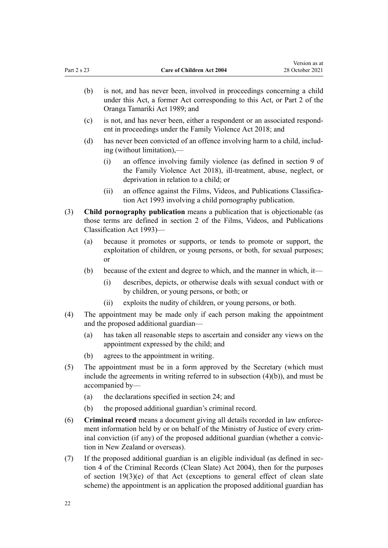- (b) is not, and has never been, involved in proceedings concerning a child under this Act, a former Act corresponding to this Act, or [Part 2](http://legislation.govt.nz/pdflink.aspx?id=DLM149452) of the Oranga Tamariki Act 1989; and
- (c) is not, and has never been, either a respondent or an associated respond‐ ent in proceedings under the [Family Violence Act 2018](http://legislation.govt.nz/pdflink.aspx?id=DLM7159300); and
- (d) has never been convicted of an offence involving harm to a child, including (without limitation),—
	- (i) an offence involving family violence (as defined in [section 9](http://legislation.govt.nz/pdflink.aspx?id=LMS112966) of the Family Violence Act 2018), ill-treatment, abuse, neglect, or deprivation in relation to a child; or
	- (ii) an offence against the Films, Videos, and Publications Classifica[tion Act 1993](http://legislation.govt.nz/pdflink.aspx?id=DLM312894) involving a child pornography publication.
- (3) **Child pornography publication** means a publication that is objectionable (as those terms are defined in [section 2](http://legislation.govt.nz/pdflink.aspx?id=DLM313301) of the Films, Videos, and Publications Classification Act 1993)—
	- (a) because it promotes or supports, or tends to promote or support, the exploitation of children, or young persons, or both, for sexual purposes; or
	- (b) because of the extent and degree to which, and the manner in which, it—
		- (i) describes, depicts, or otherwise deals with sexual conduct with or by children, or young persons, or both; or
		- (ii) exploits the nudity of children, or young persons, or both.
- (4) The appointment may be made only if each person making the appointment and the proposed additional guardian—
	- (a) has taken all reasonable steps to ascertain and consider any views on the appointment expressed by the child; and
	- (b) agrees to the appointment in writing.
- (5) The appointment must be in a form approved by the Secretary (which must include the agreements in writing referred to in subsection  $(4)(b)$ ), and must be accompanied by—
	- (a) the declarations specified in [section 24;](#page-22-0) and
	- (b) the proposed additional guardian's criminal record.
- (6) **Criminal record** means a document giving all details recorded in law enforce‐ ment information held by or on behalf of the Ministry of Justice of every criminal conviction (if any) of the proposed additional guardian (whether a conviction in New Zealand or overseas).
- (7) If the proposed additional guardian is an eligible individual (as defined in [sec‐](http://legislation.govt.nz/pdflink.aspx?id=DLM280848) [tion 4](http://legislation.govt.nz/pdflink.aspx?id=DLM280848) of the Criminal Records (Clean Slate) Act 2004), then for the purposes of section  $19(3)(e)$  of that Act (exceptions to general effect of clean slate scheme) the appointment is an application the proposed additional guardian has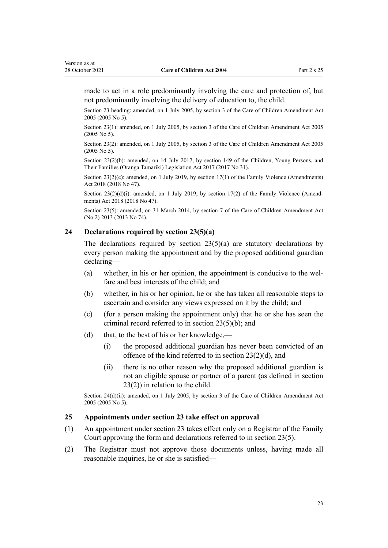<span id="page-22-0"></span>made to act in a role predominantly involving the care and protection of, but not predominantly involving the delivery of education to, the child.

Section 23 heading: amended, on 1 July 2005, by [section 3](http://legislation.govt.nz/pdflink.aspx?id=DLM334765) of the Care of Children Amendment Act 2005 (2005 No 5).

Section 23(1): amended, on 1 July 2005, by [section 3](http://legislation.govt.nz/pdflink.aspx?id=DLM334765) of the Care of Children Amendment Act 2005 (2005 No 5).

Section 23(2): amended, on 1 July 2005, by [section 3](http://legislation.govt.nz/pdflink.aspx?id=DLM334765) of the Care of Children Amendment Act 2005 (2005 No 5).

Section 23(2)(b): amended, on 14 July 2017, by [section 149](http://legislation.govt.nz/pdflink.aspx?id=DLM7287401) of the Children, Young Persons, and Their Families (Oranga Tamariki) Legislation Act 2017 (2017 No 31).

Section 23(2)(c): amended, on 1 July 2019, by [section 17\(1\)](http://legislation.govt.nz/pdflink.aspx?id=LMS113467) of the Family Violence (Amendments) Act 2018 (2018 No 47).

Section  $23(2)(d)(i)$ : amended, on 1 July 2019, by [section 17\(2\)](http://legislation.govt.nz/pdflink.aspx?id=LMS113467) of the Family Violence (Amendments) Act 2018 (2018 No 47).

Section 23(5): amended, on 31 March 2014, by [section 7](http://legislation.govt.nz/pdflink.aspx?id=DLM5574201) of the Care of Children Amendment Act (No 2) 2013 (2013 No 74).

#### **24 Declarations required by section 23(5)(a)**

The declarations required by section  $23(5)(a)$  are statutory declarations by every person making the appointment and by the proposed additional guardian declaring—

- (a) whether, in his or her opinion, the appointment is conducive to the wel‐ fare and best interests of the child; and
- (b) whether, in his or her opinion, he or she has taken all reasonable steps to ascertain and consider any views expressed on it by the child; and
- (c) (for a person making the appointment only) that he or she has seen the criminal record referred to in [section 23\(5\)\(b\)](#page-20-0); and
- (d) that, to the best of his or her knowledge,—
	- (i) the proposed additional guardian has never been convicted of an offence of the kind referred to in [section 23\(2\)\(d\),](#page-20-0) and
	- (ii) there is no other reason why the proposed additional guardian is not an eligible spouse or partner of a parent (as defined in [section](#page-20-0) [23\(2\)](#page-20-0)) in relation to the child.

Section 24(d)(ii): amended, on 1 July 2005, by [section 3](http://legislation.govt.nz/pdflink.aspx?id=DLM334765) of the Care of Children Amendment Act 2005 (2005 No 5).

#### **25 Appointments under section 23 take effect on approval**

- (1) An appointment under [section 23](#page-20-0) takes effect only on a Registrar of the Family Court approving the form and declarations referred to in section 23(5).
- (2) The Registrar must not approve those documents unless, having made all reasonable inquiries, he or she is satisfied—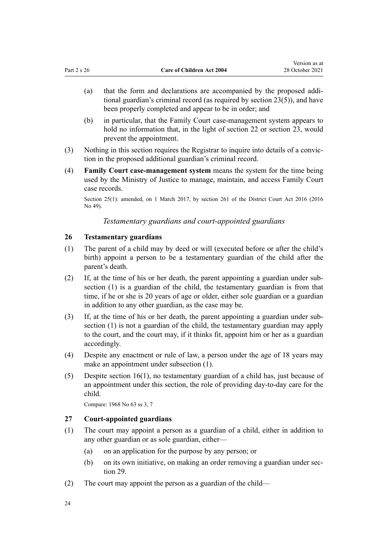- <span id="page-23-0"></span>(a) that the form and declarations are accompanied by the proposed additional guardian's criminal record (as required by [section 23\(5\)](#page-20-0)), and have been properly completed and appear to be in order; and
- (b) in particular, that the Family Court case-management system appears to hold no information that, in the light of [section 22](#page-19-0) or [section 23,](#page-20-0) would prevent the appointment.
- (3) Nothing in this section requires the Registrar to inquire into details of a convic‐ tion in the proposed additional guardian's criminal record.
- (4) **Family Court case-management system** means the system for the time being used by the Ministry of Justice to manage, maintain, and access Family Court case records.

Section 25(1): amended, on 1 March 2017, by [section 261](http://legislation.govt.nz/pdflink.aspx?id=DLM6942680) of the District Court Act 2016 (2016) No 49).

*Testamentary guardians and court-appointed guardians*

#### **26 Testamentary guardians**

- (1) The parent of a child may by deed or will (executed before or after the child's birth) appoint a person to be a testamentary guardian of the child after the parent's death.
- (2) If, at the time of his or her death, the parent appointing a guardian under sub‐ section (1) is a guardian of the child, the testamentary guardian is from that time, if he or she is 20 years of age or older, either sole guardian or a guardian in addition to any other guardian, as the case may be.
- (3) If, at the time of his or her death, the parent appointing a guardian under sub‐ section (1) is not a guardian of the child, the testamentary guardian may apply to the court, and the court may, if it thinks fit, appoint him or her as a guardian accordingly.
- (4) Despite any enactment or rule of law, a person under the age of 18 years may make an appointment under subsection (1).
- (5) Despite [section 16\(1\),](#page-16-0) no testamentary guardian of a child has, just because of an appointment under this section, the role of providing day-to-day care for the child.

Compare: 1968 No 63 ss 3, 7

#### **27 Court-appointed guardians**

- (1) The court may appoint a person as a guardian of a child, either in addition to any other guardian or as sole guardian, either—
	- (a) on an application for the purpose by any person; or
	- (b) on its own initiative, on making an order removing a guardian under sec[tion 29](#page-24-0).
- (2) The court may appoint the person as a guardian of the child—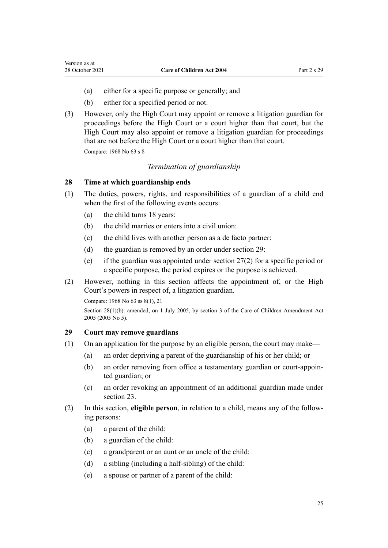- <span id="page-24-0"></span>(a) either for a specific purpose or generally; and
- (b) either for a specified period or not.
- (3) However, only the High Court may appoint or remove a litigation guardian for proceedings before the High Court or a court higher than that court, but the High Court may also appoint or remove a litigation guardian for proceedings that are not before the High Court or a court higher than that court.

Compare: 1968 No 63 s 8

#### *Termination of guardianship*

#### **28 Time at which guardianship ends**

- (1) The duties, powers, rights, and responsibilities of a guardian of a child end when the first of the following events occurs:
	- (a) the child turns 18 years:
	- (b) the child marries or enters into a civil union:
	- (c) the child lives with another person as a de facto partner:
	- (d) the guardian is removed by an order under section 29:
	- (e) if the guardian was appointed under section  $27(2)$  for a specific period or a specific purpose, the period expires or the purpose is achieved.
- (2) However, nothing in this section affects the appointment of, or the High Court's powers in respect of, a litigation guardian.

Compare: 1968 No 63 ss 8(1), 21

Section 28(1)(b): amended, on 1 July 2005, by [section 3](http://legislation.govt.nz/pdflink.aspx?id=DLM334765) of the Care of Children Amendment Act 2005 (2005 No 5).

#### **29 Court may remove guardians**

- (1) On an application for the purpose by an eligible person, the court may make—
	- (a) an order depriving a parent of the guardianship of his or her child; or
	- (b) an order removing from office a testamentary guardian or court-appoin‐ ted guardian; or
	- (c) an order revoking an appointment of an additional guardian made under [section 23](#page-20-0).
- (2) In this section, **eligible person**, in relation to a child, means any of the follow‐ ing persons:
	- (a) a parent of the child:
	- (b) a guardian of the child:
	- (c) a grandparent or an aunt or an uncle of the child:
	- (d) a sibling (including a half-sibling) of the child:
	- (e) a spouse or partner of a parent of the child: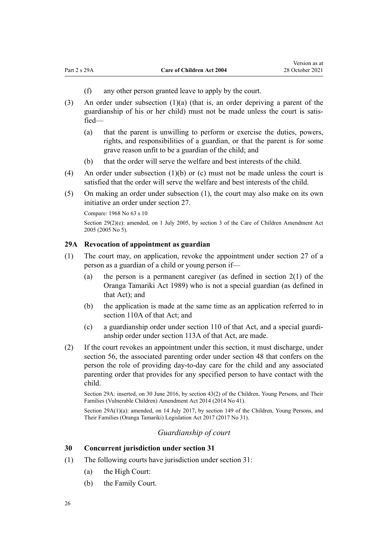- (f) any other person granted leave to apply by the court.
- <span id="page-25-0"></span>(3) An order under subsection (1)(a) (that is, an order depriving a parent of the guardianship of his or her child) must not be made unless the court is satis‐ fied—
	- (a) that the parent is unwilling to perform or exercise the duties, powers, rights, and responsibilities of a guardian, or that the parent is for some grave reason unfit to be a guardian of the child; and
	- (b) that the order will serve the welfare and best interests of the child.
- (4) An order under subsection  $(1)(b)$  or (c) must not be made unless the court is satisfied that the order will serve the welfare and best interests of the child.
- (5) On making an order under subsection (1), the court may also make on its own initiative an order under [section 27.](#page-23-0)

Compare: 1968 No 63 s 10

Section 29(2)(e): amended, on 1 July 2005, by [section 3](http://legislation.govt.nz/pdflink.aspx?id=DLM334765) of the Care of Children Amendment Act 2005 (2005 No 5).

#### **29A Revocation of appointment as guardian**

- (1) The court may, on application, revoke the appointment under [section 27](#page-23-0) of a person as a guardian of a child or young person if—
	- (a) the person is a permanent caregiver (as defined in [section 2\(1\)](http://legislation.govt.nz/pdflink.aspx?id=DLM147094) of the Oranga Tamariki Act 1989) who is not a special guardian (as defined in that Act); and
	- (b) the application is made at the same time as an application referred to in [section 110A](http://legislation.govt.nz/pdflink.aspx?id=DLM6892419) of that Act; and
	- (c) a guardianship order under [section 110](http://legislation.govt.nz/pdflink.aspx?id=DLM150441) of that Act, and a special guardi‐ anship order under [section 113A](http://legislation.govt.nz/pdflink.aspx?id=DLM6890569) of that Act, are made.
- (2) If the court revokes an appointment under this section, it must discharge, under [section 56,](#page-48-0) the associated parenting order under [section 48](#page-44-0) that confers on the person the role of providing day-to-day care for the child and any associated parenting order that provides for any specified person to have contact with the child.

Section 29A: inserted, on 30 June 2016, by [section 43\(2\)](http://legislation.govt.nz/pdflink.aspx?id=DLM6110589) of the Children, Young Persons, and Their Families (Vulnerable Children) Amendment Act 2014 (2014 No 41).

Section 29A(1)(a): amended, on 14 July 2017, by [section 149](http://legislation.govt.nz/pdflink.aspx?id=DLM7287401) of the Children, Young Persons, and Their Families (Oranga Tamariki) Legislation Act 2017 (2017 No 31).

# *Guardianship of court*

#### **30 Concurrent jurisdiction under section 31**

- (1) The following courts have jurisdiction under [section 31](#page-26-0):
	- (a) the High Court:
	- (b) the Family Court.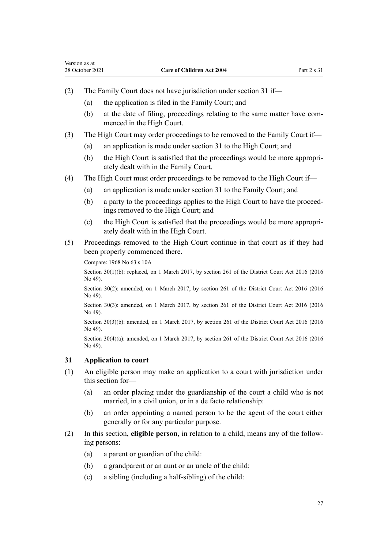- <span id="page-26-0"></span>(2) The Family Court does not have jurisdiction under section 31 if—
	- (a) the application is filed in the Family Court; and
	- (b) at the date of filing, proceedings relating to the same matter have commenced in the High Court.
- (3) The High Court may order proceedings to be removed to the Family Court if—
	- (a) an application is made under section 31 to the High Court; and
	- (b) the High Court is satisfied that the proceedings would be more appropriately dealt with in the Family Court.
- (4) The High Court must order proceedings to be removed to the High Court if—
	- (a) an application is made under section 31 to the Family Court; and
	- (b) a party to the proceedings applies to the High Court to have the proceed‐ ings removed to the High Court; and
	- (c) the High Court is satisfied that the proceedings would be more appropri‐ ately dealt with in the High Court.
- (5) Proceedings removed to the High Court continue in that court as if they had been properly commenced there.

Compare: 1968 No 63 s 10A

Section 30(1)(b): replaced, on 1 March 2017, by [section 261](http://legislation.govt.nz/pdflink.aspx?id=DLM6942680) of the District Court Act 2016 (2016) No 49).

Section 30(2): amended, on 1 March 2017, by [section 261](http://legislation.govt.nz/pdflink.aspx?id=DLM6942680) of the District Court Act 2016 (2016 No 49).

Section 30(3): amended, on 1 March 2017, by [section 261](http://legislation.govt.nz/pdflink.aspx?id=DLM6942680) of the District Court Act 2016 (2016) No 49).

Section 30(3)(b): amended, on 1 March 2017, by [section 261](http://legislation.govt.nz/pdflink.aspx?id=DLM6942680) of the District Court Act 2016 (2016 No 49).

Section 30(4)(a): amended, on 1 March 2017, by [section 261](http://legislation.govt.nz/pdflink.aspx?id=DLM6942680) of the District Court Act 2016 (2016 No 49).

# **31 Application to court**

- (1) An eligible person may make an application to a court with jurisdiction under this section for—
	- (a) an order placing under the guardianship of the court a child who is not married, in a civil union, or in a de facto relationship:
	- (b) an order appointing a named person to be the agent of the court either generally or for any particular purpose.
- (2) In this section, **eligible person**, in relation to a child, means any of the follow‐ ing persons:
	- (a) a parent or guardian of the child:
	- (b) a grandparent or an aunt or an uncle of the child:
	- (c) a sibling (including a half-sibling) of the child: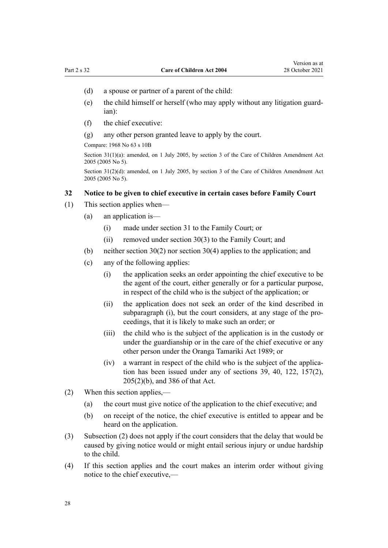- <span id="page-27-0"></span>(d) a spouse or partner of a parent of the child:
- (e) the child himself or herself (who may apply without any litigation guard‐ ian):
- (f) the chief executive:
- (g) any other person granted leave to apply by the court.

Compare: 1968 No 63 s 10B

Section 31(1)(a): amended, on 1 July 2005, by [section 3](http://legislation.govt.nz/pdflink.aspx?id=DLM334765) of the Care of Children Amendment Act 2005 (2005 No 5).

Section 31(2)(d): amended, on 1 July 2005, by [section 3](http://legislation.govt.nz/pdflink.aspx?id=DLM334765) of the Care of Children Amendment Act 2005 (2005 No 5).

#### **32 Notice to be given to chief executive in certain cases before Family Court**

- (1) This section applies when—
	- (a) an application is—
		- (i) made under [section 31](#page-26-0) to the Family Court; or
		- (ii) removed under [section 30\(3\)](#page-25-0) to the Family Court; and
	- (b) neither section  $30(2)$  nor section  $30(4)$  applies to the application; and
	- (c) any of the following applies:
		- (i) the application seeks an order appointing the chief executive to be the agent of the court, either generally or for a particular purpose, in respect of the child who is the subject of the application; or
		- (ii) the application does not seek an order of the kind described in subparagraph (i), but the court considers, at any stage of the proceedings, that it is likely to make such an order; or
		- (iii) the child who is the subject of the application is in the custody or under the guardianship or in the care of the chief executive or any other person under the [Oranga Tamariki Act 1989;](http://legislation.govt.nz/pdflink.aspx?id=DLM147087) or
		- (iv) a warrant in respect of the child who is the subject of the applica‐ tion has been issued under any of [sections 39](http://legislation.govt.nz/pdflink.aspx?id=DLM150002), [40](http://legislation.govt.nz/pdflink.aspx?id=DLM150005), [122,](http://legislation.govt.nz/pdflink.aspx?id=DLM150481) [157\(2\)](http://legislation.govt.nz/pdflink.aspx?id=DLM151074), [205\(2\)\(b\)](http://legislation.govt.nz/pdflink.aspx?id=DLM151666), and [386](http://legislation.govt.nz/pdflink.aspx?id=DLM154515) of that Act.
- (2) When this section applies,—
	- (a) the court must give notice of the application to the chief executive; and
	- (b) on receipt of the notice, the chief executive is entitled to appear and be heard on the application.
- (3) Subsection (2) does not apply if the court considers that the delay that would be caused by giving notice would or might entail serious injury or undue hardship to the child.
- (4) If this section applies and the court makes an interim order without giving notice to the chief executive,—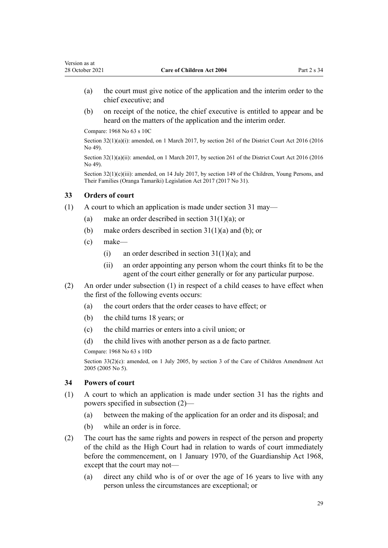- <span id="page-28-0"></span>(a) the court must give notice of the application and the interim order to the chief executive; and
- (b) on receipt of the notice, the chief executive is entitled to appear and be heard on the matters of the application and the interim order.

Compare: 1968 No 63 s 10C

Section 32(1)(a)(i): amended, on 1 March 2017, by [section 261](http://legislation.govt.nz/pdflink.aspx?id=DLM6942680) of the District Court Act 2016 (2016) No 49).

Section 32(1)(a)(ii): amended, on 1 March 2017, by [section 261](http://legislation.govt.nz/pdflink.aspx?id=DLM6942680) of the District Court Act 2016 (2016) No 49).

Section 32(1)(c)(iii): amended, on 14 July 2017, by [section 149](http://legislation.govt.nz/pdflink.aspx?id=DLM7287401) of the Children, Young Persons, and Their Families (Oranga Tamariki) Legislation Act 2017 (2017 No 31).

#### **33 Orders of court**

- (1) A court to which an application is made under [section 31](#page-26-0) may—
	- (a) make an order described in [section 31\(1\)\(a\);](#page-26-0) or
	- (b) make orders described in section  $31(1)(a)$  and (b); or
	- (c) make—
		- (i) an order described in section  $31(1)(a)$ ; and
		- (ii) an order appointing any person whom the court thinks fit to be the agent of the court either generally or for any particular purpose.
- (2) An order under subsection (1) in respect of a child ceases to have effect when the first of the following events occurs:
	- (a) the court orders that the order ceases to have effect; or
	- (b) the child turns 18 years; or
	- (c) the child marries or enters into a civil union; or
	- (d) the child lives with another person as a de facto partner.

Compare: 1968 No 63 s 10D

Section  $33(2)(c)$ : amended, on 1 July 2005, by [section 3](http://legislation.govt.nz/pdflink.aspx?id=DLM334765) of the Care of Children Amendment Act 2005 (2005 No 5).

#### **34 Powers of court**

- (1) A court to which an application is made under [section 31](#page-26-0) has the rights and powers specified in subsection (2)—
	- (a) between the making of the application for an order and its disposal; and
	- (b) while an order is in force.
- (2) The court has the same rights and powers in respect of the person and property of the child as the High Court had in relation to wards of court immediately before the commencement, on 1 January 1970, of the Guardianship Act 1968, except that the court may not—
	- (a) direct any child who is of or over the age of 16 years to live with any person unless the circumstances are exceptional; or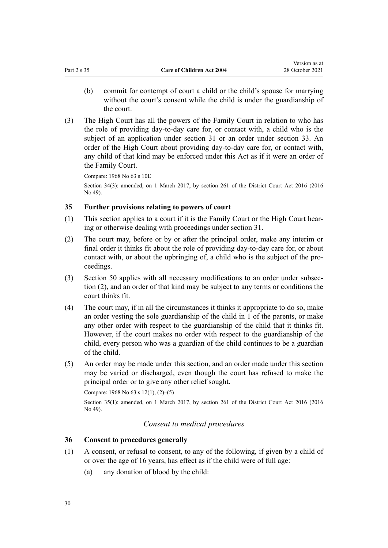<span id="page-29-0"></span>(b) commit for contempt of court a child or the child's spouse for marrying without the court's consent while the child is under the guardianship of the court.

Version as at

(3) The High Court has all the powers of the Family Court in relation to who has the role of providing day-to-day care for, or contact with, a child who is the subject of an application under [section 31](#page-26-0) or an order under [section 33](#page-28-0). An order of the High Court about providing day-to-day care for, or contact with, any child of that kind may be enforced under this Act as if it were an order of the Family Court.

```
Compare: 1968 No 63 s 10E
Section 34(3): amended, on 1 March 2017, by section 261 of the District Court Act 2016 (2016
No 49).
```
# **35 Further provisions relating to powers of court**

- (1) This section applies to a court if it is the Family Court or the High Court hear‐ ing or otherwise dealing with proceedings under [section 31](#page-26-0).
- (2) The court may, before or by or after the principal order, make any interim or final order it thinks fit about the role of providing day-to-day care for, or about contact with, or about the upbringing of, a child who is the subject of the proceedings.
- (3) [Section 50](#page-46-0) applies with all necessary modifications to an order under subsec‐ tion (2), and an order of that kind may be subject to any terms or conditions the court thinks fit.
- (4) The court may, if in all the circumstances it thinks it appropriate to do so, make an order vesting the sole guardianship of the child in 1 of the parents, or make any other order with respect to the guardianship of the child that it thinks fit. However, if the court makes no order with respect to the guardianship of the child, every person who was a guardian of the child continues to be a guardian of the child.
- (5) An order may be made under this section, and an order made under this section may be varied or discharged, even though the court has refused to make the principal order or to give any other relief sought.

Compare: 1968 No 63 s 12(1), (2)–(5)

Section 35(1): amended, on 1 March 2017, by [section 261](http://legislation.govt.nz/pdflink.aspx?id=DLM6942680) of the District Court Act 2016 (2016 No 49).

# *Consent to medical procedures*

#### **36 Consent to procedures generally**

- (1) A consent, or refusal to consent, to any of the following, if given by a child of or over the age of 16 years, has effect as if the child were of full age:
	- (a) any donation of blood by the child: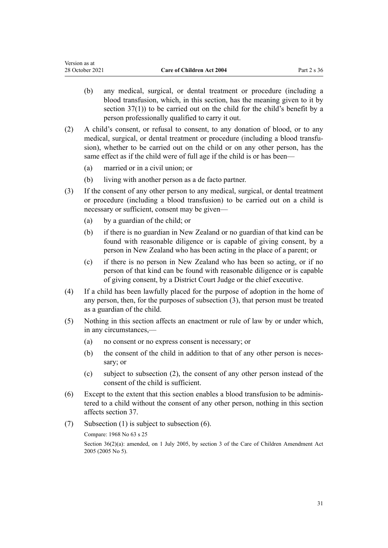- (b) any medical, surgical, or dental treatment or procedure (including a blood transfusion, which, in this section, has the meaning given to it by section  $37(1)$ ) to be carried out on the child for the child's benefit by a person professionally qualified to carry it out.
- (2) A child's consent, or refusal to consent, to any donation of blood, or to any medical, surgical, or dental treatment or procedure (including a blood transfu‐ sion), whether to be carried out on the child or on any other person, has the same effect as if the child were of full age if the child is or has been—
	- (a) married or in a civil union; or
	- (b) living with another person as a de facto partner.
- (3) If the consent of any other person to any medical, surgical, or dental treatment or procedure (including a blood transfusion) to be carried out on a child is necessary or sufficient, consent may be given—
	- (a) by a guardian of the child; or
	- (b) if there is no guardian in New Zealand or no guardian of that kind can be found with reasonable diligence or is capable of giving consent, by a person in New Zealand who has been acting in the place of a parent; or
	- (c) if there is no person in New Zealand who has been so acting, or if no person of that kind can be found with reasonable diligence or is capable of giving consent, by a District Court Judge or the chief executive.
- (4) If a child has been lawfully placed for the purpose of adoption in the home of any person, then, for the purposes of subsection (3), that person must be treated as a guardian of the child.
- (5) Nothing in this section affects an enactment or rule of law by or under which, in any circumstances,—
	- (a) no consent or no express consent is necessary; or
	- (b) the consent of the child in addition to that of any other person is necessary; or
	- (c) subject to subsection (2), the consent of any other person instead of the consent of the child is sufficient.
- (6) Except to the extent that this section enables a blood transfusion to be adminis‐ tered to a child without the consent of any other person, nothing in this section affects [section 37](#page-31-0).
- (7) Subsection (1) is subject to subsection (6).

#### Compare: 1968 No 63 s 25

Section 36(2)(a): amended, on 1 July 2005, by [section 3](http://legislation.govt.nz/pdflink.aspx?id=DLM334765) of the Care of Children Amendment Act 2005 (2005 No 5).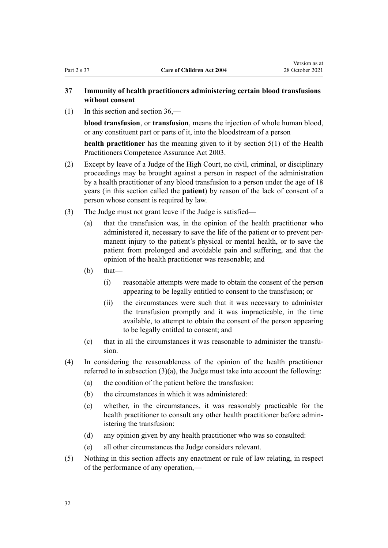# <span id="page-31-0"></span>**37 Immunity of health practitioners administering certain blood transfusions without consent**

(1) In this section and [section 36](#page-29-0),—

**blood transfusion**, or **transfusion**, means the injection of whole human blood, or any constituent part or parts of it, into the bloodstream of a person

**health practitioner** has the meaning given to it by [section 5\(1\)](http://legislation.govt.nz/pdflink.aspx?id=DLM203321) of the Health Practitioners Competence Assurance Act 2003.

- (2) Except by leave of a Judge of the High Court, no civil, criminal, or disciplinary proceedings may be brought against a person in respect of the administration by a health practitioner of any blood transfusion to a person under the age of 18 years (in this section called the **patient**) by reason of the lack of consent of a person whose consent is required by law.
- (3) The Judge must not grant leave if the Judge is satisfied—
	- (a) that the transfusion was, in the opinion of the health practitioner who administered it, necessary to save the life of the patient or to prevent per‐ manent injury to the patient's physical or mental health, or to save the patient from prolonged and avoidable pain and suffering, and that the opinion of the health practitioner was reasonable; and
	- $(b)$  that—
		- (i) reasonable attempts were made to obtain the consent of the person appearing to be legally entitled to consent to the transfusion; or
		- (ii) the circumstances were such that it was necessary to administer the transfusion promptly and it was impracticable, in the time available, to attempt to obtain the consent of the person appearing to be legally entitled to consent; and
	- (c) that in all the circumstances it was reasonable to administer the transfu‐ sion.
- (4) In considering the reasonableness of the opinion of the health practitioner referred to in subsection  $(3)(a)$ , the Judge must take into account the following:
	- (a) the condition of the patient before the transfusion:
	- (b) the circumstances in which it was administered:
	- (c) whether, in the circumstances, it was reasonably practicable for the health practitioner to consult any other health practitioner before administering the transfusion:
	- (d) any opinion given by any health practitioner who was so consulted:
	- (e) all other circumstances the Judge considers relevant.
- (5) Nothing in this section affects any enactment or rule of law relating, in respect of the performance of any operation,—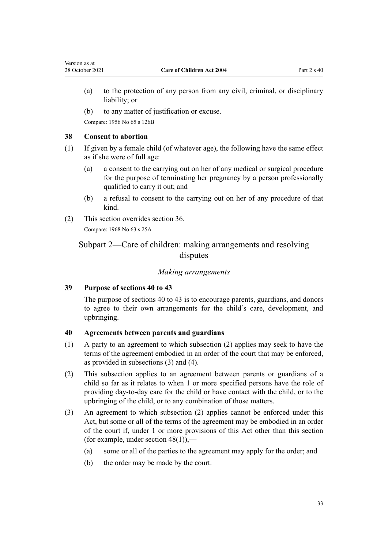- <span id="page-32-0"></span>(a) to the protection of any person from any civil, criminal, or disciplinary liability; or
- (b) to any matter of justification or excuse.

Compare: 1956 No 65 [s 126B](http://legislation.govt.nz/pdflink.aspx?id=DLM308483)

# **38 Consent to abortion**

- (1) If given by a female child (of whatever age), the following have the same effect as if she were of full age:
	- (a) a consent to the carrying out on her of any medical or surgical procedure for the purpose of terminating her pregnancy by a person professionally qualified to carry it out; and
	- (b) a refusal to consent to the carrying out on her of any procedure of that kind.
- (2) This section overrides [section 36.](#page-29-0)

Compare: 1968 No 63 s 25A

# Subpart 2—Care of children: making arrangements and resolving disputes

# *Making arrangements*

# **39 Purpose of sections 40 to 43**

The purpose of sections 40 to 43 is to encourage parents, guardians, and donors to agree to their own arrangements for the child's care, development, and upbringing.

# **40 Agreements between parents and guardians**

- (1) A party to an agreement to which subsection (2) applies may seek to have the terms of the agreement embodied in an order of the court that may be enforced, as provided in subsections (3) and (4).
- (2) This subsection applies to an agreement between parents or guardians of a child so far as it relates to when 1 or more specified persons have the role of providing day-to-day care for the child or have contact with the child, or to the upbringing of the child, or to any combination of those matters.
- (3) An agreement to which subsection (2) applies cannot be enforced under this Act, but some or all of the terms of the agreement may be embodied in an order of the court if, under 1 or more provisions of this Act other than this section (for example, under section  $48(1)$ ),—
	- (a) some or all of the parties to the agreement may apply for the order; and
	- (b) the order may be made by the court.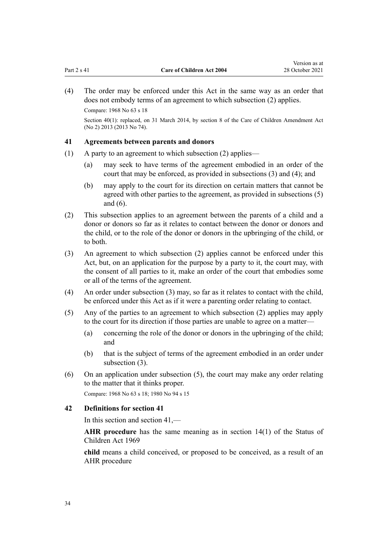<span id="page-33-0"></span>(4) The order may be enforced under this Act in the same way as an order that does not embody terms of an agreement to which subsection (2) applies. Compare: 1968 No 63 s 18

Section 40(1): replaced, on 31 March 2014, by [section 8](http://legislation.govt.nz/pdflink.aspx?id=DLM4897308) of the Care of Children Amendment Act (No 2) 2013 (2013 No 74).

#### **41 Agreements between parents and donors**

- (1) A party to an agreement to which subsection (2) applies—
	- (a) may seek to have terms of the agreement embodied in an order of the court that may be enforced, as provided in subsections (3) and (4); and
	- (b) may apply to the court for its direction on certain matters that cannot be agreed with other parties to the agreement, as provided in subsections (5) and (6).
- (2) This subsection applies to an agreement between the parents of a child and a donor or donors so far as it relates to contact between the donor or donors and the child, or to the role of the donor or donors in the upbringing of the child, or to both.
- (3) An agreement to which subsection (2) applies cannot be enforced under this Act, but, on an application for the purpose by a party to it, the court may, with the consent of all parties to it, make an order of the court that embodies some or all of the terms of the agreement.
- (4) An order under subsection (3) may, so far as it relates to contact with the child, be enforced under this Act as if it were a parenting order relating to contact.
- (5) Any of the parties to an agreement to which subsection (2) applies may apply to the court for its direction if those parties are unable to agree on a matter—
	- (a) concerning the role of the donor or donors in the upbringing of the child; and
	- (b) that is the subject of terms of the agreement embodied in an order under subsection (3).
- (6) On an application under subsection (5), the court may make any order relating to the matter that it thinks proper. Compare: 1968 No 63 s 18; 1980 No 94 [s 15](#page-15-0)

# **42 Definitions for section 41**

In this section and section 41,—

**AHR procedure** has the same meaning as in [section 14\(1\)](http://legislation.govt.nz/pdflink.aspx?id=DLM391036) of the Status of Children Act 1969

**child** means a child conceived, or proposed to be conceived, as a result of an AHR procedure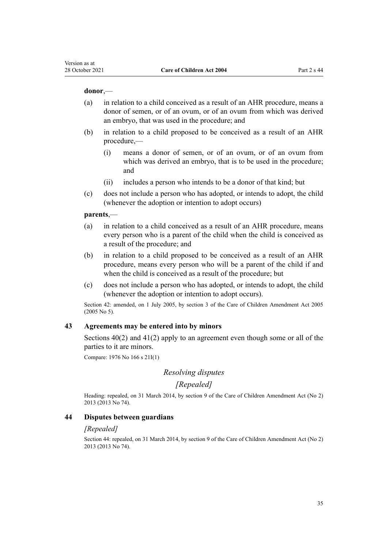#### <span id="page-34-0"></span>**donor**,—

- (a) in relation to a child conceived as a result of an AHR procedure, means a donor of semen, or of an ovum, or of an ovum from which was derived an embryo, that was used in the procedure; and
- (b) in relation to a child proposed to be conceived as a result of an AHR procedure,—
	- (i) means a donor of semen, or of an ovum, or of an ovum from which was derived an embryo, that is to be used in the procedure; and
	- (ii) includes a person who intends to be a donor of that kind; but
- (c) does not include a person who has adopted, or intends to adopt, the child (whenever the adoption or intention to adopt occurs)

#### **parents**,—

- (a) in relation to a child conceived as a result of an AHR procedure, means every person who is a parent of the child when the child is conceived as a result of the procedure; and
- (b) in relation to a child proposed to be conceived as a result of an AHR procedure, means every person who will be a parent of the child if and when the child is conceived as a result of the procedure; but
- (c) does not include a person who has adopted, or intends to adopt, the child (whenever the adoption or intention to adopt occurs).

Section 42: amended, on 1 July 2005, by [section 3](http://legislation.govt.nz/pdflink.aspx?id=DLM334765) of the Care of Children Amendment Act 2005 (2005 No 5).

#### **43 Agreements may be entered into by minors**

[Sections 40\(2\)](#page-32-0) and [41\(2\)](#page-33-0) apply to an agreement even though some or all of the parties to it are minors.

Compare: 1976 No 166 [s 21I\(1\)](http://legislation.govt.nz/pdflink.aspx?id=DLM441403)

### *Resolving disputes*

## *[Repealed]*

Heading: repealed, on 31 March 2014, by [section 9](http://legislation.govt.nz/pdflink.aspx?id=DLM4897309) of the Care of Children Amendment Act (No 2) 2013 (2013 No 74).

#### **44 Disputes between guardians**

#### *[Repealed]*

Section 44: repealed, on 31 March 2014, by [section 9](http://legislation.govt.nz/pdflink.aspx?id=DLM4897309) of the Care of Children Amendment Act (No 2) 2013 (2013 No 74).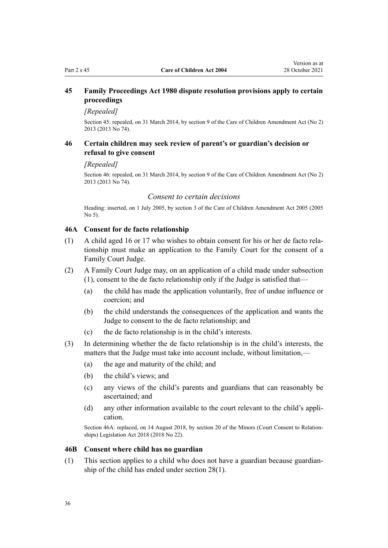# <span id="page-35-0"></span>**45 Family Proceedings Act 1980 dispute resolution provisions apply to certain proceedings**

#### *[Repealed]*

Section 45: repealed, on 31 March 2014, by [section 9](http://legislation.govt.nz/pdflink.aspx?id=DLM4897309) of the Care of Children Amendment Act (No 2) 2013 (2013 No 74).

# **46 Certain children may seek review of parent's or guardian's decision or refusal to give consent**

#### *[Repealed]*

Section 46: repealed, on 31 March 2014, by [section 9](http://legislation.govt.nz/pdflink.aspx?id=DLM4897309) of the Care of Children Amendment Act (No 2) 2013 (2013 No 74).

# *Consent to certain decisions*

Heading: inserted, on 1 July 2005, by [section 3](http://legislation.govt.nz/pdflink.aspx?id=DLM334765) of the Care of Children Amendment Act 2005 (2005 No 5).

#### **46A Consent for de facto relationship**

- (1) A child aged 16 or 17 who wishes to obtain consent for his or her de facto rela‐ tionship must make an application to the Family Court for the consent of a Family Court Judge.
- (2) A Family Court Judge may, on an application of a child made under subsection (1), consent to the de facto relationship only if the Judge is satisfied that—
	- (a) the child has made the application voluntarily, free of undue influence or coercion; and
	- (b) the child understands the consequences of the application and wants the Judge to consent to the de facto relationship; and
	- (c) the de facto relationship is in the child's interests.
- (3) In determining whether the de facto relationship is in the child's interests, the matters that the Judge must take into account include, without limitation,—
	- (a) the age and maturity of the child; and
	- (b) the child's views; and
	- (c) any views of the child's parents and guardians that can reasonably be ascertained; and
	- (d) any other information available to the court relevant to the child's appli‐ cation.

Section 46A: replaced, on 14 August 2018, by [section 20](http://legislation.govt.nz/pdflink.aspx?id=LMS25388) of the Minors (Court Consent to Relation– ships) Legislation Act 2018 (2018 No 22).

#### **46B Consent where child has no guardian**

(1) This section applies to a child who does not have a guardian because guardian‐ ship of the child has ended under [section 28\(1\)](#page-24-0).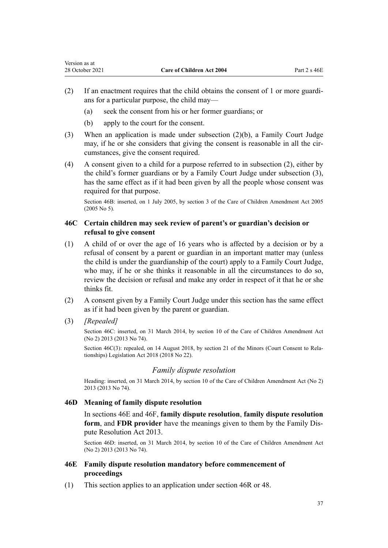- (a) seek the consent from his or her former guardians; or
- (b) apply to the court for the consent.
- (3) When an application is made under subsection (2)(b), a Family Court Judge may, if he or she considers that giving the consent is reasonable in all the circumstances, give the consent required.
- (4) A consent given to a child for a purpose referred to in subsection (2), either by the child's former guardians or by a Family Court Judge under subsection (3), has the same effect as if it had been given by all the people whose consent was required for that purpose.

Section 46B: inserted, on 1 July 2005, by [section 3](http://legislation.govt.nz/pdflink.aspx?id=DLM334765) of the Care of Children Amendment Act 2005 (2005 No 5).

## **46C Certain children may seek review of parent's or guardian's decision or refusal to give consent**

- (1) A child of or over the age of 16 years who is affected by a decision or by a refusal of consent by a parent or guardian in an important matter may (unless the child is under the guardianship of the court) apply to a Family Court Judge, who may, if he or she thinks it reasonable in all the circumstances to do so, review the decision or refusal and make any order in respect of it that he or she thinks fit.
- (2) A consent given by a Family Court Judge under this section has the same effect as if it had been given by the parent or guardian.
- (3) *[Repealed]*

Version as at

Section 46C: inserted, on 31 March 2014, by [section 10](http://legislation.govt.nz/pdflink.aspx?id=DLM4897310) of the Care of Children Amendment Act (No 2) 2013 (2013 No 74).

Section 46C(3): repealed, on 14 August 2018, by [section 21](http://legislation.govt.nz/pdflink.aspx?id=LMS25389) of the Minors (Court Consent to Relationships) Legislation Act 2018 (2018 No 22).

# *Family dispute resolution*

Heading: inserted, on 31 March 2014, by [section 10](http://legislation.govt.nz/pdflink.aspx?id=DLM4897310) of the Care of Children Amendment Act (No 2) 2013 (2013 No 74).

# **46D Meaning of family dispute resolution**

In sections 46E and [46F,](#page-37-0) **family dispute resolution**, **family dispute resolution form**, and **FDR provider** have the meanings given to them by the [Family Dis‐](http://legislation.govt.nz/pdflink.aspx?id=DLM5616800) [pute Resolution Act 2013](http://legislation.govt.nz/pdflink.aspx?id=DLM5616800).

Section 46D: inserted, on 31 March 2014, by [section 10](http://legislation.govt.nz/pdflink.aspx?id=DLM4897310) of the Care of Children Amendment Act (No 2) 2013 (2013 No 74).

# **46E Family dispute resolution mandatory before commencement of proceedings**

(1) This section applies to an application under [section 46R](#page-41-0) or [48](#page-44-0).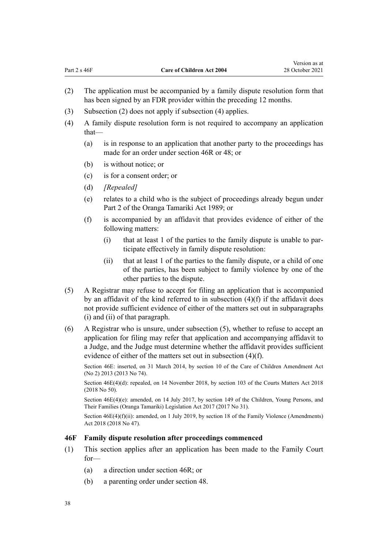Version as at

- <span id="page-37-0"></span>(2) The application must be accompanied by a family dispute resolution form that has been signed by an FDR provider within the preceding 12 months.
- (3) Subsection (2) does not apply if subsection (4) applies.
- (4) A family dispute resolution form is not required to accompany an application that—
	- (a) is in response to an application that another party to the proceedings has made for an order under [section 46R](#page-41-0) or [48;](#page-44-0) or
	- (b) is without notice; or
	- (c) is for a consent order; or
	- (d) *[Repealed]*
	- (e) relates to a child who is the subject of proceedings already begun under [Part 2](http://legislation.govt.nz/pdflink.aspx?id=DLM149452) of the Oranga Tamariki Act 1989; or
	- (f) is accompanied by an affidavit that provides evidence of either of the following matters:
		- (i) that at least 1 of the parties to the family dispute is unable to par‐ ticipate effectively in family dispute resolution:
		- (ii) that at least 1 of the parties to the family dispute, or a child of one of the parties, has been subject to family violence by one of the other parties to the dispute.
- (5) A Registrar may refuse to accept for filing an application that is accompanied by an affidavit of the kind referred to in subsection (4)(f) if the affidavit does not provide sufficient evidence of either of the matters set out in subparagraphs (i) and (ii) of that paragraph.
- (6) A Registrar who is unsure, under subsection (5), whether to refuse to accept an application for filing may refer that application and accompanying affidavit to a Judge, and the Judge must determine whether the affidavit provides sufficient evidence of either of the matters set out in subsection (4)(f).

Section 46E: inserted, on 31 March 2014, by [section 10](http://legislation.govt.nz/pdflink.aspx?id=DLM4897310) of the Care of Children Amendment Act (No 2) 2013 (2013 No 74).

Section 46E(4)(d): repealed, on 14 November 2018, by [section 103](http://legislation.govt.nz/pdflink.aspx?id=DLM7371811) of the Courts Matters Act 2018 (2018 No 50).

Section  $46E(4)(e)$ : amended, on 14 July 2017, by [section 149](http://legislation.govt.nz/pdflink.aspx?id=DLM7287401) of the Children, Young Persons, and Their Families (Oranga Tamariki) Legislation Act 2017 (2017 No 31).

Section 46E(4)(f)(ii): amended, on 1 July 2019, by [section 18](http://legislation.govt.nz/pdflink.aspx?id=LMS113468) of the Family Violence (Amendments) Act 2018 (2018 No 47).

# **46F Family dispute resolution after proceedings commenced**

- (1) This section applies after an application has been made to the Family Court for—
	- (a) a direction under [section 46R;](#page-41-0) or
	- (b) a parenting order under [section 48.](#page-44-0)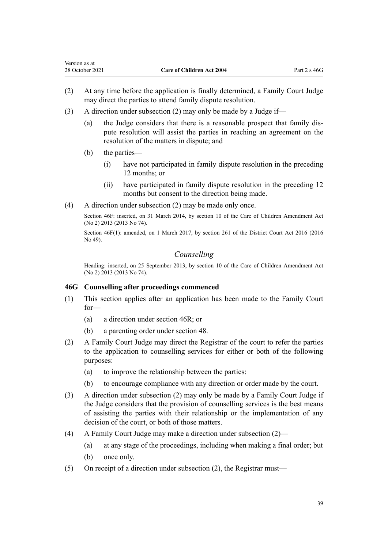- <span id="page-38-0"></span>(3) A direction under subsection (2) may only be made by a Judge if—
	- (a) the Judge considers that there is a reasonable prospect that family dis‐ pute resolution will assist the parties in reaching an agreement on the resolution of the matters in dispute; and
	- (b) the parties—
		- (i) have not participated in family dispute resolution in the preceding 12 months; or
		- (ii) have participated in family dispute resolution in the preceding 12 months but consent to the direction being made.
- (4) A direction under subsection (2) may be made only once.

Section 46F: inserted, on 31 March 2014, by [section 10](http://legislation.govt.nz/pdflink.aspx?id=DLM4897310) of the Care of Children Amendment Act (No 2) 2013 (2013 No 74).

Section 46F(1): amended, on 1 March 2017, by [section 261](http://legislation.govt.nz/pdflink.aspx?id=DLM6942680) of the District Court Act 2016 (2016 No 49).

# *Counselling*

Heading: inserted, on 25 September 2013, by [section 10](http://legislation.govt.nz/pdflink.aspx?id=DLM4897310) of the Care of Children Amendment Act (No 2) 2013 (2013 No 74).

# **46G Counselling after proceedings commenced**

- (1) This section applies after an application has been made to the Family Court for—
	- (a) a direction under [section 46R;](#page-41-0) or
	- (b) a parenting order under [section 48.](#page-44-0)
- (2) A Family Court Judge may direct the Registrar of the court to refer the parties to the application to counselling services for either or both of the following purposes:
	- (a) to improve the relationship between the parties:
	- (b) to encourage compliance with any direction or order made by the court.
- (3) A direction under subsection (2) may only be made by a Family Court Judge if the Judge considers that the provision of counselling services is the best means of assisting the parties with their relationship or the implementation of any decision of the court, or both of those matters.
- (4) A Family Court Judge may make a direction under subsection (2)—
	- (a) at any stage of the proceedings, including when making a final order; but
	- (b) once only.
- (5) On receipt of a direction under subsection (2), the Registrar must—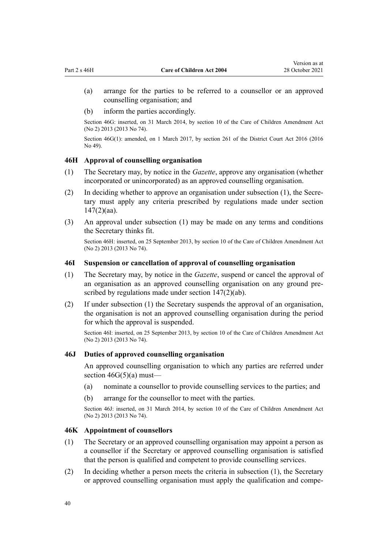- (a) arrange for the parties to be referred to a counsellor or an approved counselling organisation; and
- (b) inform the parties accordingly.

Section 46G: inserted, on 31 March 2014, by [section 10](http://legislation.govt.nz/pdflink.aspx?id=DLM4897310) of the Care of Children Amendment Act (No 2) 2013 (2013 No 74).

Section 46G(1): amended, on 1 March 2017, by [section 261](http://legislation.govt.nz/pdflink.aspx?id=DLM6942680) of the District Court Act 2016 (2016 No 49).

## **46H Approval of counselling organisation**

- (1) The Secretary may, by notice in the *Gazette*, approve any organisation (whether incorporated or unincorporated) as an approved counselling organisation.
- (2) In deciding whether to approve an organisation under subsection  $(1)$ , the Secretary must apply any criteria prescribed by regulations made under [section](#page-102-0)  $147(2)(aa)$ .
- (3) An approval under subsection (1) may be made on any terms and conditions the Secretary thinks fit.

Section 46H: inserted, on 25 September 2013, by [section 10](http://legislation.govt.nz/pdflink.aspx?id=DLM4897310) of the Care of Children Amendment Act (No 2) 2013 (2013 No 74).

#### **46I Suspension or cancellation of approval of counselling organisation**

- (1) The Secretary may, by notice in the *Gazette*, suspend or cancel the approval of an organisation as an approved counselling organisation on any ground pre‐ scribed by regulations made under [section 147\(2\)\(ab\)](#page-102-0).
- (2) If under subsection (1) the Secretary suspends the approval of an organisation, the organisation is not an approved counselling organisation during the period for which the approval is suspended.

Section 46I: inserted, on 25 September 2013, by [section 10](http://legislation.govt.nz/pdflink.aspx?id=DLM4897310) of the Care of Children Amendment Act (No 2) 2013 (2013 No 74).

#### **46J Duties of approved counselling organisation**

An approved counselling organisation to which any parties are referred under section  $46G(5)(a)$  must-

(a) nominate a counsellor to provide counselling services to the parties; and

(b) arrange for the counsellor to meet with the parties.

Section 46J: inserted, on 31 March 2014, by [section 10](http://legislation.govt.nz/pdflink.aspx?id=DLM4897310) of the Care of Children Amendment Act (No 2) 2013 (2013 No 74).

# **46K Appointment of counsellors**

- (1) The Secretary or an approved counselling organisation may appoint a person as a counsellor if the Secretary or approved counselling organisation is satisfied that the person is qualified and competent to provide counselling services.
- (2) In deciding whether a person meets the criteria in subsection (1), the Secretary or approved counselling organisation must apply the qualification and compe‐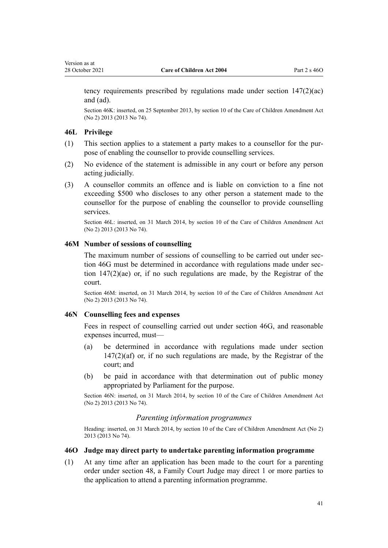tency requirements prescribed by regulations made under section  $147(2)(ac)$ [and \(ad\)](#page-102-0).

Section 46K: inserted, on 25 September 2013, by [section 10](http://legislation.govt.nz/pdflink.aspx?id=DLM4897310) of the Care of Children Amendment Act (No 2) 2013 (2013 No 74).

## **46L Privilege**

- (1) This section applies to a statement a party makes to a counsellor for the pur‐ pose of enabling the counsellor to provide counselling services.
- (2) No evidence of the statement is admissible in any court or before any person acting judicially.
- (3) A counsellor commits an offence and is liable on conviction to a fine not exceeding \$500 who discloses to any other person a statement made to the counsellor for the purpose of enabling the counsellor to provide counselling services.

Section 46L: inserted, on 31 March 2014, by [section 10](http://legislation.govt.nz/pdflink.aspx?id=DLM4897310) of the Care of Children Amendment Act (No 2) 2013 (2013 No 74).

### **46M Number of sessions of counselling**

The maximum number of sessions of counselling to be carried out under sec[tion 46G](#page-38-0) must be determined in accordance with regulations made under section  $147(2)(ae)$  or, if no such regulations are made, by the Registrar of the court.

Section 46M: inserted, on 31 March 2014, by [section 10](http://legislation.govt.nz/pdflink.aspx?id=DLM4897310) of the Care of Children Amendment Act (No 2) 2013 (2013 No 74).

#### **46N Counselling fees and expenses**

Fees in respect of counselling carried out under [section 46G,](#page-38-0) and reasonable expenses incurred, must—

- (a) be determined in accordance with regulations made under [section](#page-102-0)  $147(2)(af)$  or, if no such regulations are made, by the Registrar of the court; and
- (b) be paid in accordance with that determination out of public money appropriated by Parliament for the purpose.

Section 46N: inserted, on 31 March 2014, by [section 10](http://legislation.govt.nz/pdflink.aspx?id=DLM4897310) of the Care of Children Amendment Act (No 2) 2013 (2013 No 74).

### *Parenting information programmes*

Heading: inserted, on 31 March 2014, by [section 10](http://legislation.govt.nz/pdflink.aspx?id=DLM4897310) of the Care of Children Amendment Act (No 2) 2013 (2013 No 74).

## **46O Judge may direct party to undertake parenting information programme**

(1) At any time after an application has been made to the court for a parenting order under [section 48](#page-44-0), a Family Court Judge may direct 1 or more parties to the application to attend a parenting information programme.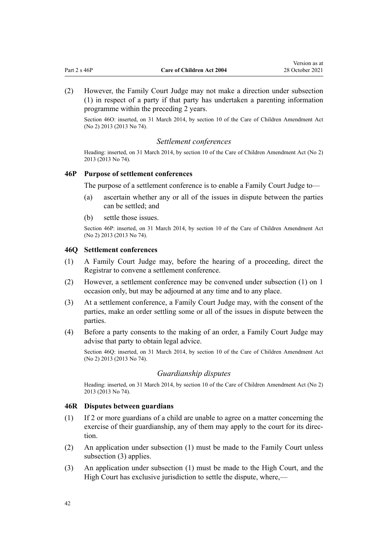<span id="page-41-0"></span>(2) However, the Family Court Judge may not make a direction under subsection (1) in respect of a party if that party has undertaken a parenting information programme within the preceding 2 years.

Section 46O: inserted, on 31 March 2014, by [section 10](http://legislation.govt.nz/pdflink.aspx?id=DLM4897310) of the Care of Children Amendment Act (No 2) 2013 (2013 No 74).

#### *Settlement conferences*

Heading: inserted, on 31 March 2014, by [section 10](http://legislation.govt.nz/pdflink.aspx?id=DLM4897310) of the Care of Children Amendment Act (No 2) 2013 (2013 No 74).

#### **46P Purpose of settlement conferences**

The purpose of a settlement conference is to enable a Family Court Judge to—

- (a) ascertain whether any or all of the issues in dispute between the parties can be settled; and
- (b) settle those issues.

Section 46P: inserted, on 31 March 2014, by [section 10](http://legislation.govt.nz/pdflink.aspx?id=DLM4897310) of the Care of Children Amendment Act (No 2) 2013 (2013 No 74).

#### **46Q Settlement conferences**

- (1) A Family Court Judge may, before the hearing of a proceeding, direct the Registrar to convene a settlement conference.
- (2) However, a settlement conference may be convened under subsection (1) on 1 occasion only, but may be adjourned at any time and to any place.
- (3) At a settlement conference, a Family Court Judge may, with the consent of the parties, make an order settling some or all of the issues in dispute between the parties.
- (4) Before a party consents to the making of an order, a Family Court Judge may advise that party to obtain legal advice.

Section 46Q: inserted, on 31 March 2014, by [section 10](http://legislation.govt.nz/pdflink.aspx?id=DLM4897310) of the Care of Children Amendment Act (No 2) 2013 (2013 No 74).

### *Guardianship disputes*

Heading: inserted, on 31 March 2014, by [section 10](http://legislation.govt.nz/pdflink.aspx?id=DLM4897310) of the Care of Children Amendment Act (No 2) 2013 (2013 No 74).

## **46R Disputes between guardians**

- (1) If 2 or more guardians of a child are unable to agree on a matter concerning the exercise of their guardianship, any of them may apply to the court for its direction.
- (2) An application under subsection (1) must be made to the Family Court unless subsection (3) applies.
- (3) An application under subsection (1) must be made to the High Court, and the High Court has exclusive jurisdiction to settle the dispute, where,—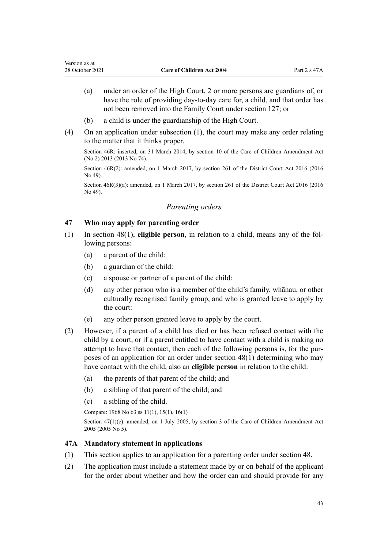- (a) under an order of the High Court, 2 or more persons are guardians of, or have the role of providing day-to-day care for, a child, and that order has not been removed into the Family Court under [section 127](#page-85-0); or
- (b) a child is under the guardianship of the High Court.
- (4) On an application under subsection (1), the court may make any order relating to the matter that it thinks proper.

Section 46R: inserted, on 31 March 2014, by [section 10](http://legislation.govt.nz/pdflink.aspx?id=DLM4897310) of the Care of Children Amendment Act (No 2) 2013 (2013 No 74).

Section 46R(2): amended, on 1 March 2017, by [section 261](http://legislation.govt.nz/pdflink.aspx?id=DLM6942680) of the District Court Act 2016 (2016 No 49).

Section 46R(3)(a): amended, on 1 March 2017, by [section 261](http://legislation.govt.nz/pdflink.aspx?id=DLM6942680) of the District Court Act 2016 (2016 No 49).

## *Parenting orders*

### **47 Who may apply for parenting order**

- (1) In [section 48\(1\)](#page-44-0), **eligible person**, in relation to a child, means any of the fol‐ lowing persons:
	- (a) a parent of the child:
	- (b) a guardian of the child:
	- (c) a spouse or partner of a parent of the child:
	- (d) any other person who is a member of the child's family, whānau, or other culturally recognised family group, and who is granted leave to apply by the court:
	- (e) any other person granted leave to apply by the court.
- (2) However, if a parent of a child has died or has been refused contact with the child by a court, or if a parent entitled to have contact with a child is making no attempt to have that contact, then each of the following persons is, for the pur‐ poses of an application for an order under [section 48\(1\)](#page-44-0) determining who may have contact with the child, also an **eligible person** in relation to the child:
	- (a) the parents of that parent of the child; and
	- (b) a sibling of that parent of the child; and
	- (c) a sibling of the child.

Compare: 1968 No 63 ss 11(1), 15(1), 16(1)

Section  $47(1)(c)$ : amended, on 1 July 2005, by [section 3](http://legislation.govt.nz/pdflink.aspx?id=DLM334765) of the Care of Children Amendment Act 2005 (2005 No 5).

## **47A Mandatory statement in applications**

- (1) This section applies to an application for a parenting order under [section 48.](#page-44-0)
- (2) The application must include a statement made by or on behalf of the applicant for the order about whether and how the order can and should provide for any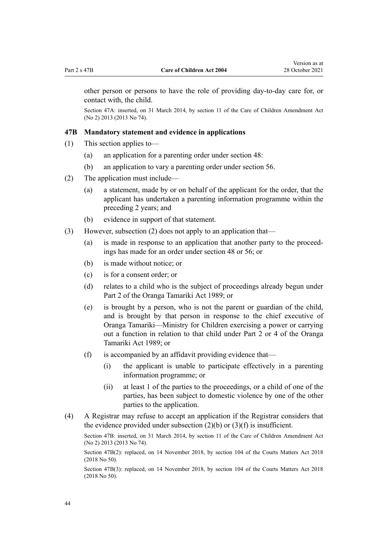other person or persons to have the role of providing day-to-day care for, or contact with, the child.

Section 47A: inserted, on 31 March 2014, by [section 11](http://legislation.govt.nz/pdflink.aspx?id=DLM4897319) of the Care of Children Amendment Act (No 2) 2013 (2013 No 74).

## **47B Mandatory statement and evidence in applications**

- (1) This section applies to—
	- (a) an application for a parenting order under [section 48:](#page-44-0)
	- (b) an application to vary a parenting order under [section 56](#page-48-0).
- (2) The application must include—
	- (a) a statement, made by or on behalf of the applicant for the order, that the applicant has undertaken a parenting information programme within the preceding 2 years; and
	- (b) evidence in support of that statement.
- (3) However, subsection (2) does not apply to an application that—
	- (a) is made in response to an application that another party to the proceed‐ ings has made for an order under [section 48](#page-44-0) or [56](#page-48-0); or
	- (b) is made without notice; or
	- (c) is for a consent order; or
	- (d) relates to a child who is the subject of proceedings already begun under [Part 2](http://legislation.govt.nz/pdflink.aspx?id=DLM149452) of the Oranga Tamariki Act 1989; or
	- (e) is brought by a person, who is not the parent or guardian of the child, and is brought by that person in response to the chief executive of Oranga Tamariki—Ministry for Children exercising a power or carrying out a function in relation to that child under [Part 2](http://legislation.govt.nz/pdflink.aspx?id=DLM149452) or [4](http://legislation.govt.nz/pdflink.aspx?id=DLM152191) of the Oranga Tamariki Act 1989; or
	- (f) is accompanied by an affidavit providing evidence that—
		- (i) the applicant is unable to participate effectively in a parenting information programme; or
		- (ii) at least 1 of the parties to the proceedings, or a child of one of the parties, has been subject to domestic violence by one of the other parties to the application.
- (4) A Registrar may refuse to accept an application if the Registrar considers that the evidence provided under subsection  $(2)(b)$  or  $(3)(f)$  is insufficient.

Section 47B: inserted, on 31 March 2014, by [section 11](http://legislation.govt.nz/pdflink.aspx?id=DLM4897319) of the Care of Children Amendment Act (No 2) 2013 (2013 No 74).

Section 47B(2): replaced, on 14 November 2018, by [section 104](http://legislation.govt.nz/pdflink.aspx?id=DLM7371812) of the Courts Matters Act 2018 (2018 No 50).

Section 47B(3): replaced, on 14 November 2018, by [section 104](http://legislation.govt.nz/pdflink.aspx?id=DLM7371812) of the Courts Matters Act 2018 (2018 No 50).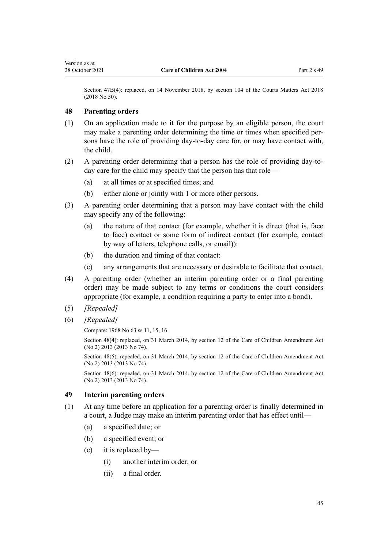<span id="page-44-0"></span>Section 47B(4): replaced, on 14 November 2018, by [section 104](http://legislation.govt.nz/pdflink.aspx?id=DLM7371812) of the Courts Matters Act 2018 (2018 No 50).

# **48 Parenting orders**

- (1) On an application made to it for the purpose by an eligible person, the court may make a parenting order determining the time or times when specified persons have the role of providing day-to-day care for, or may have contact with, the child.
- (2) A parenting order determining that a person has the role of providing day-today care for the child may specify that the person has that role—
	- (a) at all times or at specified times; and
	- (b) either alone or jointly with 1 or more other persons.
- (3) A parenting order determining that a person may have contact with the child may specify any of the following:
	- (a) the nature of that contact (for example, whether it is direct (that is, face to face) contact or some form of indirect contact (for example, contact by way of letters, telephone calls, or email)):
	- (b) the duration and timing of that contact:
	- (c) any arrangements that are necessary or desirable to facilitate that contact.
- (4) A parenting order (whether an interim parenting order or a final parenting order) may be made subject to any terms or conditions the court considers appropriate (for example, a condition requiring a party to enter into a bond).
- (5) *[Repealed]*
- (6) *[Repealed]*

Compare: 1968 No 63 ss 11, 15, 16

Section 48(4): replaced, on 31 March 2014, by [section 12](http://legislation.govt.nz/pdflink.aspx?id=DLM5574205) of the Care of Children Amendment Act (No 2) 2013 (2013 No 74).

Section 48(5): repealed, on 31 March 2014, by [section 12](http://legislation.govt.nz/pdflink.aspx?id=DLM5574205) of the Care of Children Amendment Act (No 2) 2013 (2013 No 74).

Section 48(6): repealed, on 31 March 2014, by [section 12](http://legislation.govt.nz/pdflink.aspx?id=DLM5574205) of the Care of Children Amendment Act (No 2) 2013 (2013 No 74).

## **49 Interim parenting orders**

- (1) At any time before an application for a parenting order is finally determined in a court, a Judge may make an interim parenting order that has effect until—
	- (a) a specified date; or
	- (b) a specified event; or
	- (c) it is replaced by—
		- (i) another interim order; or
		- (ii) a final order.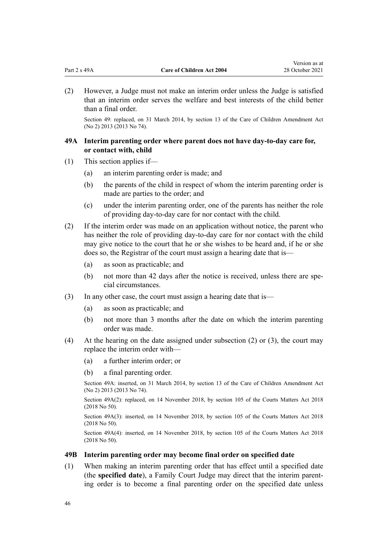(2) However, a Judge must not make an interim order unless the Judge is satisfied that an interim order serves the welfare and best interests of the child better than a final order.

Section 49: replaced, on 31 March 2014, by [section 13](http://legislation.govt.nz/pdflink.aspx?id=DLM4897323) of the Care of Children Amendment Act (No 2) 2013 (2013 No 74).

# **49A Interim parenting order where parent does not have day-to-day care for, or contact with, child**

- (1) This section applies if—
	- (a) an interim parenting order is made; and
	- (b) the parents of the child in respect of whom the interim parenting order is made are parties to the order; and
	- (c) under the interim parenting order, one of the parents has neither the role of providing day-to-day care for nor contact with the child.
- (2) If the interim order was made on an application without notice, the parent who has neither the role of providing day-to-day care for nor contact with the child may give notice to the court that he or she wishes to be heard and, if he or she does so, the Registrar of the court must assign a hearing date that is—
	- (a) as soon as practicable; and
	- (b) not more than 42 days after the notice is received, unless there are special circumstances.
- (3) In any other case, the court must assign a hearing date that is—
	- (a) as soon as practicable; and
	- (b) not more than 3 months after the date on which the interim parenting order was made.
- (4) At the hearing on the date assigned under subsection (2) or (3), the court may replace the interim order with—
	- (a) a further interim order; or
	- (b) a final parenting order.

Section 49A: inserted, on 31 March 2014, by [section 13](http://legislation.govt.nz/pdflink.aspx?id=DLM4897323) of the Care of Children Amendment Act (No 2) 2013 (2013 No 74).

Section 49A(2): replaced, on 14 November 2018, by [section 105](http://legislation.govt.nz/pdflink.aspx?id=DLM7371813) of the Courts Matters Act 2018 (2018 No 50).

Section 49A(3): inserted, on 14 November 2018, by [section 105](http://legislation.govt.nz/pdflink.aspx?id=DLM7371813) of the Courts Matters Act 2018 (2018 No 50).

Section 49A(4): inserted, on 14 November 2018, by [section 105](http://legislation.govt.nz/pdflink.aspx?id=DLM7371813) of the Courts Matters Act 2018 (2018 No 50).

#### **49B Interim parenting order may become final order on specified date**

(1) When making an interim parenting order that has effect until a specified date (the **specified date**), a Family Court Judge may direct that the interim parent‐ ing order is to become a final parenting order on the specified date unless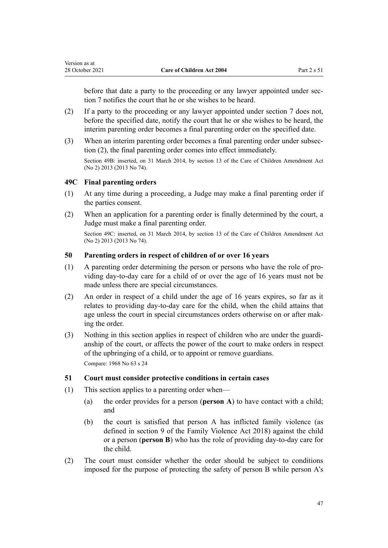<span id="page-46-0"></span>before that date a party to the proceeding or any lawyer appointed under sec[tion 7](#page-11-0) notifies the court that he or she wishes to be heard.

- (2) If a party to the proceeding or any lawyer appointed under [section 7](#page-11-0) does not, before the specified date, notify the court that he or she wishes to be heard, the interim parenting order becomes a final parenting order on the specified date.
- (3) When an interim parenting order becomes a final parenting order under subsec‐ tion (2), the final parenting order comes into effect immediately.

Section 49B: inserted, on 31 March 2014, by [section 13](http://legislation.govt.nz/pdflink.aspx?id=DLM4897323) of the Care of Children Amendment Act (No 2) 2013 (2013 No 74).

## **49C Final parenting orders**

- (1) At any time during a proceeding, a Judge may make a final parenting order if the parties consent.
- (2) When an application for a parenting order is finally determined by the court, a Judge must make a final parenting order.

Section 49C: inserted, on 31 March 2014, by [section 13](http://legislation.govt.nz/pdflink.aspx?id=DLM4897323) of the Care of Children Amendment Act (No 2) 2013 (2013 No 74).

## **50 Parenting orders in respect of children of or over 16 years**

- (1) A parenting order determining the person or persons who have the role of pro‐ viding day-to-day care for a child of or over the age of 16 years must not be made unless there are special circumstances.
- (2) An order in respect of a child under the age of 16 years expires, so far as it relates to providing day-to-day care for the child, when the child attains that age unless the court in special circumstances orders otherwise on or after making the order.
- (3) Nothing in this section applies in respect of children who are under the guardianship of the court, or affects the power of the court to make orders in respect of the upbringing of a child, or to appoint or remove guardians. Compare: 1968 No 63 s 24

## **51 Court must consider protective conditions in certain cases**

- (1) This section applies to a parenting order when—
	- (a) the order provides for a person (**person A**) to have contact with a child; and
	- (b) the court is satisfied that person A has inflicted family violence (as defined in [section 9](http://legislation.govt.nz/pdflink.aspx?id=LMS112966) of the Family Violence Act 2018) against the child or a person (**person B**) who has the role of providing day-to-day care for the child.
- (2) The court must consider whether the order should be subject to conditions imposed for the purpose of protecting the safety of person B while person A's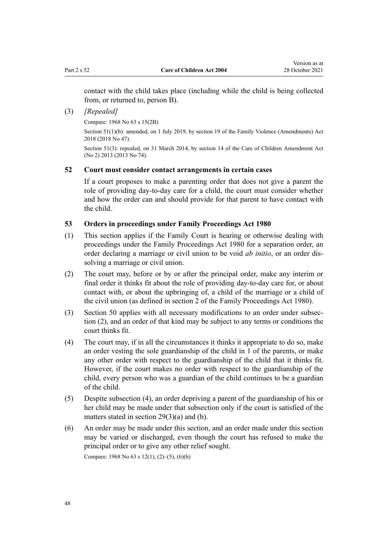contact with the child takes place (including while the child is being collected from, or returned to, person B).

#### (3) *[Repealed]*

Compare: 1968 No 63 s 15(2B)

Section 51(1)(b): amended, on 1 July 2019, by [section 19](http://legislation.govt.nz/pdflink.aspx?id=LMS113469) of the Family Violence (Amendments) Act 2018 (2018 No 47).

Section 51(3): repealed, on 31 March 2014, by [section 14](http://legislation.govt.nz/pdflink.aspx?id=DLM4897326) of the Care of Children Amendment Act (No 2) 2013 (2013 No 74).

## **52 Court must consider contact arrangements in certain cases**

If a court proposes to make a parenting order that does not give a parent the role of providing day-to-day care for a child, the court must consider whether and how the order can and should provide for that parent to have contact with the child.

### **53 Orders in proceedings under Family Proceedings Act 1980**

- (1) This section applies if the Family Court is hearing or otherwise dealing with proceedings under the [Family Proceedings Act 1980](http://legislation.govt.nz/pdflink.aspx?id=DLM39722) for a separation order, an order declaring a marriage or civil union to be void *ab initio*, or an order dis‐ solving a marriage or civil union.
- (2) The court may, before or by or after the principal order, make any interim or final order it thinks fit about the role of providing day-to-day care for, or about contact with, or about the upbringing of, a child of the marriage or a child of the civil union (as defined in [section 2](http://legislation.govt.nz/pdflink.aspx?id=DLM39728) of the Family Proceedings Act 1980).
- (3) [Section 50](#page-46-0) applies with all necessary modifications to an order under subsec‐ tion (2), and an order of that kind may be subject to any terms or conditions the court thinks fit.
- (4) The court may, if in all the circumstances it thinks it appropriate to do so, make an order vesting the sole guardianship of the child in 1 of the parents, or make any other order with respect to the guardianship of the child that it thinks fit. However, if the court makes no order with respect to the guardianship of the child, every person who was a guardian of the child continues to be a guardian of the child.
- (5) Despite subsection (4), an order depriving a parent of the guardianship of his or her child may be made under that subsection only if the court is satisfied of the matters stated in [section 29\(3\)\(a\) and \(b\)](#page-24-0).
- (6) An order may be made under this section, and an order made under this section may be varied or discharged, even though the court has refused to make the principal order or to give any other relief sought. Compare: 1968 No 63 s 12(1), (2)–(5), (6)(b)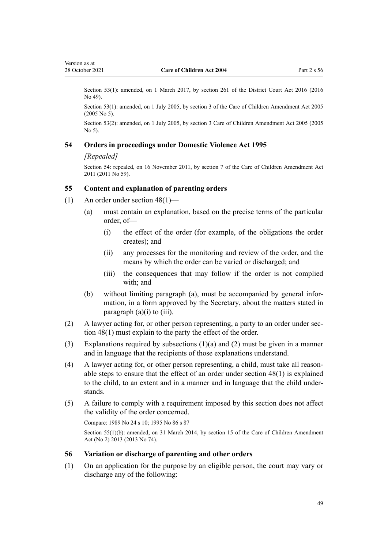<span id="page-48-0"></span>Section 53(1): amended, on 1 March 2017, by [section 261](http://legislation.govt.nz/pdflink.aspx?id=DLM6942680) of the District Court Act 2016 (2016) No 49).

Section 53(1): amended, on 1 July 2005, by [section 3](http://legislation.govt.nz/pdflink.aspx?id=DLM334765) of the Care of Children Amendment Act 2005  $(2005 \text{ No } 5).$ 

Section 53(2): amended, on 1 July 2005, by [section 3](http://legislation.govt.nz/pdflink.aspx?id=DLM334765) Care of Children Amendment Act 2005 (2005 No 5).

#### **54 Orders in proceedings under Domestic Violence Act 1995**

#### *[Repealed]*

Section 54: repealed, on 16 November 2011, by [section 7](http://legislation.govt.nz/pdflink.aspx?id=DLM3315010) of the Care of Children Amendment Act 2011 (2011 No 59).

## **55 Content and explanation of parenting orders**

- (1) An order under [section 48\(1\)—](#page-44-0)
	- (a) must contain an explanation, based on the precise terms of the particular order, of—
		- (i) the effect of the order (for example, of the obligations the order creates); and
		- (ii) any processes for the monitoring and review of the order, and the means by which the order can be varied or discharged; and
		- (iii) the consequences that may follow if the order is not complied with; and
	- (b) without limiting paragraph (a), must be accompanied by general infor‐ mation, in a form approved by the Secretary, about the matters stated in paragraph  $(a)(i)$  to  $(iii)$ .
- (2) A lawyer acting for, or other person representing, a party to an order under [sec‐](#page-44-0) [tion 48\(1\)](#page-44-0) must explain to the party the effect of the order.
- (3) Explanations required by subsections (1)(a) and (2) must be given in a manner and in language that the recipients of those explanations understand.
- (4) A lawyer acting for, or other person representing, a child, must take all reason‐ able steps to ensure that the effect of an order under [section 48\(1\)](#page-44-0) is explained to the child, to an extent and in a manner and in language that the child under‐ stands.
- (5) A failure to comply with a requirement imposed by this section does not affect the validity of the order concerned.

Compare: 1989 No 24 [s 10](http://legislation.govt.nz/pdflink.aspx?id=DLM149449); 1995 No 86 [s 87](http://legislation.govt.nz/pdflink.aspx?id=DLM372462)

Section 55(1)(b): amended, on 31 March 2014, by [section 15](http://legislation.govt.nz/pdflink.aspx?id=DLM5574208) of the Care of Children Amendment Act (No 2) 2013 (2013 No 74).

## **56 Variation or discharge of parenting and other orders**

(1) On an application for the purpose by an eligible person, the court may vary or discharge any of the following: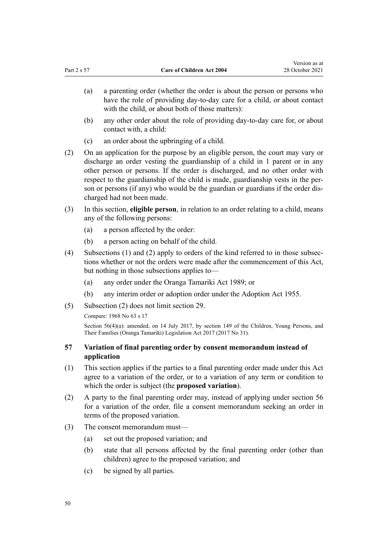- (a) a parenting order (whether the order is about the person or persons who have the role of providing day-to-day care for a child, or about contact with the child, or about both of those matters):
- (b) any other order about the role of providing day-to-day care for, or about contact with, a child:
- (c) an order about the upbringing of a child.
- (2) On an application for the purpose by an eligible person, the court may vary or discharge an order vesting the guardianship of a child in 1 parent or in any other person or persons. If the order is discharged, and no other order with respect to the guardianship of the child is made, guardianship vests in the person or persons (if any) who would be the guardian or guardians if the order discharged had not been made.
- (3) In this section, **eligible person**, in relation to an order relating to a child, means any of the following persons:
	- (a) a person affected by the order:
	- (b) a person acting on behalf of the child.
- (4) Subsections (1) and (2) apply to orders of the kind referred to in those subsec‐ tions whether or not the orders were made after the commencement of this Act, but nothing in those subsections applies to—
	- (a) any order under the [Oranga Tamariki Act 1989](http://legislation.govt.nz/pdflink.aspx?id=DLM147087); or
	- (b) any interim order or adoption order under the [Adoption Act 1955](http://legislation.govt.nz/pdflink.aspx?id=DLM292660).
- (5) Subsection (2) does not limit [section 29.](#page-24-0)

Compare: 1968 No 63 s 17

Section 56(4)(a): amended, on 14 July 2017, by [section 149](http://legislation.govt.nz/pdflink.aspx?id=DLM7287401) of the Children, Young Persons, and Their Families (Oranga Tamariki) Legislation Act 2017 (2017 No 31).

# **57 Variation of final parenting order by consent memorandum instead of application**

- (1) This section applies if the parties to a final parenting order made under this Act agree to a variation of the order, or to a variation of any term or condition to which the order is subject (the **proposed variation**).
- (2) A party to the final parenting order may, instead of applying under [section 56](#page-48-0) for a variation of the order, file a consent memorandum seeking an order in terms of the proposed variation.
- (3) The consent memorandum must—
	- (a) set out the proposed variation; and
	- (b) state that all persons affected by the final parenting order (other than children) agree to the proposed variation; and
	- (c) be signed by all parties.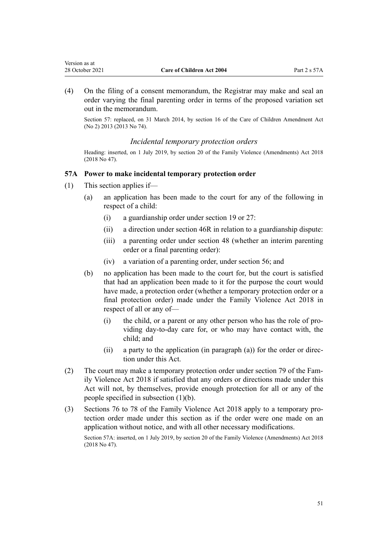(4) On the filing of a consent memorandum, the Registrar may make and seal an order varying the final parenting order in terms of the proposed variation set out in the memorandum.

Section 57: replaced, on 31 March 2014, by [section 16](http://legislation.govt.nz/pdflink.aspx?id=DLM4897327) of the Care of Children Amendment Act (No 2) 2013 (2013 No 74).

# *Incidental temporary protection orders*

Heading: inserted, on 1 July 2019, by [section 20](http://legislation.govt.nz/pdflink.aspx?id=LMS113472) of the Family Violence (Amendments) Act 2018 (2018 No 47).

# **57A Power to make incidental temporary protection order**

(1) This section applies if—

Version as at

- (a) an application has been made to the court for any of the following in respect of a child:
	- (i) a guardianship order under [section 19](#page-18-0) or [27](#page-23-0):
	- (ii) a direction under [section 46R](#page-41-0) in relation to a guardianship dispute:
	- (iii) a parenting order under [section 48](#page-44-0) (whether an interim parenting order or a final parenting order):
	- (iv) a variation of a parenting order, under [section 56](#page-48-0); and
- (b) no application has been made to the court for, but the court is satisfied that had an application been made to it for the purpose the court would have made, a protection order (whether a temporary protection order or a final protection order) made under the [Family Violence Act 2018](http://legislation.govt.nz/pdflink.aspx?id=DLM7159300) in respect of all or any of—
	- (i) the child, or a parent or any other person who has the role of pro‐ viding day-to-day care for, or who may have contact with, the child; and
	- (ii) a party to the application (in paragraph (a)) for the order or direction under this Act.
- (2) The court may make a temporary protection order under [section 79](http://legislation.govt.nz/pdflink.aspx?id=LMS113135) of the Fam‐ ily Violence Act 2018 if satisfied that any orders or directions made under this Act will not, by themselves, provide enough protection for all or any of the people specified in subsection (1)(b).
- (3) [Sections 76 to 78](http://legislation.govt.nz/pdflink.aspx?id=LMS113131) of the Family Violence Act 2018 apply to a temporary pro‐ tection order made under this section as if the order were one made on an application without notice, and with all other necessary modifications.

Section 57A: inserted, on 1 July 2019, by [section 20](http://legislation.govt.nz/pdflink.aspx?id=LMS113472) of the Family Violence (Amendments) Act 2018 (2018 No 47).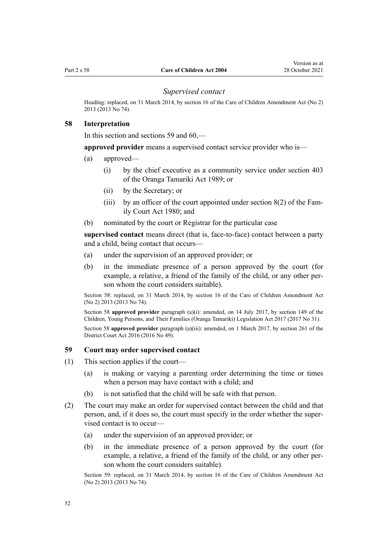#### *Supervised contact*

<span id="page-51-0"></span>Heading: replaced, on 31 March 2014, by [section 16](http://legislation.govt.nz/pdflink.aspx?id=DLM4897327) of the Care of Children Amendment Act (No 2) 2013 (2013 No 74).

### **58 Interpretation**

In this section and sections 59 and [60](#page-52-0),—

**approved provider** means a supervised contact service provider who is—

- (a) approved—
	- (i) by the chief executive as a community service under [section 403](http://legislation.govt.nz/pdflink.aspx?id=DLM154574) of the Oranga Tamariki Act 1989; or
	- (ii) by the Secretary; or
	- (iii) by an officer of the court appointed under section  $8(2)$  of the Family Court Act 1980; and
- (b) nominated by the court or Registrar for the particular case

**supervised contact** means direct (that is, face-to-face) contact between a party and a child, being contact that occurs—

- (a) under the supervision of an approved provider; or
- (b) in the immediate presence of a person approved by the court (for example, a relative, a friend of the family of the child, or any other person whom the court considers suitable).

Section 58: replaced, on 31 March 2014, by [section 16](http://legislation.govt.nz/pdflink.aspx?id=DLM4897327) of the Care of Children Amendment Act (No 2) 2013 (2013 No 74).

Section 58 **approved provider** paragraph (a)(i): amended, on 14 July 2017, by [section 149](http://legislation.govt.nz/pdflink.aspx?id=DLM7287401) of the Children, Young Persons, and Their Families (Oranga Tamariki) Legislation Act 2017 (2017 No 31). Section 58 **approved provider** paragraph (a)(iii): amended, on 1 March 2017, by [section 261](http://legislation.govt.nz/pdflink.aspx?id=DLM6942680) of the District Court Act 2016 (2016 No 49).

### **59 Court may order supervised contact**

- (1) This section applies if the court—
	- (a) is making or varying a parenting order determining the time or times when a person may have contact with a child; and
	- (b) is not satisfied that the child will be safe with that person.
- (2) The court may make an order for supervised contact between the child and that person, and, if it does so, the court must specify in the order whether the super‐ vised contact is to occur—
	- (a) under the supervision of an approved provider; or
	- (b) in the immediate presence of a person approved by the court (for example, a relative, a friend of the family of the child, or any other per‐ son whom the court considers suitable).

Section 59: replaced, on 31 March 2014, by [section 16](http://legislation.govt.nz/pdflink.aspx?id=DLM4897327) of the Care of Children Amendment Act (No 2) 2013 (2013 No 74).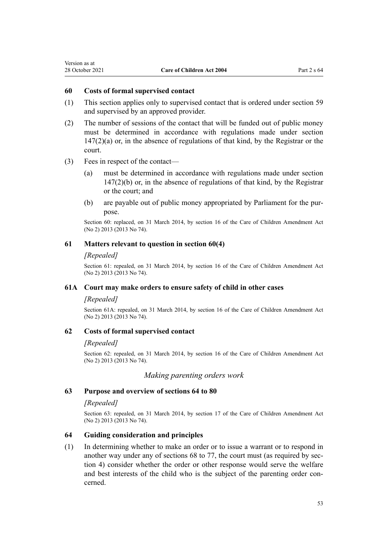### <span id="page-52-0"></span>**60 Costs of formal supervised contact**

- (1) This section applies only to supervised contact that is ordered under [section 59](#page-51-0) and supervised by an approved provider.
- (2) The number of sessions of the contact that will be funded out of public money must be determined in accordance with regulations made under [section](#page-102-0)  $147(2)(a)$  or, in the absence of regulations of that kind, by the Registrar or the court.
- (3) Fees in respect of the contact—
	- (a) must be determined in accordance with regulations made under [section](#page-102-0) [147\(2\)\(b\)](#page-102-0) or, in the absence of regulations of that kind, by the Registrar or the court; and
	- (b) are payable out of public money appropriated by Parliament for the purpose.

Section 60: replaced, on 31 March 2014, by [section 16](http://legislation.govt.nz/pdflink.aspx?id=DLM4897327) of the Care of Children Amendment Act (No 2) 2013 (2013 No 74).

#### **61 Matters relevant to question in section 60(4)**

#### *[Repealed]*

Section 61: repealed, on 31 March 2014, by [section 16](http://legislation.govt.nz/pdflink.aspx?id=DLM4897327) of the Care of Children Amendment Act (No 2) 2013 (2013 No 74).

#### **61A Court may make orders to ensure safety of child in other cases**

#### *[Repealed]*

Section 61A: repealed, on 31 March 2014, by [section 16](http://legislation.govt.nz/pdflink.aspx?id=DLM4897327) of the Care of Children Amendment Act (No 2) 2013 (2013 No 74).

## **62 Costs of formal supervised contact**

#### *[Repealed]*

Section 62: repealed, on 31 March 2014, by [section 16](http://legislation.govt.nz/pdflink.aspx?id=DLM4897327) of the Care of Children Amendment Act (No 2) 2013 (2013 No 74).

## *Making parenting orders work*

## **63 Purpose and overview of sections 64 to 80**

#### *[Repealed]*

Section 63: repealed, on 31 March 2014, by [section 17](http://legislation.govt.nz/pdflink.aspx?id=DLM4897337) of the Care of Children Amendment Act (No 2) 2013 (2013 No 74).

#### **64 Guiding consideration and principles**

(1) In determining whether to make an order or to issue a warrant or to respond in another way under any of [sections 68 to 77](#page-53-0), the court must (as required by sec[tion 4](#page-8-0)) consider whether the order or other response would serve the welfare and best interests of the child who is the subject of the parenting order concerned.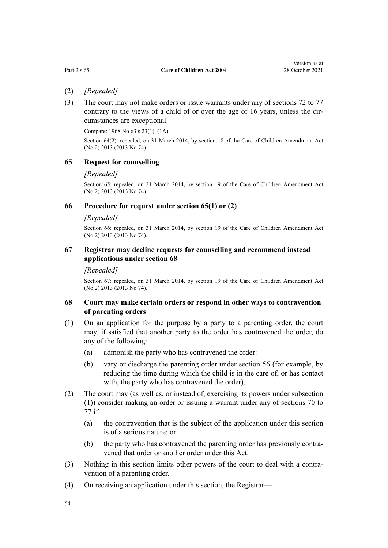## <span id="page-53-0"></span>(2) *[Repealed]*

(3) The court may not make orders or issue warrants under any of [sections 72 to 77](#page-56-0) contrary to the views of a child of or over the age of 16 years, unless the circumstances are exceptional.

Compare: 1968 No 63 s 23(1), (1A)

Section 64(2): repealed, on 31 March 2014, by [section 18](http://legislation.govt.nz/pdflink.aspx?id=DLM4897338) of the Care of Children Amendment Act (No 2) 2013 (2013 No 74).

### **65 Request for counselling**

### *[Repealed]*

Section 65: repealed, on 31 March 2014, by [section 19](http://legislation.govt.nz/pdflink.aspx?id=DLM4897339) of the Care of Children Amendment Act (No 2) 2013 (2013 No 74).

### **66 Procedure for request under section 65(1) or (2)**

#### *[Repealed]*

Section 66: repealed, on 31 March 2014, by [section 19](http://legislation.govt.nz/pdflink.aspx?id=DLM4897339) of the Care of Children Amendment Act (No 2) 2013 (2013 No 74).

## **67 Registrar may decline requests for counselling and recommend instead applications under section 68**

#### *[Repealed]*

Section 67: repealed, on 31 March 2014, by [section 19](http://legislation.govt.nz/pdflink.aspx?id=DLM4897339) of the Care of Children Amendment Act (No 2) 2013 (2013 No 74).

# **68 Court may make certain orders or respond in other ways to contravention of parenting orders**

- (1) On an application for the purpose by a party to a parenting order, the court may, if satisfied that another party to the order has contravened the order, do any of the following:
	- (a) admonish the party who has contravened the order:
	- (b) vary or discharge the parenting order under [section 56](#page-48-0) (for example, by reducing the time during which the child is in the care of, or has contact with, the party who has contravened the order).
- (2) The court may (as well as, or instead of, exercising its powers under subsection (1)) consider making an order or issuing a warrant under any of [sections 70 to](#page-54-0) [77](#page-54-0) if—
	- (a) the contravention that is the subject of the application under this section is of a serious nature; or
	- (b) the party who has contravened the parenting order has previously contravened that order or another order under this Act.
- (3) Nothing in this section limits other powers of the court to deal with a contravention of a parenting order.
- (4) On receiving an application under this section, the Registrar—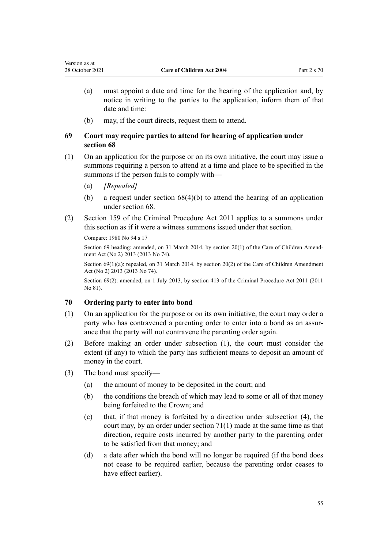- <span id="page-54-0"></span>(a) must appoint a date and time for the hearing of the application and, by notice in writing to the parties to the application, inform them of that date and time:
- (b) may, if the court directs, request them to attend.

# **69 Court may require parties to attend for hearing of application under section 68**

- (1) On an application for the purpose or on its own initiative, the court may issue a summons requiring a person to attend at a time and place to be specified in the summons if the person fails to comply with—
	- (a) *[Repealed]*
	- (b) a request under [section 68\(4\)\(b\)](#page-53-0) to attend the hearing of an application under section 68.
- (2) [Section 159](http://legislation.govt.nz/pdflink.aspx?id=DLM3360276) of the Criminal Procedure Act 2011 applies to a summons under this section as if it were a witness summons issued under that section.

```
Compare: 1980 No 94 s 17
```
Section 69 heading: amended, on 31 March 2014, by [section 20\(1\)](http://legislation.govt.nz/pdflink.aspx?id=DLM4897340) of the Care of Children Amendment Act (No 2) 2013 (2013 No 74).

Section 69(1)(a): repealed, on 31 March 2014, by [section 20\(2\)](http://legislation.govt.nz/pdflink.aspx?id=DLM4897340) of the Care of Children Amendment Act (No 2) 2013 (2013 No 74).

Section 69(2): amended, on 1 July 2013, by [section 413](http://legislation.govt.nz/pdflink.aspx?id=DLM3360714) of the Criminal Procedure Act 2011 (2011 No 81).

# **70 Ordering party to enter into bond**

- (1) On an application for the purpose or on its own initiative, the court may order a party who has contravened a parenting order to enter into a bond as an assurance that the party will not contravene the parenting order again.
- (2) Before making an order under subsection (1), the court must consider the extent (if any) to which the party has sufficient means to deposit an amount of money in the court.
- (3) The bond must specify—
	- (a) the amount of money to be deposited in the court; and
	- (b) the conditions the breach of which may lead to some or all of that money being forfeited to the Crown; and
	- (c) that, if that money is forfeited by a direction under subsection (4), the court may, by an order under [section 71\(1\)](#page-55-0) made at the same time as that direction, require costs incurred by another party to the parenting order to be satisfied from that money; and
	- (d) a date after which the bond will no longer be required (if the bond does not cease to be required earlier, because the parenting order ceases to have effect earlier).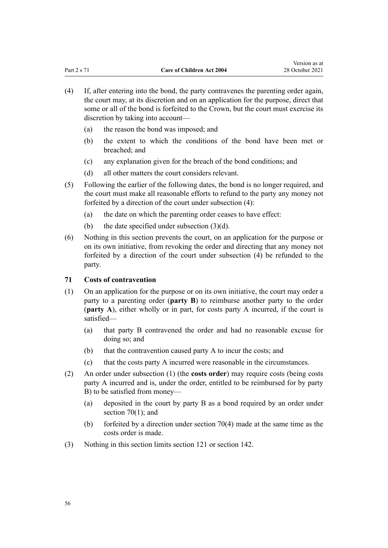- <span id="page-55-0"></span>(4) If, after entering into the bond, the party contravenes the parenting order again, the court may, at its discretion and on an application for the purpose, direct that some or all of the bond is forfeited to the Crown, but the court must exercise its discretion by taking into account—
	- (a) the reason the bond was imposed; and
	- (b) the extent to which the conditions of the bond have been met or breached; and
	- (c) any explanation given for the breach of the bond conditions; and
	- (d) all other matters the court considers relevant.
- (5) Following the earlier of the following dates, the bond is no longer required, and the court must make all reasonable efforts to refund to the party any money not forfeited by a direction of the court under subsection (4):
	- (a) the date on which the parenting order ceases to have effect:
	- (b) the date specified under subsection  $(3)(d)$ .
- (6) Nothing in this section prevents the court, on an application for the purpose or on its own initiative, from revoking the order and directing that any money not forfeited by a direction of the court under subsection (4) be refunded to the party.

## **71 Costs of contravention**

- (1) On an application for the purpose or on its own initiative, the court may order a party to a parenting order (**party B**) to reimburse another party to the order (**party A**), either wholly or in part, for costs party A incurred, if the court is satisfied—
	- (a) that party B contravened the order and had no reasonable excuse for doing so; and
	- (b) that the contravention caused party A to incur the costs; and
	- (c) that the costs party A incurred were reasonable in the circumstances.
- (2) An order under subsection (1) (the **costs order**) may require costs (being costs party A incurred and is, under the order, entitled to be reimbursed for by party B) to be satisfied from money—
	- (a) deposited in the court by party B as a bond required by an order under section  $70(1)$ ; and
	- (b) forfeited by a direction under [section 70\(4\)](#page-54-0) made at the same time as the costs order is made.
- (3) Nothing in this section limits [section 121](#page-81-0) or [section 142](#page-99-0).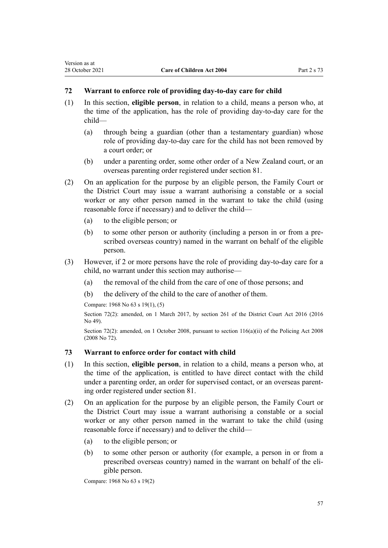- (1) In this section, **eligible person**, in relation to a child, means a person who, at the time of the application, has the role of providing day-to-day care for the child—
	- (a) through being a guardian (other than a testamentary guardian) whose role of providing day-to-day care for the child has not been removed by a court order; or
	- (b) under a parenting order, some other order of a New Zealand court, or an overseas parenting order registered under [section 81](#page-62-0).
- (2) On an application for the purpose by an eligible person, the Family Court or the District Court may issue a warrant authorising a constable or a social worker or any other person named in the warrant to take the child (using reasonable force if necessary) and to deliver the child—
	- (a) to the eligible person; or

<span id="page-56-0"></span>Version as at

- (b) to some other person or authority (including a person in or from a prescribed overseas country) named in the warrant on behalf of the eligible person.
- (3) However, if 2 or more persons have the role of providing day-to-day care for a child, no warrant under this section may authorise—
	- (a) the removal of the child from the care of one of those persons; and
	- (b) the delivery of the child to the care of another of them.

Compare: 1968 No 63 s 19(1), (5)

Section 72(2): amended, on 1 March 2017, by [section 261](http://legislation.govt.nz/pdflink.aspx?id=DLM6942680) of the District Court Act 2016 (2016) No 49).

Section 72(2): amended, on 1 October 2008, pursuant to [section 116\(a\)\(ii\)](http://legislation.govt.nz/pdflink.aspx?id=DLM1102349) of the Policing Act 2008 (2008 No 72).

### **73 Warrant to enforce order for contact with child**

- (1) In this section, **eligible person**, in relation to a child, means a person who, at the time of the application, is entitled to have direct contact with the child under a parenting order, an order for supervised contact, or an overseas parenting order registered under [section 81](#page-62-0).
- (2) On an application for the purpose by an eligible person, the Family Court or the District Court may issue a warrant authorising a constable or a social worker or any other person named in the warrant to take the child (using reasonable force if necessary) and to deliver the child—
	- (a) to the eligible person; or
	- (b) to some other person or authority (for example, a person in or from a prescribed overseas country) named in the warrant on behalf of the eli‐ gible person.

Compare: 1968 No 63 s 19(2)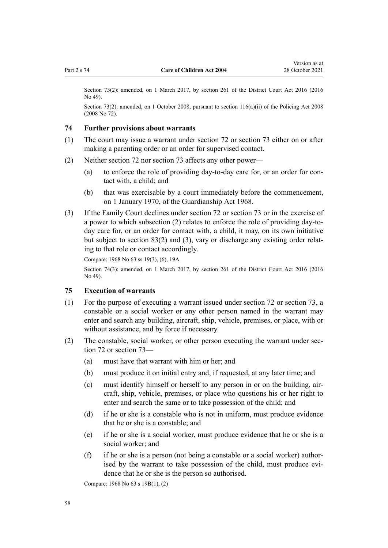<span id="page-57-0"></span>Section 73(2): amended, on 1 March 2017, by [section 261](http://legislation.govt.nz/pdflink.aspx?id=DLM6942680) of the District Court Act 2016 (2016) No 49).

Section 73(2): amended, on 1 October 2008, pursuant to [section 116\(a\)\(ii\)](http://legislation.govt.nz/pdflink.aspx?id=DLM1102349) of the Policing Act 2008 (2008 No 72).

### **74 Further provisions about warrants**

- (1) The court may issue a warrant under [section 72](#page-56-0) or [section 73](#page-56-0) either on or after making a parenting order or an order for supervised contact.
- (2) Neither [section 72](#page-56-0) nor [section 73](#page-56-0) affects any other power—
	- (a) to enforce the role of providing day-to-day care for, or an order for contact with, a child; and
	- (b) that was exercisable by a court immediately before the commencement, on 1 January 1970, of the Guardianship Act 1968.
- (3) If the Family Court declines under [section 72](#page-56-0) or [section 73](#page-56-0) or in the exercise of a power to which subsection (2) relates to enforce the role of providing day-today care for, or an order for contact with, a child, it may, on its own initiative but subject to section  $83(2)$  and  $(3)$ , vary or discharge any existing order relating to that role or contact accordingly.

Compare: 1968 No 63 ss 19(3), (6), 19A

Section 74(3): amended, on 1 March 2017, by [section 261](http://legislation.govt.nz/pdflink.aspx?id=DLM6942680) of the District Court Act 2016 (2016 No 49).

## **75 Execution of warrants**

- (1) For the purpose of executing a warrant issued under [section 72](#page-56-0) or [section 73,](#page-56-0) a constable or a social worker or any other person named in the warrant may enter and search any building, aircraft, ship, vehicle, premises, or place, with or without assistance, and by force if necessary.
- (2) The constable, social worker, or other person executing the warrant under sec[tion 72](#page-56-0) or [section 73—](#page-56-0)
	- (a) must have that warrant with him or her; and
	- (b) must produce it on initial entry and, if requested, at any later time; and
	- (c) must identify himself or herself to any person in or on the building, air‐ craft, ship, vehicle, premises, or place who questions his or her right to enter and search the same or to take possession of the child; and
	- (d) if he or she is a constable who is not in uniform, must produce evidence that he or she is a constable; and
	- (e) if he or she is a social worker, must produce evidence that he or she is a social worker; and
	- (f) if he or she is a person (not being a constable or a social worker) authorised by the warrant to take possession of the child, must produce evidence that he or she is the person so authorised.

Compare: 1968 No 63 s 19B(1), (2)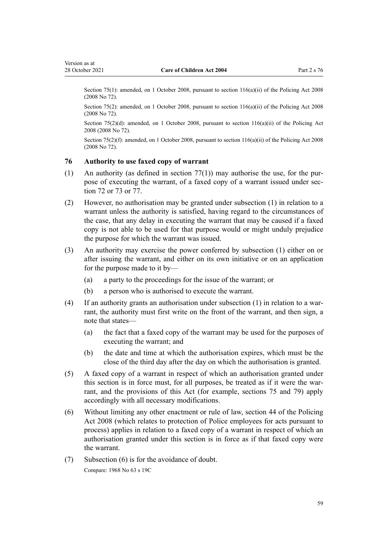<span id="page-58-0"></span>Section 75(1): amended, on 1 October 2008, pursuant to [section 116\(a\)\(ii\)](http://legislation.govt.nz/pdflink.aspx?id=DLM1102349) of the Policing Act 2008 (2008 No 72).

Section 75(2): amended, on 1 October 2008, pursuant to [section 116\(a\)\(ii\)](http://legislation.govt.nz/pdflink.aspx?id=DLM1102349) of the Policing Act 2008 (2008 No 72).

Section 75(2)(d): amended, on 1 October 2008, pursuant to [section 116\(a\)\(ii\)](http://legislation.govt.nz/pdflink.aspx?id=DLM1102349) of the Policing Act 2008 (2008 No 72).

Section 75(2)(f): amended, on 1 October 2008, pursuant to [section 116\(a\)\(ii\)](http://legislation.govt.nz/pdflink.aspx?id=DLM1102349) of the Policing Act 2008 (2008 No 72).

## **76 Authority to use faxed copy of warrant**

- (1) An authority (as defined in section  $77(1)$ ) may authorise the use, for the purpose of executing the warrant, of a faxed copy of a warrant issued under sec[tion 72](#page-56-0) or [73](#page-56-0) or 77.
- (2) However, no authorisation may be granted under subsection (1) in relation to a warrant unless the authority is satisfied, having regard to the circumstances of the case, that any delay in executing the warrant that may be caused if a faxed copy is not able to be used for that purpose would or might unduly prejudice the purpose for which the warrant was issued.
- (3) An authority may exercise the power conferred by subsection (1) either on or after issuing the warrant, and either on its own initiative or on an application for the purpose made to it by—
	- (a) a party to the proceedings for the issue of the warrant; or
	- (b) a person who is authorised to execute the warrant.
- (4) If an authority grants an authorisation under subsection  $(1)$  in relation to a warrant, the authority must first write on the front of the warrant, and then sign, a note that states—
	- (a) the fact that a faxed copy of the warrant may be used for the purposes of executing the warrant; and
	- (b) the date and time at which the authorisation expires, which must be the close of the third day after the day on which the authorisation is granted.
- (5) A faxed copy of a warrant in respect of which an authorisation granted under this section is in force must, for all purposes, be treated as if it were the war‐ rant, and the provisions of this Act (for example, [sections 75](#page-57-0) and [79](#page-61-0)) apply accordingly with all necessary modifications.
- (6) Without limiting any other enactment or rule of law, [section 44](http://legislation.govt.nz/pdflink.aspx?id=DLM1102245) of the Policing Act 2008 (which relates to protection of Police employees for acts pursuant to process) applies in relation to a faxed copy of a warrant in respect of which an authorisation granted under this section is in force as if that faxed copy were the warrant.
- (7) Subsection (6) is for the avoidance of doubt. Compare: 1968 No 63 s 19C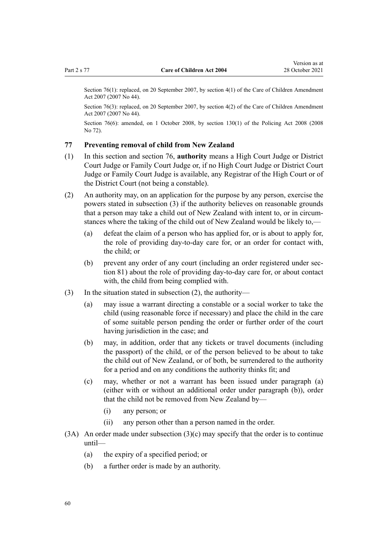<span id="page-59-0"></span>Section 76(1): replaced, on 20 September 2007, by [section 4\(1\)](http://legislation.govt.nz/pdflink.aspx?id=DLM968106) of the Care of Children Amendment Act 2007 (2007 No 44).

Section 76(3): replaced, on 20 September 2007, by [section 4\(2\)](http://legislation.govt.nz/pdflink.aspx?id=DLM968106) of the Care of Children Amendment Act 2007 (2007 No 44).

Section 76(6): amended, on 1 October 2008, by [section 130\(1\)](http://legislation.govt.nz/pdflink.aspx?id=DLM1102383) of the Policing Act 2008 (2008 No 72).

### **77 Preventing removal of child from New Zealand**

- (1) In this section and [section 76,](#page-58-0) **authority** means a High Court Judge or District Court Judge or Family Court Judge or, if no High Court Judge or District Court Judge or Family Court Judge is available, any Registrar of the High Court or of the District Court (not being a constable).
- (2) An authority may, on an application for the purpose by any person, exercise the powers stated in subsection (3) if the authority believes on reasonable grounds that a person may take a child out of New Zealand with intent to, or in circum‐ stances where the taking of the child out of New Zealand would be likely to,—
	- (a) defeat the claim of a person who has applied for, or is about to apply for, the role of providing day-to-day care for, or an order for contact with, the child; or
	- (b) prevent any order of any court (including an order registered under sec[tion 81\)](#page-62-0) about the role of providing day-to-day care for, or about contact with, the child from being complied with.
- (3) In the situation stated in subsection (2), the authority—
	- (a) may issue a warrant directing a constable or a social worker to take the child (using reasonable force if necessary) and place the child in the care of some suitable person pending the order or further order of the court having jurisdiction in the case; and
	- (b) may, in addition, order that any tickets or travel documents (including the passport) of the child, or of the person believed to be about to take the child out of New Zealand, or of both, be surrendered to the authority for a period and on any conditions the authority thinks fit; and
	- (c) may, whether or not a warrant has been issued under paragraph (a) (either with or without an additional order under paragraph (b)), order that the child not be removed from New Zealand by—
		- (i) any person; or
		- (ii) any person other than a person named in the order.
- $(3A)$  An order made under subsection  $(3)(c)$  may specify that the order is to continue until—
	- (a) the expiry of a specified period; or
	- (b) a further order is made by an authority.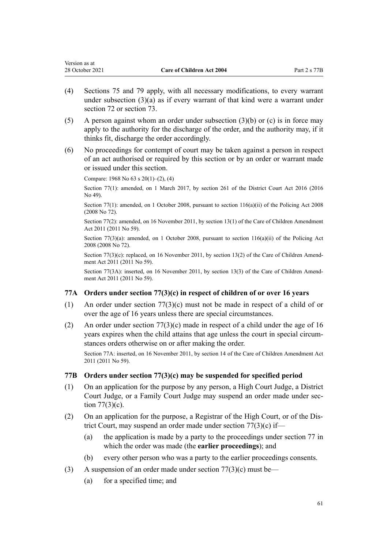- (4) [Sections 75](#page-57-0) and [79](#page-61-0) apply, with all necessary modifications, to every warrant under subsection  $(3)(a)$  as if every warrant of that kind were a warrant under [section 72](#page-56-0) or [section 73](#page-56-0).
- (5) A person against whom an order under subsection  $(3)(b)$  or (c) is in force may apply to the authority for the discharge of the order, and the authority may, if it thinks fit, discharge the order accordingly.
- (6) No proceedings for contempt of court may be taken against a person in respect of an act authorised or required by this section or by an order or warrant made or issued under this section.

Compare: 1968 No 63 s 20(1)–(2), (4)

Section 77(1): amended, on 1 March 2017, by [section 261](http://legislation.govt.nz/pdflink.aspx?id=DLM6942680) of the District Court Act 2016 (2016 No 49).

Section 77(1): amended, on 1 October 2008, pursuant to [section 116\(a\)\(ii\)](http://legislation.govt.nz/pdflink.aspx?id=DLM1102349) of the Policing Act 2008 (2008 No 72).

Section 77(2): amended, on 16 November 2011, by [section 13\(1\)](http://legislation.govt.nz/pdflink.aspx?id=DLM3315024) of the Care of Children Amendment Act 2011 (2011 No 59).

Section 77(3)(a): amended, on 1 October 2008, pursuant to [section 116\(a\)\(ii\)](http://legislation.govt.nz/pdflink.aspx?id=DLM1102349) of the Policing Act 2008 (2008 No 72).

Section 77(3)(c): replaced, on 16 November 2011, by [section 13\(2\)](http://legislation.govt.nz/pdflink.aspx?id=DLM3315024) of the Care of Children Amendment Act 2011 (2011 No 59).

Section 77(3A): inserted, on 16 November 2011, by [section 13\(3\)](http://legislation.govt.nz/pdflink.aspx?id=DLM3315024) of the Care of Children Amendment Act 2011 (2011 No 59).

## **77A Orders under section 77(3)(c) in respect of children of or over 16 years**

- (1) An order under [section 77\(3\)\(c\)](#page-59-0) must not be made in respect of a child of or over the age of 16 years unless there are special circumstances.
- (2) An order under [section 77\(3\)\(c\)](#page-59-0) made in respect of a child under the age of 16 years expires when the child attains that age unless the court in special circum‐ stances orders otherwise on or after making the order.

Section 77A: inserted, on 16 November 2011, by [section 14](http://legislation.govt.nz/pdflink.aspx?id=DLM3315025) of the Care of Children Amendment Act 2011 (2011 No 59).

## **77B Orders under section 77(3)(c) may be suspended for specified period**

- (1) On an application for the purpose by any person, a High Court Judge, a District Court Judge, or a Family Court Judge may suspend an order made under [sec‐](#page-59-0) [tion 77\(3\)\(c\).](#page-59-0)
- (2) On an application for the purpose, a Registrar of the High Court, or of the Dis‐ trict Court, may suspend an order made under [section 77\(3\)\(c\)](#page-59-0) if—
	- (a) the application is made by a party to the proceedings under [section 77](#page-59-0) in which the order was made (the **earlier proceedings**); and
	- (b) every other person who was a party to the earlier proceedings consents.
- (3) A suspension of an order made under section  $77(3)(c)$  must be—
	- (a) for a specified time; and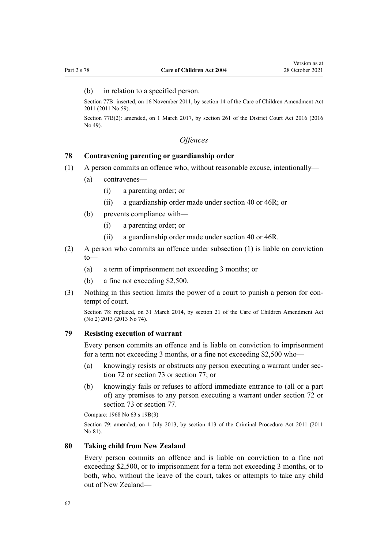#### <span id="page-61-0"></span>(b) in relation to a specified person.

Section 77B: inserted, on 16 November 2011, by [section 14](http://legislation.govt.nz/pdflink.aspx?id=DLM3315025) of the Care of Children Amendment Act 2011 (2011 No 59).

Section 77B(2): amended, on 1 March 2017, by [section 261](http://legislation.govt.nz/pdflink.aspx?id=DLM6942680) of the District Court Act 2016 (2016 No 49).

# *Offences*

## **78 Contravening parenting or guardianship order**

- (1) A person commits an offence who, without reasonable excuse, intentionally—
	- (a) contravenes—
		- (i) a parenting order; or
		- (ii) a guardianship order made under [section 40](#page-32-0) or [46R;](#page-41-0) or
	- (b) prevents compliance with—
		- (i) a parenting order; or
		- (ii) a guardianship order made under [section 40](#page-32-0) or [46R.](#page-41-0)
- (2) A person who commits an offence under subsection (1) is liable on conviction to—
	- (a) a term of imprisonment not exceeding 3 months; or
	- (b) a fine not exceeding \$2,500.
- (3) Nothing in this section limits the power of a court to punish a person for contempt of court.

Section 78: replaced, on 31 March 2014, by [section 21](http://legislation.govt.nz/pdflink.aspx?id=DLM4897341) of the Care of Children Amendment Act (No 2) 2013 (2013 No 74).

#### **79 Resisting execution of warrant**

Every person commits an offence and is liable on conviction to imprisonment for a term not exceeding 3 months, or a fine not exceeding \$2,500 who—

- (a) knowingly resists or obstructs any person executing a warrant under sec[tion 72](#page-56-0) or [section 73](#page-56-0) or [section 77](#page-59-0); or
- (b) knowingly fails or refuses to afford immediate entrance to (all or a part of) any premises to any person executing a warrant under [section 72](#page-56-0) or [section 73](#page-56-0) or [section 77](#page-59-0).

Compare: 1968 No 63 s 19B(3)

Section 79: amended, on 1 July 2013, by [section 413](http://legislation.govt.nz/pdflink.aspx?id=DLM3360714) of the Criminal Procedure Act 2011 (2011 No 81).

### **80 Taking child from New Zealand**

Every person commits an offence and is liable on conviction to a fine not exceeding \$2,500, or to imprisonment for a term not exceeding 3 months, or to both, who, without the leave of the court, takes or attempts to take any child out of New Zealand—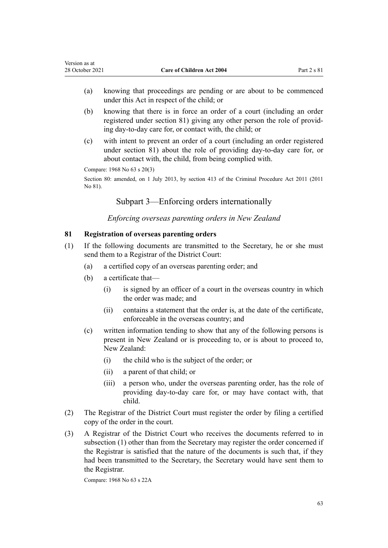- <span id="page-62-0"></span>(a) knowing that proceedings are pending or are about to be commenced under this Act in respect of the child; or
- (b) knowing that there is in force an order of a court (including an order registered under section 81) giving any other person the role of provid‐ ing day-to-day care for, or contact with, the child; or
- (c) with intent to prevent an order of a court (including an order registered under section 81) about the role of providing day-to-day care for, or about contact with, the child, from being complied with.

Compare: 1968 No 63 s 20(3)

Section 80: amended, on 1 July 2013, by [section 413](http://legislation.govt.nz/pdflink.aspx?id=DLM3360714) of the Criminal Procedure Act 2011 (2011 No 81).

# Subpart 3—Enforcing orders internationally

*Enforcing overseas parenting orders in New Zealand*

# **81 Registration of overseas parenting orders**

- (1) If the following documents are transmitted to the Secretary, he or she must send them to a Registrar of the District Court:
	- (a) a certified copy of an overseas parenting order; and
	- (b) a certificate that—
		- (i) is signed by an officer of a court in the overseas country in which the order was made; and
		- (ii) contains a statement that the order is, at the date of the certificate, enforceable in the overseas country; and
	- (c) written information tending to show that any of the following persons is present in New Zealand or is proceeding to, or is about to proceed to, New Zealand:
		- (i) the child who is the subject of the order; or
		- (ii) a parent of that child; or
		- (iii) a person who, under the overseas parenting order, has the role of providing day-to-day care for, or may have contact with, that child.
- (2) The Registrar of the District Court must register the order by filing a certified copy of the order in the court.
- (3) A Registrar of the District Court who receives the documents referred to in subsection (1) other than from the Secretary may register the order concerned if the Registrar is satisfied that the nature of the documents is such that, if they had been transmitted to the Secretary, the Secretary would have sent them to the Registrar.

Compare: 1968 No 63 s 22A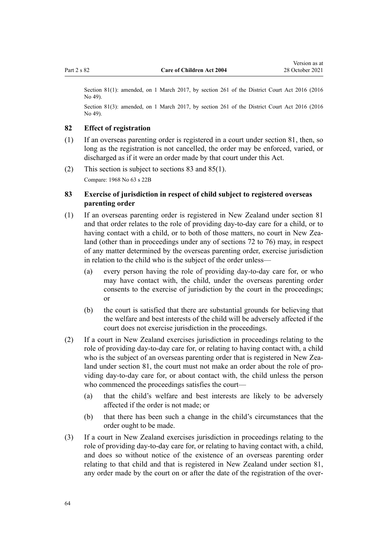<span id="page-63-0"></span>Section 81(1): amended, on 1 March 2017, by [section 261](http://legislation.govt.nz/pdflink.aspx?id=DLM6942680) of the District Court Act 2016 (2016) No 49).

Section 81(3): amended, on 1 March 2017, by [section 261](http://legislation.govt.nz/pdflink.aspx?id=DLM6942680) of the District Court Act 2016 (2016 No 49).

## **82 Effect of registration**

- (1) If an overseas parenting order is registered in a court under [section 81,](#page-62-0) then, so long as the registration is not cancelled, the order may be enforced, varied, or discharged as if it were an order made by that court under this Act.
- (2) This section is subject to sections 83 and [85\(1\)](#page-64-0). Compare: 1968 No 63 s 22B

# **83 Exercise of jurisdiction in respect of child subject to registered overseas parenting order**

- (1) If an overseas parenting order is registered in New Zealand under [section 81](#page-62-0) and that order relates to the role of providing day-to-day care for a child, or to having contact with a child, or to both of those matters, no court in New Zealand (other than in proceedings under any of [sections 72 to 76\)](#page-56-0) may, in respect of any matter determined by the overseas parenting order, exercise jurisdiction in relation to the child who is the subject of the order unless—
	- (a) every person having the role of providing day-to-day care for, or who may have contact with, the child, under the overseas parenting order consents to the exercise of jurisdiction by the court in the proceedings; or
	- (b) the court is satisfied that there are substantial grounds for believing that the welfare and best interests of the child will be adversely affected if the court does not exercise jurisdiction in the proceedings.
- (2) If a court in New Zealand exercises jurisdiction in proceedings relating to the role of providing day-to-day care for, or relating to having contact with, a child who is the subject of an overseas parenting order that is registered in New Zealand under [section 81,](#page-62-0) the court must not make an order about the role of providing day-to-day care for, or about contact with, the child unless the person who commenced the proceedings satisfies the court—
	- (a) that the child's welfare and best interests are likely to be adversely affected if the order is not made; or
	- (b) that there has been such a change in the child's circumstances that the order ought to be made.
- (3) If a court in New Zealand exercises jurisdiction in proceedings relating to the role of providing day-to-day care for, or relating to having contact with, a child, and does so without notice of the existence of an overseas parenting order relating to that child and that is registered in New Zealand under [section 81](#page-62-0), any order made by the court on or after the date of the registration of the over-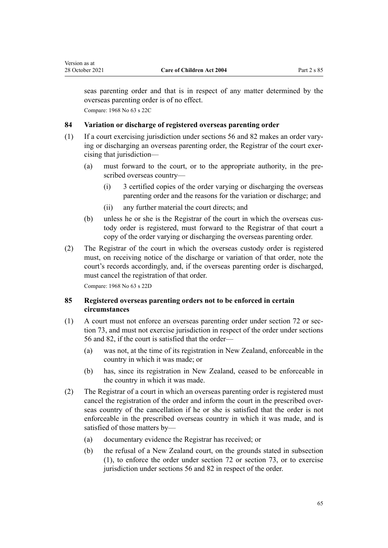<span id="page-64-0"></span>seas parenting order and that is in respect of any matter determined by the overseas parenting order is of no effect. Compare: 1968 No 63 s 22C

# **84 Variation or discharge of registered overseas parenting order**

- $(1)$  If a court exercising jurisdiction under [sections 56](#page-48-0) and [82](#page-63-0) makes an order varying or discharging an overseas parenting order, the Registrar of the court exercising that jurisdiction—
	- (a) must forward to the court, or to the appropriate authority, in the pre‐ scribed overseas country—
		- (i) 3 certified copies of the order varying or discharging the overseas parenting order and the reasons for the variation or discharge; and
		- (ii) any further material the court directs; and
	- (b) unless he or she is the Registrar of the court in which the overseas custody order is registered, must forward to the Registrar of that court a copy of the order varying or discharging the overseas parenting order.
- (2) The Registrar of the court in which the overseas custody order is registered must, on receiving notice of the discharge or variation of that order, note the court's records accordingly, and, if the overseas parenting order is discharged, must cancel the registration of that order.

Compare: 1968 No 63 s 22D

# **85 Registered overseas parenting orders not to be enforced in certain circumstances**

- (1) A court must not enforce an overseas parenting order under [section 72](#page-56-0) or [sec‐](#page-56-0) [tion 73,](#page-56-0) and must not exercise jurisdiction in respect of the order under [sections](#page-48-0) [56](#page-48-0) and [82,](#page-63-0) if the court is satisfied that the order—
	- (a) was not, at the time of its registration in New Zealand, enforceable in the country in which it was made; or
	- (b) has, since its registration in New Zealand, ceased to be enforceable in the country in which it was made.
- (2) The Registrar of a court in which an overseas parenting order is registered must cancel the registration of the order and inform the court in the prescribed overseas country of the cancellation if he or she is satisfied that the order is not enforceable in the prescribed overseas country in which it was made, and is satisfied of those matters by—
	- (a) documentary evidence the Registrar has received; or
	- (b) the refusal of a New Zealand court, on the grounds stated in subsection (1), to enforce the order under [section 72](#page-56-0) or [section 73](#page-56-0), or to exercise jurisdiction under [sections 56](#page-48-0) and [82](#page-63-0) in respect of the order.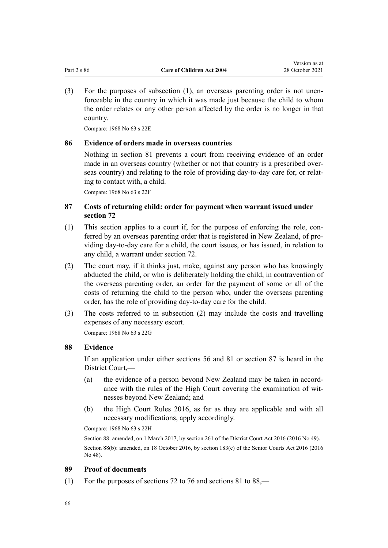(3) For the purposes of subsection (1), an overseas parenting order is not unen‐ forceable in the country in which it was made just because the child to whom the order relates or any other person affected by the order is no longer in that country.

Compare: 1968 No 63 s 22E

## **86 Evidence of orders made in overseas countries**

Nothing in [section 81](#page-62-0) prevents a court from receiving evidence of an order made in an overseas country (whether or not that country is a prescribed overseas country) and relating to the role of providing day-to-day care for, or relat‐ ing to contact with, a child.

Compare: 1968 No 63 s 22F

# **87 Costs of returning child: order for payment when warrant issued under section 72**

- (1) This section applies to a court if, for the purpose of enforcing the role, con‐ ferred by an overseas parenting order that is registered in New Zealand, of providing day-to-day care for a child, the court issues, or has issued, in relation to any child, a warrant under [section 72](#page-56-0).
- (2) The court may, if it thinks just, make, against any person who has knowingly abducted the child, or who is deliberately holding the child, in contravention of the overseas parenting order, an order for the payment of some or all of the costs of returning the child to the person who, under the overseas parenting order, has the role of providing day-to-day care for the child.
- (3) The costs referred to in subsection (2) may include the costs and travelling expenses of any necessary escort.

Compare: 1968 No 63 s 22G

## **88 Evidence**

If an application under either [sections 56](#page-48-0) and [81](#page-62-0) or section 87 is heard in the District Court,—

- (a) the evidence of a person beyond New Zealand may be taken in accord‐ ance with the rules of the High Court covering the examination of witnesses beyond New Zealand; and
- (b) the [High Court Rules 2016](http://legislation.govt.nz/pdflink.aspx?id=DLM6959800), as far as they are applicable and with all necessary modifications, apply accordingly.

Compare: 1968 No 63 s 22H

Section 88: amended, on 1 March 2017, by [section 261](http://legislation.govt.nz/pdflink.aspx?id=DLM6942680) of the District Court Act 2016 (2016 No 49). Section 88(b): amended, on 18 October 2016, by [section 183\(c\)](http://legislation.govt.nz/pdflink.aspx?id=DLM5759564) of the Senior Courts Act 2016 (2016 No 48).

## **89 Proof of documents**

(1) For the purposes of [sections 72 to 76](#page-56-0) and [sections 81 to 88,](#page-62-0)—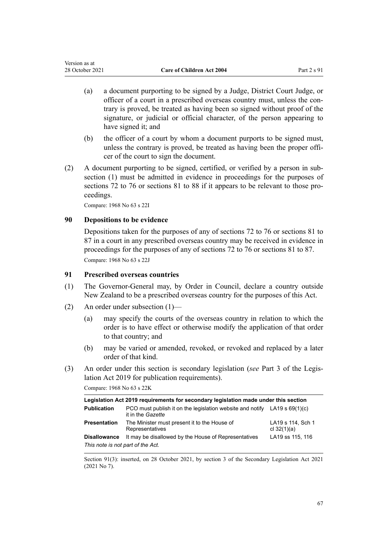- (a) a document purporting to be signed by a Judge, District Court Judge, or officer of a court in a prescribed overseas country must, unless the con‐ trary is proved, be treated as having been so signed without proof of the signature, or judicial or official character, of the person appearing to have signed it; and
- (b) the officer of a court by whom a document purports to be signed must, unless the contrary is proved, be treated as having been the proper officer of the court to sign the document.
- (2) A document purporting to be signed, certified, or verified by a person in sub‐ section (1) must be admitted in evidence in proceedings for the purposes of [sections 72 to 76](#page-56-0) or [sections 81 to 88](#page-62-0) if it appears to be relevant to those proceedings.

Compare: 1968 No 63 s 22I

## **90 Depositions to be evidence**

Depositions taken for the purposes of any of [sections 72 to 76](#page-56-0) or [sections 81 to](#page-62-0) [87](#page-62-0) in a court in any prescribed overseas country may be received in evidence in proceedings for the purposes of any of [sections 72 to 76](#page-56-0) or [sections 81 to 87.](#page-62-0) Compare: 1968 No 63 s 22J

## **91 Prescribed overseas countries**

- (1) The Governor-General may, by Order in Council, declare a country outside New Zealand to be a prescribed overseas country for the purposes of this Act.
- (2) An order under subsection (1)—
	- (a) may specify the courts of the overseas country in relation to which the order is to have effect or otherwise modify the application of that order to that country; and
	- (b) may be varied or amended, revoked, or revoked and replaced by a later order of that kind.
- (3) An order under this section is secondary legislation (*see* [Part 3](http://legislation.govt.nz/pdflink.aspx?id=DLM7298343) of the Legis‐ lation Act 2019 for publication requirements).

| Compare: 1968 No 63 s 22K |  |  |  |
|---------------------------|--|--|--|
|                           |  |  |  |

| Legislation Act 2019 requirements for secondary legislation made under this section |                                                                                                  |                                    |  |  |  |
|-------------------------------------------------------------------------------------|--------------------------------------------------------------------------------------------------|------------------------------------|--|--|--|
| <b>Publication</b>                                                                  | PCO must publish it on the legislation website and notify LA19 s $69(1)(c)$<br>it in the Gazette |                                    |  |  |  |
| <b>Presentation</b>                                                                 | The Minister must present it to the House of<br>Representatives                                  | LA19 s 114, Sch 1<br>cl $32(1)(a)$ |  |  |  |
| <b>Disallowance</b>                                                                 | It may be disallowed by the House of Representatives                                             | LA19 ss 115, 116                   |  |  |  |
| This note is not part of the Act.                                                   |                                                                                                  |                                    |  |  |  |

Section 91(3): inserted, on 28 October 2021, by [section 3](http://legislation.govt.nz/pdflink.aspx?id=LMS268932) of the Secondary Legislation Act 2021 (2021 No 7).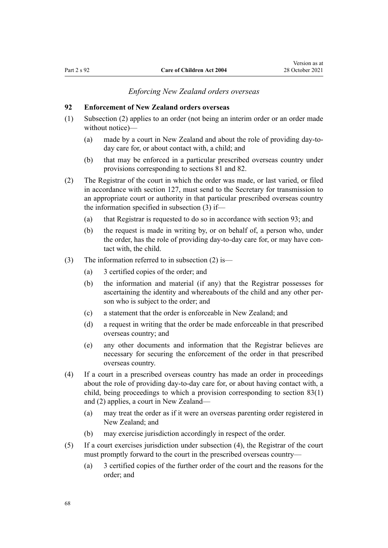## *Enforcing New Zealand orders overseas*

# <span id="page-67-0"></span>**92 Enforcement of New Zealand orders overseas**

- (1) Subsection (2) applies to an order (not being an interim order or an order made without notice)—
	- (a) made by a court in New Zealand and about the role of providing day-today care for, or about contact with, a child; and
	- (b) that may be enforced in a particular prescribed overseas country under provisions corresponding to [sections 81](#page-62-0) and [82.](#page-63-0)
- (2) The Registrar of the court in which the order was made, or last varied, or filed in accordance with [section 127](#page-85-0), must send to the Secretary for transmission to an appropriate court or authority in that particular prescribed overseas country the information specified in subsection (3) if—
	- (a) that Registrar is requested to do so in accordance with [section 93;](#page-68-0) and
	- (b) the request is made in writing by, or on behalf of, a person who, under the order, has the role of providing day-to-day care for, or may have contact with, the child.
- (3) The information referred to in subsection (2) is—
	- (a) 3 certified copies of the order; and
	- (b) the information and material (if any) that the Registrar possesses for ascertaining the identity and whereabouts of the child and any other per‐ son who is subject to the order; and
	- (c) a statement that the order is enforceable in New Zealand; and
	- (d) a request in writing that the order be made enforceable in that prescribed overseas country; and
	- (e) any other documents and information that the Registrar believes are necessary for securing the enforcement of the order in that prescribed overseas country.
- (4) If a court in a prescribed overseas country has made an order in proceedings about the role of providing day-to-day care for, or about having contact with, a child, being proceedings to which a provision corresponding to [section 83\(1\)](#page-63-0) [and \(2\)](#page-63-0) applies, a court in New Zealand—
	- (a) may treat the order as if it were an overseas parenting order registered in New Zealand; and
	- (b) may exercise jurisdiction accordingly in respect of the order.
- (5) If a court exercises jurisdiction under subsection (4), the Registrar of the court must promptly forward to the court in the prescribed overseas country—
	- (a) 3 certified copies of the further order of the court and the reasons for the order; and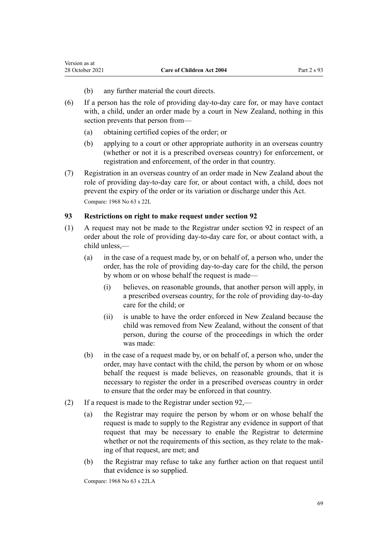- (b) any further material the court directs.
- <span id="page-68-0"></span>(6) If a person has the role of providing day-to-day care for, or may have contact with, a child, under an order made by a court in New Zealand, nothing in this section prevents that person from—
	- (a) obtaining certified copies of the order; or
	- (b) applying to a court or other appropriate authority in an overseas country (whether or not it is a prescribed overseas country) for enforcement, or registration and enforcement, of the order in that country.
- (7) Registration in an overseas country of an order made in New Zealand about the role of providing day-to-day care for, or about contact with, a child, does not prevent the expiry of the order or its variation or discharge under this Act. Compare: 1968 No 63 s 22L

## **93 Restrictions on right to make request under section 92**

- (1) A request may not be made to the Registrar under [section 92](#page-67-0) in respect of an order about the role of providing day-to-day care for, or about contact with, a child unless,—
	- (a) in the case of a request made by, or on behalf of, a person who, under the order, has the role of providing day-to-day care for the child, the person by whom or on whose behalf the request is made—
		- (i) believes, on reasonable grounds, that another person will apply, in a prescribed overseas country, for the role of providing day-to-day care for the child; or
		- (ii) is unable to have the order enforced in New Zealand because the child was removed from New Zealand, without the consent of that person, during the course of the proceedings in which the order was made:
	- (b) in the case of a request made by, or on behalf of, a person who, under the order, may have contact with the child, the person by whom or on whose behalf the request is made believes, on reasonable grounds, that it is necessary to register the order in a prescribed overseas country in order to ensure that the order may be enforced in that country.
- (2) If a request is made to the Registrar under [section 92,](#page-67-0)
	- (a) the Registrar may require the person by whom or on whose behalf the request is made to supply to the Registrar any evidence in support of that request that may be necessary to enable the Registrar to determine whether or not the requirements of this section, as they relate to the making of that request, are met; and
	- (b) the Registrar may refuse to take any further action on that request until that evidence is so supplied.

Compare: 1968 No 63 s 22LA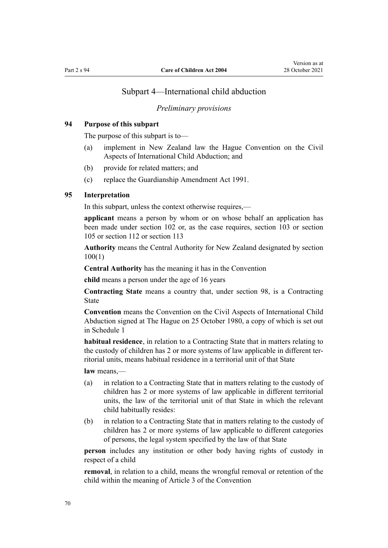# Subpart 4—International child abduction

## *Preliminary provisions*

## **94 Purpose of this subpart**

The purpose of this subpart is to—

- (a) implement in New Zealand law the Hague Convention on the Civil Aspects of International Child Abduction; and
- (b) provide for related matters; and
- (c) replace the Guardianship Amendment Act 1991.

## **95 Interpretation**

In this subpart, unless the context otherwise requires,—

**applicant** means a person by whom or on whose behalf an application has been made under [section 102](#page-71-0) or, as the case requires, [section 103](#page-72-0) or [section](#page-73-0) [105](#page-73-0) or [section 112](#page-77-0) or [section 113](#page-77-0)

**Authority** means the Central Authority for New Zealand designated by [section](#page-71-0) [100\(1\)](#page-71-0)

**Central Authority** has the meaning it has in the Convention

**child** means a person under the age of 16 years

**Contracting State** means a country that, under [section 98,](#page-70-0) is a Contracting State

**Convention** means the Convention on the Civil Aspects of International Child Abduction signed at The Hague on 25 October 1980, a copy of which is set out in [Schedule 1](#page-111-0)

**habitual residence**, in relation to a Contracting State that in matters relating to the custody of children has 2 or more systems of law applicable in different ter‐ ritorial units, means habitual residence in a territorial unit of that State

**law** means,—

- (a) in relation to a Contracting State that in matters relating to the custody of children has 2 or more systems of law applicable in different territorial units, the law of the territorial unit of that State in which the relevant child habitually resides:
- (b) in relation to a Contracting State that in matters relating to the custody of children has 2 or more systems of law applicable to different categories of persons, the legal system specified by the law of that State

**person** includes any institution or other body having rights of custody in respect of a child

**removal**, in relation to a child, means the wrongful removal or retention of the child within the meaning of Article 3 of the Convention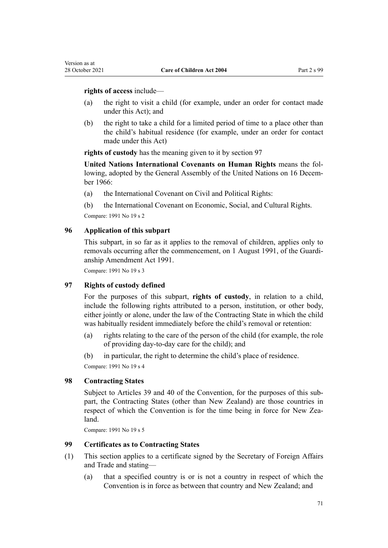## <span id="page-70-0"></span>**rights of access** include—

- (a) the right to visit a child (for example, under an order for contact made under this Act); and
- (b) the right to take a child for a limited period of time to a place other than the child's habitual residence (for example, under an order for contact made under this Act)

**rights of custody** has the meaning given to it by section 97

**United Nations International Covenants on Human Rights** means the fol‐ lowing, adopted by the General Assembly of the United Nations on 16 December 1966:

- (a) the International Covenant on Civil and Political Rights:
- (b) the International Covenant on Economic, Social, and Cultural Rights.

Compare: 1991 No 19 s 2

## **96 Application of this subpart**

This subpart, in so far as it applies to the removal of children, applies only to removals occurring after the commencement, on 1 August 1991, of the Guardianship Amendment Act 1991.

Compare: 1991 No 19 s 3

## **97 Rights of custody defined**

For the purposes of this subpart, **rights of custody**, in relation to a child, include the following rights attributed to a person, institution, or other body, either jointly or alone, under the law of the Contracting State in which the child was habitually resident immediately before the child's removal or retention:

- (a) rights relating to the care of the person of the child (for example, the role of providing day-to-day care for the child); and
- (b) in particular, the right to determine the child's place of residence.

Compare: 1991 No 19 s 4

# **98 Contracting States**

Subject to Articles 39 and 40 of the Convention, for the purposes of this sub‐ part, the Contracting States (other than New Zealand) are those countries in respect of which the Convention is for the time being in force for New Zealand.

Compare: 1991 No 19 s 5

# **99 Certificates as to Contracting States**

- (1) This section applies to a certificate signed by the Secretary of Foreign Affairs and Trade and stating—
	- (a) that a specified country is or is not a country in respect of which the Convention is in force as between that country and New Zealand; and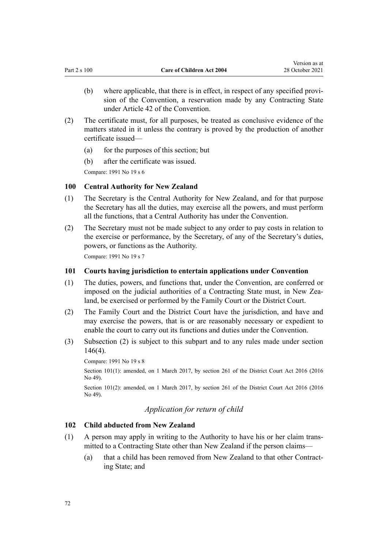- <span id="page-71-0"></span>(b) where applicable, that there is in effect, in respect of any specified provision of the Convention, a reservation made by any Contracting State under Article 42 of the Convention.
- (2) The certificate must, for all purposes, be treated as conclusive evidence of the matters stated in it unless the contrary is proved by the production of another certificate issued—
	- (a) for the purposes of this section; but
	- (b) after the certificate was issued.

Compare: 1991 No 19 s 6

#### **100 Central Authority for New Zealand**

- (1) The Secretary is the Central Authority for New Zealand, and for that purpose the Secretary has all the duties, may exercise all the powers, and must perform all the functions, that a Central Authority has under the Convention.
- (2) The Secretary must not be made subject to any order to pay costs in relation to the exercise or performance, by the Secretary, of any of the Secretary's duties, powers, or functions as the Authority. Compare: 1991 No 19 s 7

#### **101 Courts having jurisdiction to entertain applications under Convention**

- (1) The duties, powers, and functions that, under the Convention, are conferred or imposed on the judicial authorities of a Contracting State must, in New Zealand, be exercised or performed by the Family Court or the District Court.
- (2) The Family Court and the District Court have the jurisdiction, and have and may exercise the powers, that is or are reasonably necessary or expedient to enable the court to carry out its functions and duties under the Convention.
- (3) Subsection (2) is subject to this subpart and to any rules made under [section](#page-101-0) [146\(4\).](#page-101-0)

Compare: 1991 No 19 s 8

Section 101(1): amended, on 1 March 2017, by [section 261](http://legislation.govt.nz/pdflink.aspx?id=DLM6942680) of the District Court Act 2016 (2016) No 49).

Section 101(2): amended, on 1 March 2017, by [section 261](http://legislation.govt.nz/pdflink.aspx?id=DLM6942680) of the District Court Act 2016 (2016 No 49).

# *Application for return of child*

# **102 Child abducted from New Zealand**

- (1) A person may apply in writing to the Authority to have his or her claim trans‐ mitted to a Contracting State other than New Zealand if the person claims—
	- (a) that a child has been removed from New Zealand to that other Contract– ing State; and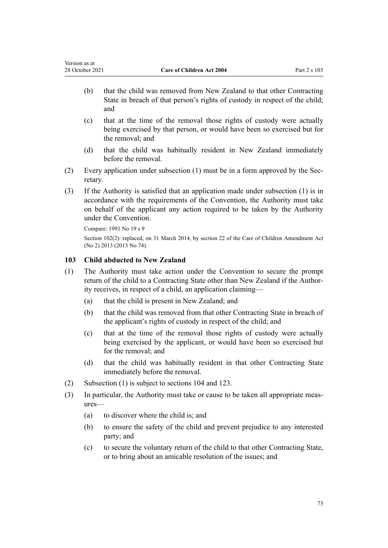- <span id="page-72-0"></span>(b) that the child was removed from New Zealand to that other Contracting State in breach of that person's rights of custody in respect of the child; and
- (c) that at the time of the removal those rights of custody were actually being exercised by that person, or would have been so exercised but for the removal; and
- (d) that the child was habitually resident in New Zealand immediately before the removal.
- (2) Every application under subsection (1) must be in a form approved by the Sec‐ retary.
- (3) If the Authority is satisfied that an application made under subsection (1) is in accordance with the requirements of the Convention, the Authority must take on behalf of the applicant any action required to be taken by the Authority under the Convention.

```
Compare: 1991 No 19 s 9
section 22 of the Care of Children Amendment Act
(No 2) 2013 (2013 No 74).
```
# **103 Child abducted to New Zealand**

- (1) The Authority must take action under the Convention to secure the prompt return of the child to a Contracting State other than New Zealand if the Author‐ ity receives, in respect of a child, an application claiming—
	- (a) that the child is present in New Zealand; and
	- (b) that the child was removed from that other Contracting State in breach of the applicant's rights of custody in respect of the child; and
	- (c) that at the time of the removal those rights of custody were actually being exercised by the applicant, or would have been so exercised but for the removal; and
	- (d) that the child was habitually resident in that other Contracting State immediately before the removal.
- (2) Subsection (1) is subject to [sections 104](#page-73-0) and [123](#page-82-0).
- (3) In particular, the Authority must take or cause to be taken all appropriate meas‐ ures—
	- (a) to discover where the child is; and
	- (b) to ensure the safety of the child and prevent prejudice to any interested party; and
	- (c) to secure the voluntary return of the child to that other Contracting State, or to bring about an amicable resolution of the issues; and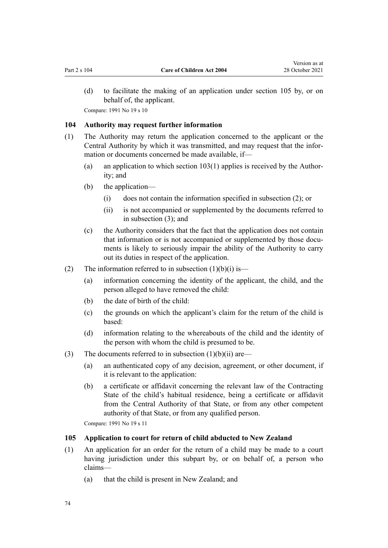<span id="page-73-0"></span>(d) to facilitate the making of an application under section 105 by, or on behalf of, the applicant.

Compare: 1991 No 19 s 10

### **104 Authority may request further information**

- (1) The Authority may return the application concerned to the applicant or the Central Authority by which it was transmitted, and may request that the infor‐ mation or documents concerned be made available, if—
	- (a) an application to which section  $103(1)$  applies is received by the Authority; and
	- (b) the application—
		- (i) does not contain the information specified in subsection (2); or
		- (ii) is not accompanied or supplemented by the documents referred to in subsection (3); and
	- (c) the Authority considers that the fact that the application does not contain that information or is not accompanied or supplemented by those documents is likely to seriously impair the ability of the Authority to carry out its duties in respect of the application.
- (2) The information referred to in subsection  $(1)(b)(i)$  is—
	- (a) information concerning the identity of the applicant, the child, and the person alleged to have removed the child:
	- (b) the date of birth of the child:
	- (c) the grounds on which the applicant's claim for the return of the child is based:
	- (d) information relating to the whereabouts of the child and the identity of the person with whom the child is presumed to be.
- (3) The documents referred to in subsection  $(1)(b)(ii)$  are—
	- (a) an authenticated copy of any decision, agreement, or other document, if it is relevant to the application:
	- (b) a certificate or affidavit concerning the relevant law of the Contracting State of the child's habitual residence, being a certificate or affidavit from the Central Authority of that State, or from any other competent authority of that State, or from any qualified person.

Compare: 1991 No 19 s 11

### **105 Application to court for return of child abducted to New Zealand**

- (1) An application for an order for the return of a child may be made to a court having jurisdiction under this subpart by, or on behalf of, a person who claims—
	- (a) that the child is present in New Zealand; and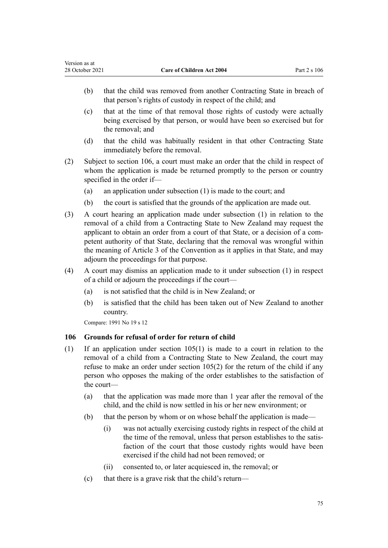- (b) that the child was removed from another Contracting State in breach of that person's rights of custody in respect of the child; and
- (c) that at the time of that removal those rights of custody were actually being exercised by that person, or would have been so exercised but for the removal; and
- (d) that the child was habitually resident in that other Contracting State immediately before the removal.
- (2) Subject to section 106, a court must make an order that the child in respect of whom the application is made be returned promptly to the person or country specified in the order if—
	- (a) an application under subsection (1) is made to the court; and
	- (b) the court is satisfied that the grounds of the application are made out.
- (3) A court hearing an application made under subsection (1) in relation to the removal of a child from a Contracting State to New Zealand may request the applicant to obtain an order from a court of that State, or a decision of a competent authority of that State, declaring that the removal was wrongful within the meaning of Article 3 of the Convention as it applies in that State, and may adjourn the proceedings for that purpose.
- (4) A court may dismiss an application made to it under subsection (1) in respect of a child or adjourn the proceedings if the court—
	- (a) is not satisfied that the child is in New Zealand; or
	- (b) is satisfied that the child has been taken out of New Zealand to another country.

Compare: 1991 No 19 s 12

### **106 Grounds for refusal of order for return of child**

- (1) If an application under [section 105\(1\)](#page-73-0) is made to a court in relation to the removal of a child from a Contracting State to New Zealand, the court may refuse to make an order under section 105(2) for the return of the child if any person who opposes the making of the order establishes to the satisfaction of the court—
	- (a) that the application was made more than 1 year after the removal of the child, and the child is now settled in his or her new environment; or
	- (b) that the person by whom or on whose behalf the application is made—
		- (i) was not actually exercising custody rights in respect of the child at the time of the removal, unless that person establishes to the satis‐ faction of the court that those custody rights would have been exercised if the child had not been removed; or
		- (ii) consented to, or later acquiesced in, the removal; or
	- (c) that there is a grave risk that the child's return—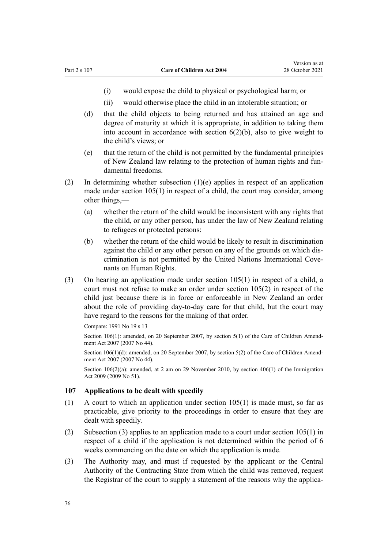- (i) would expose the child to physical or psychological harm; or
- (ii) would otherwise place the child in an intolerable situation; or
- (d) that the child objects to being returned and has attained an age and degree of maturity at which it is appropriate, in addition to taking them into account in accordance with section  $6(2)(b)$ , also to give weight to the child's views; or
- (e) that the return of the child is not permitted by the fundamental principles of New Zealand law relating to the protection of human rights and fun‐ damental freedoms.
- (2) In determining whether subsection  $(1)(e)$  applies in respect of an application made under [section 105\(1\)](#page-73-0) in respect of a child, the court may consider, among other things,—
	- (a) whether the return of the child would be inconsistent with any rights that the child, or any other person, has under the law of New Zealand relating to refugees or protected persons:
	- (b) whether the return of the child would be likely to result in discrimination against the child or any other person on any of the grounds on which dis‐ crimination is not permitted by the United Nations International Cove‐ nants on Human Rights.
- (3) On hearing an application made under [section 105\(1\)](#page-73-0) in respect of a child, a court must not refuse to make an order under section 105(2) in respect of the child just because there is in force or enforceable in New Zealand an order about the role of providing day-to-day care for that child, but the court may have regard to the reasons for the making of that order.

```
Compare: 1991 No 19 s 13
```
Section 106(1): amended, on 20 September 2007, by [section 5\(1\)](http://legislation.govt.nz/pdflink.aspx?id=DLM968107) of the Care of Children Amendment Act 2007 (2007 No 44).

Section 106(1)(d): amended, on 20 September 2007, by [section 5\(2\)](http://legislation.govt.nz/pdflink.aspx?id=DLM968107) of the Care of Children Amendment Act 2007 (2007 No 44).

Section  $106(2)(a)$ : amended, at 2 am on 29 November 2010, by section  $406(1)$  of the Immigration Act 2009 (2009 No 51).

#### **107 Applications to be dealt with speedily**

- (1) A court to which an application under [section 105\(1\)](#page-73-0) is made must, so far as practicable, give priority to the proceedings in order to ensure that they are dealt with speedily.
- (2) Subsection (3) applies to an application made to a court under [section 105\(1\)](#page-73-0) in respect of a child if the application is not determined within the period of 6 weeks commencing on the date on which the application is made.
- (3) The Authority may, and must if requested by the applicant or the Central Authority of the Contracting State from which the child was removed, request the Registrar of the court to supply a statement of the reasons why the applica‐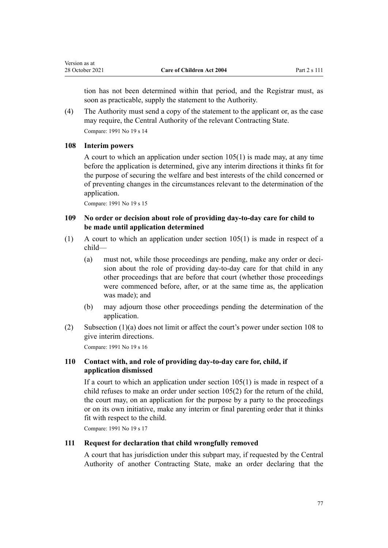<span id="page-76-0"></span>tion has not been determined within that period, and the Registrar must, as soon as practicable, supply the statement to the Authority.

(4) The Authority must send a copy of the statement to the applicant or, as the case may require, the Central Authority of the relevant Contracting State. Compare: 1991 No 19 s 14

### **108 Interim powers**

A court to which an application under [section 105\(1\)](#page-73-0) is made may, at any time before the application is determined, give any interim directions it thinks fit for the purpose of securing the welfare and best interests of the child concerned or of preventing changes in the circumstances relevant to the determination of the application.

Compare: 1991 No 19 s 15

# **109 No order or decision about role of providing day-to-day care for child to be made until application determined**

- (1) A court to which an application under [section 105\(1\)](#page-73-0) is made in respect of a child—
	- (a) must not, while those proceedings are pending, make any order or decision about the role of providing day-to-day care for that child in any other proceedings that are before that court (whether those proceedings were commenced before, after, or at the same time as, the application was made); and
	- (b) may adjourn those other proceedings pending the determination of the application.
- (2) Subsection (1)(a) does not limit or affect the court's power under section 108 to give interim directions.

Compare: 1991 No 19 s 16

# **110 Contact with, and role of providing day-to-day care for, child, if application dismissed**

If a court to which an application under section  $105(1)$  is made in respect of a child refuses to make an order under section 105(2) for the return of the child, the court may, on an application for the purpose by a party to the proceedings or on its own initiative, make any interim or final parenting order that it thinks fit with respect to the child.

Compare: 1991 No 19 s 17

# **111 Request for declaration that child wrongfully removed**

A court that has jurisdiction under this subpart may, if requested by the Central Authority of another Contracting State, make an order declaring that the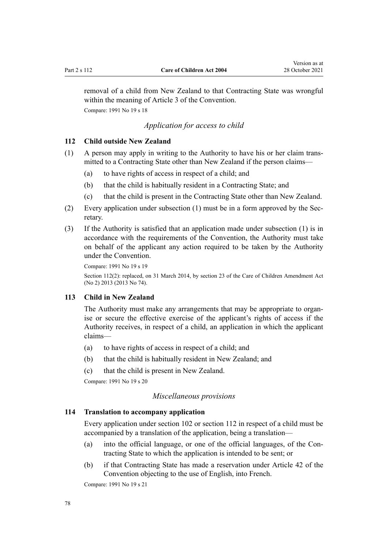<span id="page-77-0"></span>removal of a child from New Zealand to that Contracting State was wrongful within the meaning of Article 3 of the Convention. Compare: 1991 No 19 s 18

# *Application for access to child*

# **112 Child outside New Zealand**

- (1) A person may apply in writing to the Authority to have his or her claim trans‐ mitted to a Contracting State other than New Zealand if the person claims—
	- (a) to have rights of access in respect of a child; and
	- (b) that the child is habitually resident in a Contracting State; and
	- (c) that the child is present in the Contracting State other than New Zealand.
- (2) Every application under subsection (1) must be in a form approved by the Sec‐ retary.
- (3) If the Authority is satisfied that an application made under subsection (1) is in accordance with the requirements of the Convention, the Authority must take on behalf of the applicant any action required to be taken by the Authority under the Convention.

Compare: 1991 No 19 s 19

Section 112(2): replaced, on 31 March 2014, by [section 23](http://legislation.govt.nz/pdflink.aspx?id=DLM5574210) of the Care of Children Amendment Act (No 2) 2013 (2013 No 74).

### **113 Child in New Zealand**

The Authority must make any arrangements that may be appropriate to organise or secure the effective exercise of the applicant's rights of access if the Authority receives, in respect of a child, an application in which the applicant claims—

- (a) to have rights of access in respect of a child; and
- (b) that the child is habitually resident in New Zealand; and
- (c) that the child is present in New Zealand.

Compare: 1991 No 19 s 20

### *Miscellaneous provisions*

# **114 Translation to accompany application**

Every application under [section 102](#page-71-0) or section 112 in respect of a child must be accompanied by a translation of the application, being a translation—

- (a) into the official language, or one of the official languages, of the Con‐ tracting State to which the application is intended to be sent; or
- (b) if that Contracting State has made a reservation under Article 42 of the Convention objecting to the use of English, into French.

Compare: 1991 No 19 s 21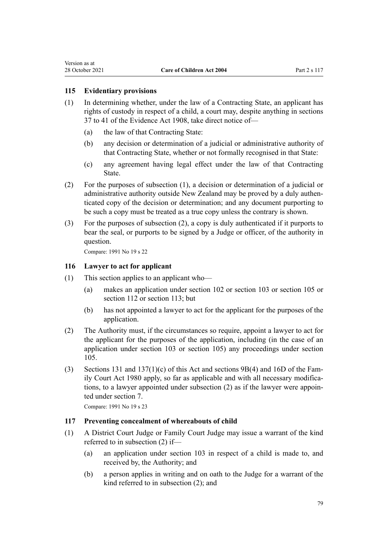# <span id="page-78-0"></span>**115 Evidentiary provisions**

- (1) In determining whether, under the law of a Contracting State, an applicant has rights of custody in respect of a child, a court may, despite anything in [sections](http://legislation.govt.nz/pdflink.aspx?id=DLM143094) [37 to 41](http://legislation.govt.nz/pdflink.aspx?id=DLM143094) of the Evidence Act 1908, take direct notice of—
	- (a) the law of that Contracting State:
	- (b) any decision or determination of a judicial or administrative authority of that Contracting State, whether or not formally recognised in that State:
	- (c) any agreement having legal effect under the law of that Contracting State.
- (2) For the purposes of subsection (1), a decision or determination of a judicial or administrative authority outside New Zealand may be proved by a duly authen‐ ticated copy of the decision or determination; and any document purporting to be such a copy must be treated as a true copy unless the contrary is shown.
- (3) For the purposes of subsection (2), a copy is duly authenticated if it purports to bear the seal, or purports to be signed by a Judge or officer, of the authority in question.

Compare: 1991 No 19 s 22

### **116 Lawyer to act for applicant**

- (1) This section applies to an applicant who—
	- (a) makes an application under [section 102](#page-71-0) or [section 103](#page-72-0) or [section 105](#page-73-0) or [section 112](#page-77-0) or [section 113](#page-77-0); but
	- (b) has not appointed a lawyer to act for the applicant for the purposes of the application.
- (2) The Authority must, if the circumstances so require, appoint a lawyer to act for the applicant for the purposes of the application, including (in the case of an application under [section 103](#page-72-0) or [section 105](#page-73-0)) any proceedings under section 105.
- (3) [Sections 131](#page-87-0) and [137\(1\)\(c\)](#page-96-0) of this Act and sections  $9B(4)$  and [16D](http://legislation.govt.nz/pdflink.aspx?id=DLM6025512) of the Family Court Act 1980 apply, so far as applicable and with all necessary modifica‐ tions, to a lawyer appointed under subsection (2) as if the lawyer were appoin‐ ted under [section 7](#page-11-0).

Compare: 1991 No 19 s 23

### **117 Preventing concealment of whereabouts of child**

- (1) A District Court Judge or Family Court Judge may issue a warrant of the kind referred to in subsection (2) if—
	- (a) an application under [section 103](#page-72-0) in respect of a child is made to, and received by, the Authority; and
	- (b) a person applies in writing and on oath to the Judge for a warrant of the kind referred to in subsection (2); and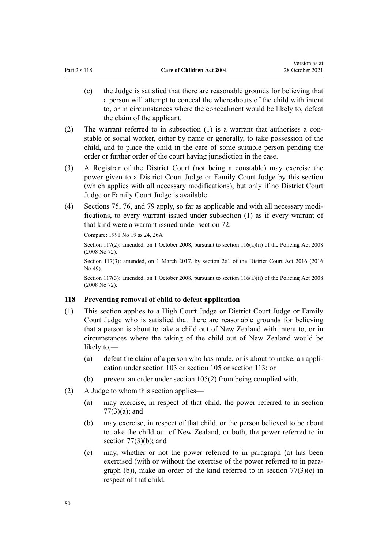- (c) the Judge is satisfied that there are reasonable grounds for believing that a person will attempt to conceal the whereabouts of the child with intent to, or in circumstances where the concealment would be likely to, defeat the claim of the applicant.
- (2) The warrant referred to in subsection  $(1)$  is a warrant that authorises a constable or social worker, either by name or generally, to take possession of the child, and to place the child in the care of some suitable person pending the order or further order of the court having jurisdiction in the case.
- (3) A Registrar of the District Court (not being a constable) may exercise the power given to a District Court Judge or Family Court Judge by this section (which applies with all necessary modifications), but only if no District Court Judge or Family Court Judge is available.
- (4) [Sections 75,](#page-57-0) [76](#page-58-0), and [79](#page-61-0) apply, so far as applicable and with all necessary modi‐ fications, to every warrant issued under subsection (1) as if every warrant of that kind were a warrant issued under [section 72](#page-56-0).

Compare: 1991 No 19 ss 24, 26A

Section 117(2): amended, on 1 October 2008, pursuant to [section 116\(a\)\(ii\)](http://legislation.govt.nz/pdflink.aspx?id=DLM1102349) of the Policing Act 2008 (2008 No 72).

Section 117(3): amended, on 1 March 2017, by [section 261](http://legislation.govt.nz/pdflink.aspx?id=DLM6942680) of the District Court Act 2016 (2016 No 49).

Section 117(3): amended, on 1 October 2008, pursuant to [section 116\(a\)\(ii\)](http://legislation.govt.nz/pdflink.aspx?id=DLM1102349) of the Policing Act 2008 (2008 No 72).

#### **118 Preventing removal of child to defeat application**

- (1) This section applies to a High Court Judge or District Court Judge or Family Court Judge who is satisfied that there are reasonable grounds for believing that a person is about to take a child out of New Zealand with intent to, or in circumstances where the taking of the child out of New Zealand would be likely to,—
	- (a) defeat the claim of a person who has made, or is about to make, an appli‐ cation under [section 103](#page-72-0) or [section 105](#page-73-0) or [section 113;](#page-77-0) or
	- (b) prevent an order under [section 105\(2\)](#page-73-0) from being complied with.
- (2) A Judge to whom this section applies—
	- (a) may exercise, in respect of that child, the power referred to in [section](#page-59-0) [77\(3\)\(a\);](#page-59-0) and
	- (b) may exercise, in respect of that child, or the person believed to be about to take the child out of New Zealand, or both, the power referred to in section  $77(3)(b)$ ; and
	- (c) may, whether or not the power referred to in paragraph (a) has been exercised (with or without the exercise of the power referred to in paragraph (b)), make an order of the kind referred to in section  $77(3)(c)$  in respect of that child.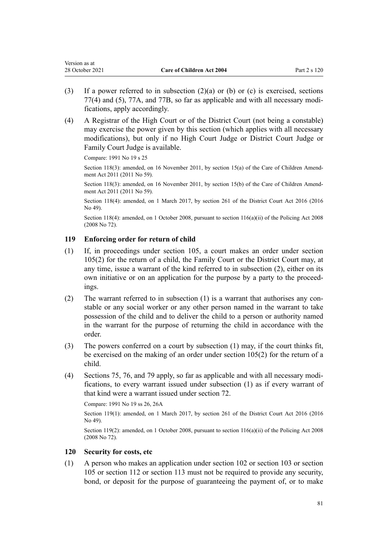- (3) If a power referred to in subsection  $(2)(a)$  or  $(b)$  or  $(c)$  is exercised, [sections](#page-59-0) [77\(4\) and \(5\),](#page-59-0) [77A,](#page-60-0) and [77B](#page-60-0), so far as applicable and with all necessary modi‐ fications, apply accordingly.
- (4) A Registrar of the High Court or of the District Court (not being a constable) may exercise the power given by this section (which applies with all necessary modifications), but only if no High Court Judge or District Court Judge or Family Court Judge is available.

Compare: 1991 No 19 s 25

Section 118(3): amended, on 16 November 2011, by [section 15\(a\)](http://legislation.govt.nz/pdflink.aspx?id=DLM3315028) of the Care of Children Amendment Act 2011 (2011 No 59).

Section 118(3): amended, on 16 November 2011, by [section 15\(b\)](http://legislation.govt.nz/pdflink.aspx?id=DLM3315028) of the Care of Children Amendment Act 2011 (2011 No 59).

Section 118(4): amended, on 1 March 2017, by [section 261](http://legislation.govt.nz/pdflink.aspx?id=DLM6942680) of the District Court Act 2016 (2016 No 49).

Section 118(4): amended, on 1 October 2008, pursuant to [section 116\(a\)\(ii\)](http://legislation.govt.nz/pdflink.aspx?id=DLM1102349) of the Policing Act 2008 (2008 No 72).

# **119 Enforcing order for return of child**

- (1) If, in proceedings under [section 105,](#page-73-0) a court makes an order under section 105(2) for the return of a child, the Family Court or the District Court may, at any time, issue a warrant of the kind referred to in subsection (2), either on its own initiative or on an application for the purpose by a party to the proceed‐ ings.
- (2) The warrant referred to in subsection  $(1)$  is a warrant that authorises any constable or any social worker or any other person named in the warrant to take possession of the child and to deliver the child to a person or authority named in the warrant for the purpose of returning the child in accordance with the order.
- (3) The powers conferred on a court by subsection (1) may, if the court thinks fit, be exercised on the making of an order under [section 105\(2\)](#page-73-0) for the return of a child.
- (4) [Sections 75,](#page-57-0) [76](#page-58-0), and [79](#page-61-0) apply, so far as applicable and with all necessary modi‐ fications, to every warrant issued under subsection (1) as if every warrant of that kind were a warrant issued under [section 72](#page-56-0).

Compare: 1991 No 19 ss 26, 26A

Section 119(1): amended, on 1 March 2017, by [section 261](http://legislation.govt.nz/pdflink.aspx?id=DLM6942680) of the District Court Act 2016 (2016 No 49).

Section 119(2): amended, on 1 October 2008, pursuant to [section 116\(a\)\(ii\)](http://legislation.govt.nz/pdflink.aspx?id=DLM1102349) of the Policing Act 2008 (2008 No 72).

# **120 Security for costs, etc**

(1) A person who makes an application under [section 102](#page-71-0) or [section 103](#page-72-0) or [section](#page-73-0) [105](#page-73-0) or [section 112](#page-77-0) or [section 113](#page-77-0) must not be required to provide any security, bond, or deposit for the purpose of guaranteeing the payment of, or to make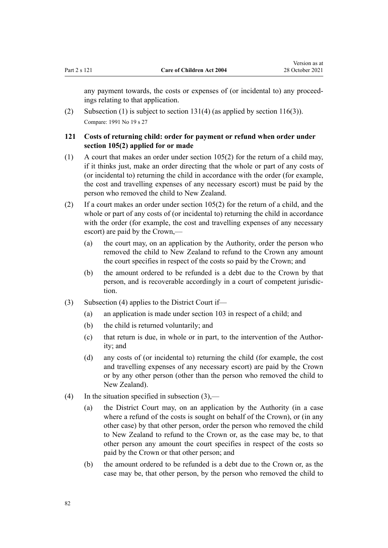<span id="page-81-0"></span>any payment towards, the costs or expenses of (or incidental to) any proceed‐ ings relating to that application.

(2) Subsection (1) is subject to [section 131\(4\)](#page-87-0) (as applied by [section 116\(3\)\)](#page-78-0). Compare: 1991 No 19 s 27

### **121 Costs of returning child: order for payment or refund when order under section 105(2) applied for or made**

- $(1)$  A court that makes an order under [section 105\(2\)](#page-73-0) for the return of a child may, if it thinks just, make an order directing that the whole or part of any costs of (or incidental to) returning the child in accordance with the order (for example, the cost and travelling expenses of any necessary escort) must be paid by the person who removed the child to New Zealand.
- (2) If a court makes an order under [section 105\(2\)](#page-73-0) for the return of a child, and the whole or part of any costs of (or incidental to) returning the child in accordance with the order (for example, the cost and travelling expenses of any necessary escort) are paid by the Crown,—
	- (a) the court may, on an application by the Authority, order the person who removed the child to New Zealand to refund to the Crown any amount the court specifies in respect of the costs so paid by the Crown; and
	- (b) the amount ordered to be refunded is a debt due to the Crown by that person, and is recoverable accordingly in a court of competent jurisdic‐ tion.
- (3) Subsection (4) applies to the District Court if—
	- (a) an application is made under [section 103](#page-72-0) in respect of a child; and
	- (b) the child is returned voluntarily; and
	- (c) that return is due, in whole or in part, to the intervention of the Author‐ ity; and
	- (d) any costs of (or incidental to) returning the child (for example, the cost and travelling expenses of any necessary escort) are paid by the Crown or by any other person (other than the person who removed the child to New Zealand).
- (4) In the situation specified in subsection  $(3)$ ,—
	- (a) the District Court may, on an application by the Authority (in a case where a refund of the costs is sought on behalf of the Crown), or (in any other case) by that other person, order the person who removed the child to New Zealand to refund to the Crown or, as the case may be, to that other person any amount the court specifies in respect of the costs so paid by the Crown or that other person; and
	- (b) the amount ordered to be refunded is a debt due to the Crown or, as the case may be, that other person, by the person who removed the child to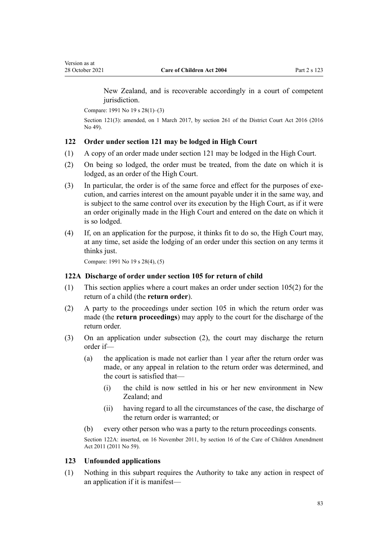<span id="page-82-0"></span>New Zealand, and is recoverable accordingly in a court of competent jurisdiction.

Compare: 1991 No 19 s 28(1)–(3)

Section 121(3): amended, on 1 March 2017, by [section 261](http://legislation.govt.nz/pdflink.aspx?id=DLM6942680) of the District Court Act 2016 (2016 No 49).

# **122 Order under section 121 may be lodged in High Court**

- (1) A copy of an order made under [section 121](#page-81-0) may be lodged in the High Court.
- (2) On being so lodged, the order must be treated, from the date on which it is lodged, as an order of the High Court.
- (3) In particular, the order is of the same force and effect for the purposes of execution, and carries interest on the amount payable under it in the same way, and is subject to the same control over its execution by the High Court, as if it were an order originally made in the High Court and entered on the date on which it is so lodged.
- (4) If, on an application for the purpose, it thinks fit to do so, the High Court may, at any time, set aside the lodging of an order under this section on any terms it thinks just.

Compare: 1991 No 19 s 28(4), (5)

#### **122A Discharge of order under section 105 for return of child**

- (1) This section applies where a court makes an order under [section 105\(2\)](#page-73-0) for the return of a child (the **return order**).
- (2) A party to the proceedings under [section 105](#page-73-0) in which the return order was made (the **return proceedings**) may apply to the court for the discharge of the return order.
- (3) On an application under subsection (2), the court may discharge the return order if—
	- (a) the application is made not earlier than 1 year after the return order was made, or any appeal in relation to the return order was determined, and the court is satisfied that—
		- (i) the child is now settled in his or her new environment in New Zealand; and
		- (ii) having regard to all the circumstances of the case, the discharge of the return order is warranted; or
	- (b) every other person who was a party to the return proceedings consents.

Section 122A: inserted, on 16 November 2011, by [section 16](http://legislation.govt.nz/pdflink.aspx?id=DLM3315029) of the Care of Children Amendment Act 2011 (2011 No 59).

#### **123 Unfounded applications**

(1) Nothing in this subpart requires the Authority to take any action in respect of an application if it is manifest—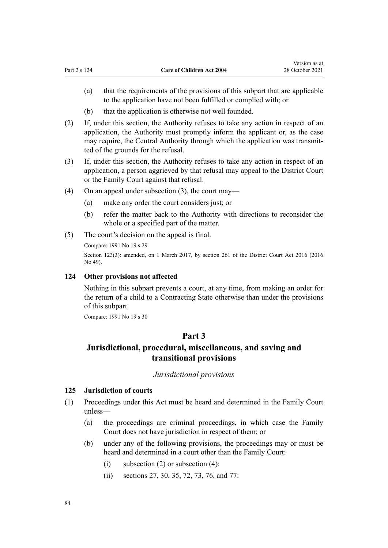- (a) that the requirements of the provisions of this subpart that are applicable to the application have not been fulfilled or complied with; or
- (b) that the application is otherwise not well founded.
- (2) If, under this section, the Authority refuses to take any action in respect of an application, the Authority must promptly inform the applicant or, as the case may require, the Central Authority through which the application was transmitted of the grounds for the refusal.
- (3) If, under this section, the Authority refuses to take any action in respect of an application, a person aggrieved by that refusal may appeal to the District Court or the Family Court against that refusal.
- (4) On an appeal under subsection (3), the court may—
	- (a) make any order the court considers just; or
	- (b) refer the matter back to the Authority with directions to reconsider the whole or a specified part of the matter.
- (5) The court's decision on the appeal is final.

```
Compare: 1991 No 19 s 29
```
Section 123(3): amended, on 1 March 2017, by [section 261](http://legislation.govt.nz/pdflink.aspx?id=DLM6942680) of the District Court Act 2016 (2016 No 49).

#### **124 Other provisions not affected**

Nothing in this subpart prevents a court, at any time, from making an order for the return of a child to a Contracting State otherwise than under the provisions of this subpart.

Compare: 1991 No 19 s 30

# **Part 3**

# **Jurisdictional, procedural, miscellaneous, and saving and transitional provisions**

#### *Jurisdictional provisions*

#### **125 Jurisdiction of courts**

- (1) Proceedings under this Act must be heard and determined in the Family Court unless—
	- (a) the proceedings are criminal proceedings, in which case the Family Court does not have jurisdiction in respect of them; or
	- (b) under any of the following provisions, the proceedings may or must be heard and determined in a court other than the Family Court:
		- (i) subsection  $(2)$  or subsection  $(4)$ :
		- (ii) [sections 27,](#page-23-0) [30,](#page-25-0) [35](#page-29-0), [72](#page-56-0), [73,](#page-56-0) [76,](#page-58-0) and [77:](#page-59-0)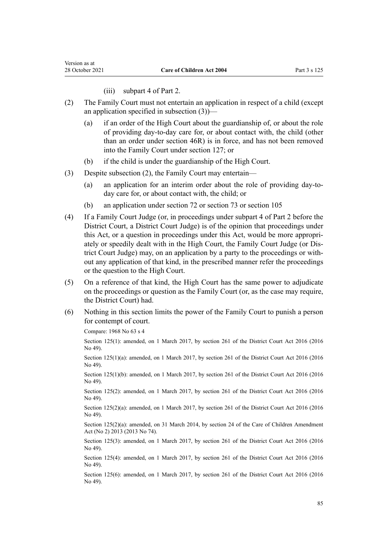#### (iii) [subpart 4](#page-69-0) of Part 2.

- (2) The Family Court must not entertain an application in respect of a child (except an application specified in subsection (3))—
	- (a) if an order of the High Court about the guardianship of, or about the role of providing day-to-day care for, or about contact with, the child (other than an order under [section 46R\)](#page-41-0) is in force, and has not been removed into the Family Court under [section 127](#page-85-0); or
	- (b) if the child is under the guardianship of the High Court.
- (3) Despite subsection (2), the Family Court may entertain—
	- (a) an application for an interim order about the role of providing day-today care for, or about contact with, the child; or
	- (b) an application under [section 72](#page-56-0) or [section 73](#page-56-0) or [section 105](#page-73-0)
- (4) If a Family Court Judge (or, in proceedings under [subpart 4](#page-69-0) of Part 2 before the District Court, a District Court Judge) is of the opinion that proceedings under this Act, or a question in proceedings under this Act, would be more appropri‐ ately or speedily dealt with in the High Court, the Family Court Judge (or Dis‐ trict Court Judge) may, on an application by a party to the proceedings or with‐ out any application of that kind, in the prescribed manner refer the proceedings or the question to the High Court.
- (5) On a reference of that kind, the High Court has the same power to adjudicate on the proceedings or question as the Family Court (or, as the case may require, the District Court) had.
- (6) Nothing in this section limits the power of the Family Court to punish a person for contempt of court.

Compare: 1968 No 63 s 4

Section 125(1): amended, on 1 March 2017, by [section 261](http://legislation.govt.nz/pdflink.aspx?id=DLM6942680) of the District Court Act 2016 (2016 No 49).

Section 125(1)(a): amended, on 1 March 2017, by [section 261](http://legislation.govt.nz/pdflink.aspx?id=DLM6942680) of the District Court Act 2016 (2016 No 49).

Section 125(1)(b): amended, on 1 March 2017, by [section 261](http://legislation.govt.nz/pdflink.aspx?id=DLM6942680) of the District Court Act 2016 (2016 No 49).

Section 125(2): amended, on 1 March 2017, by [section 261](http://legislation.govt.nz/pdflink.aspx?id=DLM6942680) of the District Court Act 2016 (2016 No 49).

Section 125(2)(a): amended, on 1 March 2017, by [section 261](http://legislation.govt.nz/pdflink.aspx?id=DLM6942680) of the District Court Act 2016 (2016) No 49).

Section 125(2)(a): amended, on 31 March 2014, by [section 24](http://legislation.govt.nz/pdflink.aspx?id=DLM5574211) of the Care of Children Amendment Act (No 2) 2013 (2013 No 74).

Section 125(3): amended, on 1 March 2017, by [section 261](http://legislation.govt.nz/pdflink.aspx?id=DLM6942680) of the District Court Act 2016 (2016 No 49).

Section 125(4): amended, on 1 March 2017, by [section 261](http://legislation.govt.nz/pdflink.aspx?id=DLM6942680) of the District Court Act 2016 (2016 No 49).

Section 125(6): amended, on 1 March 2017, by [section 261](http://legislation.govt.nz/pdflink.aspx?id=DLM6942680) of the District Court Act 2016 (2016) No 49).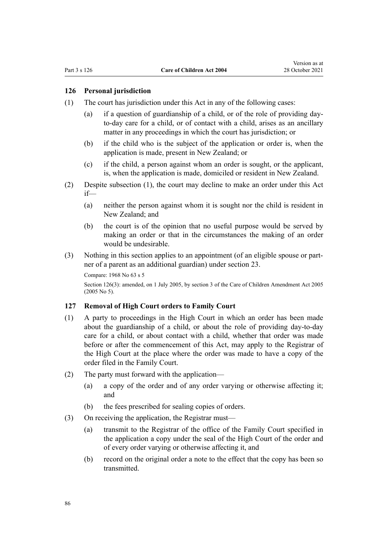### <span id="page-85-0"></span>**126 Personal jurisdiction**

- (1) The court has jurisdiction under this Act in any of the following cases:
	- (a) if a question of guardianship of a child, or of the role of providing dayto-day care for a child, or of contact with a child, arises as an ancillary matter in any proceedings in which the court has jurisdiction; or
	- (b) if the child who is the subject of the application or order is, when the application is made, present in New Zealand; or
	- (c) if the child, a person against whom an order is sought, or the applicant, is, when the application is made, domiciled or resident in New Zealand.
- (2) Despite subsection (1), the court may decline to make an order under this Act if—
	- (a) neither the person against whom it is sought nor the child is resident in New Zealand; and
	- (b) the court is of the opinion that no useful purpose would be served by making an order or that in the circumstances the making of an order would be undesirable.
- (3) Nothing in this section applies to an appointment (of an eligible spouse or part‐ ner of a parent as an additional guardian) under [section 23.](#page-20-0)

Compare: 1968 No 63 s 5

Section 126(3): amended, on 1 July 2005, by [section 3](http://legislation.govt.nz/pdflink.aspx?id=DLM334765) of the Care of Children Amendment Act 2005 (2005 No 5).

#### **127 Removal of High Court orders to Family Court**

- (1) A party to proceedings in the High Court in which an order has been made about the guardianship of a child, or about the role of providing day-to-day care for a child, or about contact with a child, whether that order was made before or after the commencement of this Act, may apply to the Registrar of the High Court at the place where the order was made to have a copy of the order filed in the Family Court.
- (2) The party must forward with the application—
	- (a) a copy of the order and of any order varying or otherwise affecting it; and
	- (b) the fees prescribed for sealing copies of orders.
- (3) On receiving the application, the Registrar must—
	- (a) transmit to the Registrar of the office of the Family Court specified in the application a copy under the seal of the High Court of the order and of every order varying or otherwise affecting it, and
	- (b) record on the original order a note to the effect that the copy has been so transmitted.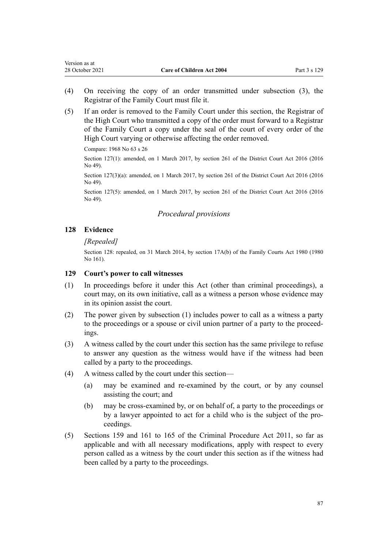- (4) On receiving the copy of an order transmitted under subsection (3), the Registrar of the Family Court must file it.
- (5) If an order is removed to the Family Court under this section, the Registrar of the High Court who transmitted a copy of the order must forward to a Registrar of the Family Court a copy under the seal of the court of every order of the High Court varying or otherwise affecting the order removed.

Compare: 1968 No 63 s 26

Section 127(1): amended, on 1 March 2017, by [section 261](http://legislation.govt.nz/pdflink.aspx?id=DLM6942680) of the District Court Act 2016 (2016 No 49).

Section 127(3)(a): amended, on 1 March 2017, by [section 261](http://legislation.govt.nz/pdflink.aspx?id=DLM6942680) of the District Court Act 2016 (2016 No 49).

Section 127(5): amended, on 1 March 2017, by [section 261](http://legislation.govt.nz/pdflink.aspx?id=DLM6942680) of the District Court Act 2016 (2016) No 49).

# *Procedural provisions*

### **128 Evidence**

#### *[Repealed]*

Section 128: repealed, on 31 March 2014, by [section 17A\(b\)](http://legislation.govt.nz/pdflink.aspx?id=DLM6025517) of the Family Courts Act 1980 (1980 No 161).

# **129 Court's power to call witnesses**

- (1) In proceedings before it under this Act (other than criminal proceedings), a court may, on its own initiative, call as a witness a person whose evidence may in its opinion assist the court.
- (2) The power given by subsection (1) includes power to call as a witness a party to the proceedings or a spouse or civil union partner of a party to the proceed‐ ings.
- (3) A witness called by the court under this section has the same privilege to refuse to answer any question as the witness would have if the witness had been called by a party to the proceedings.
- (4) A witness called by the court under this section—
	- (a) may be examined and re-examined by the court, or by any counsel assisting the court; and
	- (b) may be cross-examined by, or on behalf of, a party to the proceedings or by a lawyer appointed to act for a child who is the subject of the pro‐ ceedings.
- (5) [Sections 159](http://legislation.govt.nz/pdflink.aspx?id=DLM3360276) and [161 to 165](http://legislation.govt.nz/pdflink.aspx?id=DLM3360278) of the Criminal Procedure Act 2011, so far as applicable and with all necessary modifications, apply with respect to every person called as a witness by the court under this section as if the witness had been called by a party to the proceedings.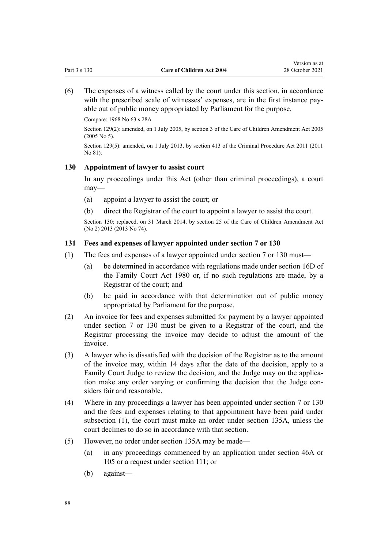<span id="page-87-0"></span>(6) The expenses of a witness called by the court under this section, in accordance with the prescribed scale of witnesses' expenses, are in the first instance payable out of public money appropriated by Parliament for the purpose.

Compare: 1968 No 63 s 28A

Section 129(2): amended, on 1 July 2005, by [section 3](http://legislation.govt.nz/pdflink.aspx?id=DLM334765) of the Care of Children Amendment Act 2005 (2005 No 5).

Section 129(5): amended, on 1 July 2013, by [section 413](http://legislation.govt.nz/pdflink.aspx?id=DLM3360714) of the Criminal Procedure Act 2011 (2011 No 81).

#### **130 Appointment of lawyer to assist court**

In any proceedings under this Act (other than criminal proceedings), a court may—

- (a) appoint a lawyer to assist the court; or
- (b) direct the Registrar of the court to appoint a lawyer to assist the court.

Section 130: replaced, on 31 March 2014, by [section 25](http://legislation.govt.nz/pdflink.aspx?id=DLM4897343) of the Care of Children Amendment Act (No 2) 2013 (2013 No 74).

#### **131 Fees and expenses of lawyer appointed under section 7 or 130**

- (1) The fees and expenses of a lawyer appointed under [section 7](#page-11-0) or 130 must—
	- (a) be determined in accordance with regulations made under [section 16D](http://legislation.govt.nz/pdflink.aspx?id=DLM6025512) of the Family Court Act 1980 or, if no such regulations are made, by a Registrar of the court; and
	- (b) be paid in accordance with that determination out of public money appropriated by Parliament for the purpose.
- (2) An invoice for fees and expenses submitted for payment by a lawyer appointed under [section 7](#page-11-0) or 130 must be given to a Registrar of the court, and the Registrar processing the invoice may decide to adjust the amount of the invoice.
- (3) A lawyer who is dissatisfied with the decision of the Registrar as to the amount of the invoice may, within 14 days after the date of the decision, apply to a Family Court Judge to review the decision, and the Judge may on the application make any order varying or confirming the decision that the Judge considers fair and reasonable.
- (4) Where in any proceedings a lawyer has been appointed under [section 7](#page-11-0) or 130 and the fees and expenses relating to that appointment have been paid under subsection (1), the court must make an order under [section 135A,](#page-94-0) unless the court declines to do so in accordance with that section.
- (5) However, no order under [section 135A](#page-94-0) may be made—
	- (a) in any proceedings commenced by an application under [section 46A](#page-35-0) or [105](#page-73-0) or a request under [section 111;](#page-76-0) or
	- (b) against—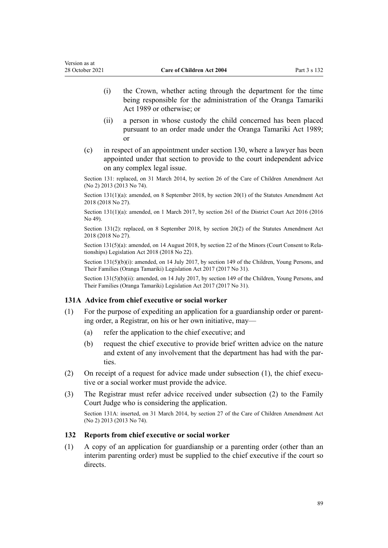- (i) the Crown, whether acting through the department for the time being responsible for the administration of the [Oranga Tamariki](http://legislation.govt.nz/pdflink.aspx?id=DLM147087) [Act 1989](http://legislation.govt.nz/pdflink.aspx?id=DLM147087) or otherwise; or
- (ii) a person in whose custody the child concerned has been placed pursuant to an order made under the [Oranga Tamariki Act 1989;](http://legislation.govt.nz/pdflink.aspx?id=DLM147087) or
- (c) in respect of an appointment under [section 130](#page-87-0), where a lawyer has been appointed under that section to provide to the court independent advice on any complex legal issue.

Section 131: replaced, on 31 March 2014, by [section 26](http://legislation.govt.nz/pdflink.aspx?id=DLM5242823) of the Care of Children Amendment Act (No 2) 2013 (2013 No 74).

Section 131(1)(a): amended, on 8 September 2018, by [section 20\(1\)](http://legislation.govt.nz/pdflink.aspx?id=DLM7227064) of the Statutes Amendment Act 2018 (2018 No 27).

Section 131(1)(a): amended, on 1 March 2017, by [section 261](http://legislation.govt.nz/pdflink.aspx?id=DLM6942680) of the District Court Act 2016 (2016) No 49).

Section 131(2): replaced, on 8 September 2018, by [section 20\(2\)](http://legislation.govt.nz/pdflink.aspx?id=DLM7227064) of the Statutes Amendment Act 2018 (2018 No 27).

Section 131(5)(a): amended, on 14 August 2018, by [section 22](http://legislation.govt.nz/pdflink.aspx?id=LMS25390) of the Minors (Court Consent to Relationships) Legislation Act 2018 (2018 No 22).

Section 131(5)(b)(i): amended, on 14 July 2017, by [section 149](http://legislation.govt.nz/pdflink.aspx?id=DLM7287401) of the Children, Young Persons, and Their Families (Oranga Tamariki) Legislation Act 2017 (2017 No 31).

Section 131(5)(b)(ii): amended, on 14 July 2017, by [section 149](http://legislation.govt.nz/pdflink.aspx?id=DLM7287401) of the Children, Young Persons, and Their Families (Oranga Tamariki) Legislation Act 2017 (2017 No 31).

### **131A Advice from chief executive or social worker**

<span id="page-88-0"></span>Version as at

- (1) For the purpose of expediting an application for a guardianship order or parent‐ ing order, a Registrar, on his or her own initiative, may—
	- (a) refer the application to the chief executive; and
	- (b) request the chief executive to provide brief written advice on the nature and extent of any involvement that the department has had with the parties.
- (2) On receipt of a request for advice made under subsection  $(1)$ , the chief executive or a social worker must provide the advice.
- (3) The Registrar must refer advice received under subsection (2) to the Family Court Judge who is considering the application.

Section 131A: inserted, on 31 March 2014, by [section 27](http://legislation.govt.nz/pdflink.aspx?id=DLM5242825) of the Care of Children Amendment Act (No 2) 2013 (2013 No 74).

### **132 Reports from chief executive or social worker**

(1) A copy of an application for guardianship or a parenting order (other than an interim parenting order) must be supplied to the chief executive if the court so directs.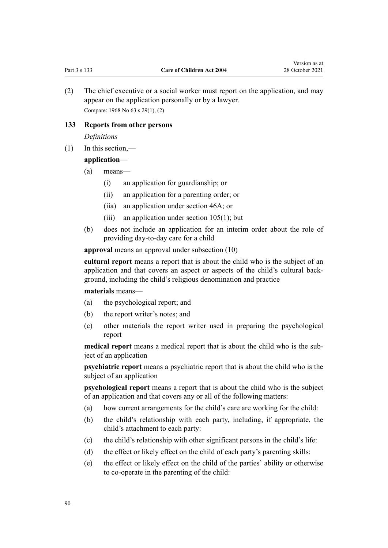<span id="page-89-0"></span>(2) The chief executive or a social worker must report on the application, and may appear on the application personally or by a lawyer. Compare: 1968 No 63 s 29(1), (2)

# **133 Reports from other persons**

*Definitions*

(1) In this section,—

#### **application**—

- (a) means—
	- (i) an application for guardianship; or
	- (ii) an application for a parenting order; or
	- (iia) an application under [section 46A](#page-35-0); or
	- (iii) an application under section  $105(1)$ ; but
- (b) does not include an application for an interim order about the role of providing day-to-day care for a child

**approval** means an approval under subsection (10)

**cultural report** means a report that is about the child who is the subject of an application and that covers an aspect or aspects of the child's cultural back‐ ground, including the child's religious denomination and practice

#### **materials** means—

- (a) the psychological report; and
- (b) the report writer's notes; and
- (c) other materials the report writer used in preparing the psychological report

**medical report** means a medical report that is about the child who is the subject of an application

**psychiatric report** means a psychiatric report that is about the child who is the subject of an application

**psychological report** means a report that is about the child who is the subject of an application and that covers any or all of the following matters:

- (a) how current arrangements for the child's care are working for the child:
- (b) the child's relationship with each party, including, if appropriate, the child's attachment to each party:
- (c) the child's relationship with other significant persons in the child's life:
- (d) the effect or likely effect on the child of each party's parenting skills:
- (e) the effect or likely effect on the child of the parties' ability or otherwise to co-operate in the parenting of the child: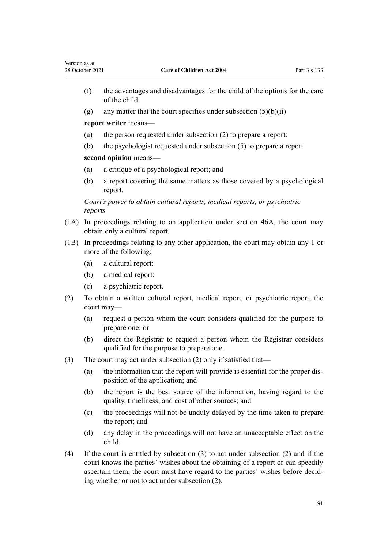- (f) the advantages and disadvantages for the child of the options for the care of the child:
- $(g)$  any matter that the court specifies under subsection  $(5)(b)(ii)$

**report writer** means—

Version as at

- (a) the person requested under subsection (2) to prepare a report:
- (b) the psychologist requested under subsection (5) to prepare a report

#### **second opinion** means—

- (a) a critique of a psychological report; and
- (b) a report covering the same matters as those covered by a psychological report.

*Court's power to obtain cultural reports, medical reports, or psychiatric reports*

- (1A) In proceedings relating to an application under [section 46A](#page-35-0), the court may obtain only a cultural report.
- (1B) In proceedings relating to any other application, the court may obtain any 1 or more of the following:
	- (a) a cultural report:
	- (b) a medical report:
	- (c) a psychiatric report.
- (2) To obtain a written cultural report, medical report, or psychiatric report, the court may—
	- (a) request a person whom the court considers qualified for the purpose to prepare one; or
	- (b) direct the Registrar to request a person whom the Registrar considers qualified for the purpose to prepare one.
- (3) The court may act under subsection (2) only if satisfied that—
	- (a) the information that the report will provide is essential for the proper dis‐ position of the application; and
	- (b) the report is the best source of the information, having regard to the quality, timeliness, and cost of other sources; and
	- (c) the proceedings will not be unduly delayed by the time taken to prepare the report; and
	- (d) any delay in the proceedings will not have an unacceptable effect on the child.
- (4) If the court is entitled by subsection (3) to act under subsection (2) and if the court knows the parties' wishes about the obtaining of a report or can speedily ascertain them, the court must have regard to the parties' wishes before decid‐ ing whether or not to act under subsection (2).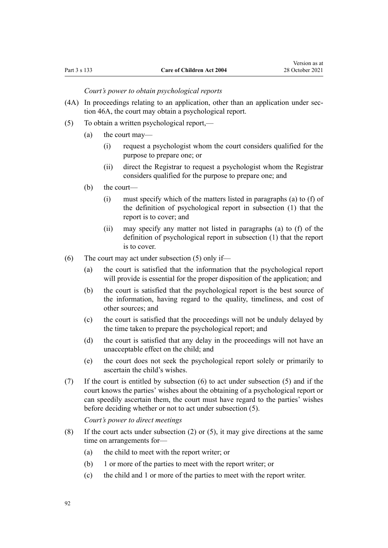## *Court's power to obtain psychological reports*

- (4A) In proceedings relating to an application, other than an application under sec[tion 46A,](#page-35-0) the court may obtain a psychological report.
- (5) To obtain a written psychological report,—
	- (a) the court may—
		- (i) request a psychologist whom the court considers qualified for the purpose to prepare one; or
		- (ii) direct the Registrar to request a psychologist whom the Registrar considers qualified for the purpose to prepare one; and
	- (b) the court—
		- (i) must specify which of the matters listed in paragraphs (a) to (f) of the definition of psychological report in subsection (1) that the report is to cover; and
		- (ii) may specify any matter not listed in paragraphs (a) to (f) of the definition of psychological report in subsection (1) that the report is to cover.
- (6) The court may act under subsection  $(5)$  only if—
	- (a) the court is satisfied that the information that the psychological report will provide is essential for the proper disposition of the application; and
	- (b) the court is satisfied that the psychological report is the best source of the information, having regard to the quality, timeliness, and cost of other sources; and
	- (c) the court is satisfied that the proceedings will not be unduly delayed by the time taken to prepare the psychological report; and
	- (d) the court is satisfied that any delay in the proceedings will not have an unacceptable effect on the child; and
	- (e) the court does not seek the psychological report solely or primarily to ascertain the child's wishes.
- (7) If the court is entitled by subsection (6) to act under subsection (5) and if the court knows the parties' wishes about the obtaining of a psychological report or can speedily ascertain them, the court must have regard to the parties' wishes before deciding whether or not to act under subsection (5).

### *Court's power to direct meetings*

- (8) If the court acts under subsection (2) or (5), it may give directions at the same time on arrangements for—
	- (a) the child to meet with the report writer; or
	- (b) 1 or more of the parties to meet with the report writer; or
	- (c) the child and 1 or more of the parties to meet with the report writer.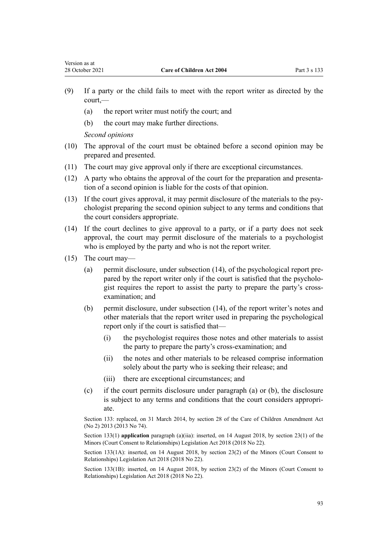- (9) If a party or the child fails to meet with the report writer as directed by the court,—
	- (a) the report writer must notify the court; and
	- (b) the court may make further directions.

*Second opinions*

- (10) The approval of the court must be obtained before a second opinion may be prepared and presented.
- (11) The court may give approval only if there are exceptional circumstances.
- (12) A party who obtains the approval of the court for the preparation and presenta‐ tion of a second opinion is liable for the costs of that opinion.
- (13) If the court gives approval, it may permit disclosure of the materials to the psy‐ chologist preparing the second opinion subject to any terms and conditions that the court considers appropriate.
- (14) If the court declines to give approval to a party, or if a party does not seek approval, the court may permit disclosure of the materials to a psychologist who is employed by the party and who is not the report writer.
- (15) The court may—
	- (a) permit disclosure, under subsection (14), of the psychological report pre‐ pared by the report writer only if the court is satisfied that the psychologist requires the report to assist the party to prepare the party's crossexamination; and
	- (b) permit disclosure, under subsection (14), of the report writer's notes and other materials that the report writer used in preparing the psychological report only if the court is satisfied that—
		- (i) the psychologist requires those notes and other materials to assist the party to prepare the party's cross-examination; and
		- (ii) the notes and other materials to be released comprise information solely about the party who is seeking their release; and
		- (iii) there are exceptional circumstances; and
	- (c) if the court permits disclosure under paragraph (a) or (b), the disclosure is subject to any terms and conditions that the court considers appropri‐ ate.

Section 133: replaced, on 31 March 2014, by [section 28](http://legislation.govt.nz/pdflink.aspx?id=DLM4897346) of the Care of Children Amendment Act (No 2) 2013 (2013 No 74).

Section 133(1) **application** paragraph (a)(iia): inserted, on 14 August 2018, by [section 23\(1\)](http://legislation.govt.nz/pdflink.aspx?id=LMS25391) of the Minors (Court Consent to Relationships) Legislation Act 2018 (2018 No 22).

Section 133(1A): inserted, on 14 August 2018, by [section 23\(2\)](http://legislation.govt.nz/pdflink.aspx?id=LMS25391) of the Minors (Court Consent to Relationships) Legislation Act 2018 (2018 No 22).

Section 133(1B): inserted, on 14 August 2018, by [section 23\(2\)](http://legislation.govt.nz/pdflink.aspx?id=LMS25391) of the Minors (Court Consent to Relationships) Legislation Act 2018 (2018 No 22).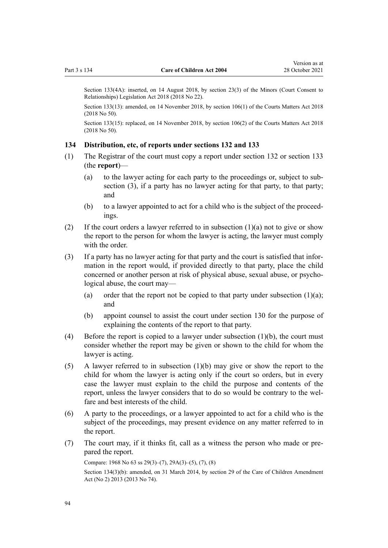Section 133(4A): inserted, on 14 August 2018, by [section 23\(3\)](http://legislation.govt.nz/pdflink.aspx?id=LMS25391) of the Minors (Court Consent to Relationships) Legislation Act 2018 (2018 No 22).

Section 133(13): amended, on 14 November 2018, by [section 106\(1\)](http://legislation.govt.nz/pdflink.aspx?id=DLM7371814) of the Courts Matters Act 2018 (2018 No 50).

Section 133(15): replaced, on 14 November 2018, by [section 106\(2\)](http://legislation.govt.nz/pdflink.aspx?id=DLM7371814) of the Courts Matters Act 2018 (2018 No 50).

#### **134 Distribution, etc, of reports under sections 132 and 133**

- (1) The Registrar of the court must copy a report under [section 132](#page-88-0) or [section 133](#page-89-0) (the **report**)—
	- (a) to the lawyer acting for each party to the proceedings or, subject to sub‐ section (3), if a party has no lawyer acting for that party, to that party; and
	- (b) to a lawyer appointed to act for a child who is the subject of the proceed‐ ings.
- (2) If the court orders a lawyer referred to in subsection  $(1)(a)$  not to give or show the report to the person for whom the lawyer is acting, the lawyer must comply with the order.
- (3) If a party has no lawyer acting for that party and the court is satisfied that infor‐ mation in the report would, if provided directly to that party, place the child concerned or another person at risk of physical abuse, sexual abuse, or psychological abuse, the court may—
	- (a) order that the report not be copied to that party under subsection  $(1)(a)$ ; and
	- (b) appoint counsel to assist the court under [section 130](#page-87-0) for the purpose of explaining the contents of the report to that party.
- (4) Before the report is copied to a lawyer under subsection (1)(b), the court must consider whether the report may be given or shown to the child for whom the lawyer is acting.
- (5) A lawyer referred to in subsection (1)(b) may give or show the report to the child for whom the lawyer is acting only if the court so orders, but in every case the lawyer must explain to the child the purpose and contents of the report, unless the lawyer considers that to do so would be contrary to the welfare and best interests of the child.
- (6) A party to the proceedings, or a lawyer appointed to act for a child who is the subject of the proceedings, may present evidence on any matter referred to in the report.
- (7) The court may, if it thinks fit, call as a witness the person who made or pre‐ pared the report.

Compare: 1968 No 63 ss 29(3)–(7), 29A(3)–(5), (7), (8)

Section 134(3)(b): amended, on 31 March 2014, by [section 29](http://legislation.govt.nz/pdflink.aspx?id=DLM4897366) of the Care of Children Amendment Act (No 2) 2013 (2013 No 74).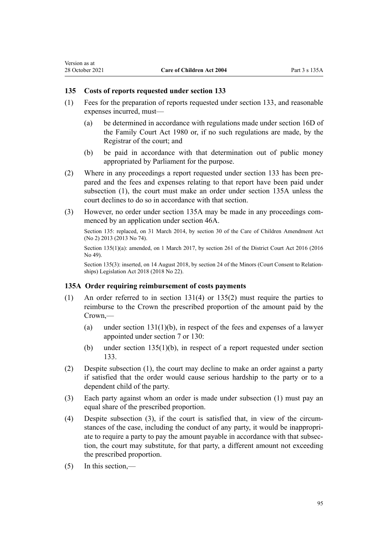# <span id="page-94-0"></span>**135 Costs of reports requested under section 133**

- (1) Fees for the preparation of reports requested under [section 133,](#page-89-0) and reasonable expenses incurred, must—
	- (a) be determined in accordance with regulations made under [section 16D](http://legislation.govt.nz/pdflink.aspx?id=DLM6025512) of the Family Court Act 1980 or, if no such regulations are made, by the Registrar of the court; and
	- (b) be paid in accordance with that determination out of public money appropriated by Parliament for the purpose.
- (2) Where in any proceedings a report requested under [section 133](#page-89-0) has been pre‐ pared and the fees and expenses relating to that report have been paid under subsection (1), the court must make an order under section 135A unless the court declines to do so in accordance with that section.
- (3) However, no order under section 135A may be made in any proceedings commenced by an application under [section 46A](#page-35-0).

Section 135: replaced, on 31 March 2014, by [section 30](http://legislation.govt.nz/pdflink.aspx?id=DLM4897367) of the Care of Children Amendment Act (No 2) 2013 (2013 No 74).

Section 135(1)(a): amended, on 1 March 2017, by [section 261](http://legislation.govt.nz/pdflink.aspx?id=DLM6942680) of the District Court Act 2016 (2016 No 49).

Section 135(3): inserted, on 14 August 2018, by [section 24](http://legislation.govt.nz/pdflink.aspx?id=LMS25392) of the Minors (Court Consent to Relationships) Legislation Act 2018 (2018 No 22).

### **135A Order requiring reimbursement of costs payments**

- (1) An order referred to in [section 131\(4\)](#page-87-0) or 135(2) must require the parties to reimburse to the Crown the prescribed proportion of the amount paid by the Crown,—
	- (a) under [section 131\(1\)\(b\)](#page-87-0), in respect of the fees and expenses of a lawyer appointed under [section 7](#page-11-0) or [130](#page-87-0):
	- (b) under section 135(1)(b), in respect of a report requested under [section](#page-89-0) [133](#page-89-0).
- (2) Despite subsection (1), the court may decline to make an order against a party if satisfied that the order would cause serious hardship to the party or to a dependent child of the party.
- (3) Each party against whom an order is made under subsection (1) must pay an equal share of the prescribed proportion.
- (4) Despite subsection (3), if the court is satisfied that, in view of the circum‐ stances of the case, including the conduct of any party, it would be inappropri‐ ate to require a party to pay the amount payable in accordance with that subsec‐ tion, the court may substitute, for that party, a different amount not exceeding the prescribed proportion.
- (5) In this section,—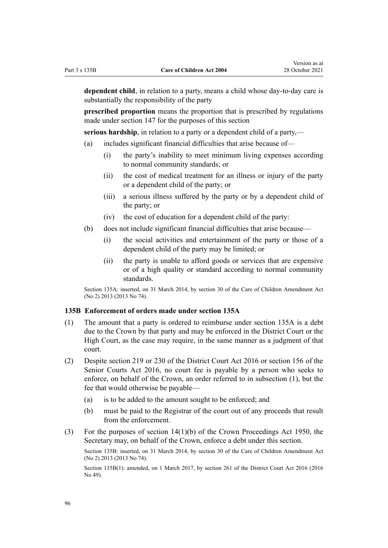**dependent child**, in relation to a party, means a child whose day-to-day care is substantially the responsibility of the party

**prescribed proportion** means the proportion that is prescribed by regulations made under [section 147](#page-102-0) for the purposes of this section

**serious hardship**, in relation to a party or a dependent child of a party,—

- (a) includes significant financial difficulties that arise because of—
	- (i) the party's inability to meet minimum living expenses according to normal community standards; or
	- (ii) the cost of medical treatment for an illness or injury of the party or a dependent child of the party; or
	- (iii) a serious illness suffered by the party or by a dependent child of the party; or
	- (iv) the cost of education for a dependent child of the party:
- (b) does not include significant financial difficulties that arise because—
	- (i) the social activities and entertainment of the party or those of a dependent child of the party may be limited; or
	- (ii) the party is unable to afford goods or services that are expensive or of a high quality or standard according to normal community standards.

Section 135A: inserted, on 31 March 2014, by [section 30](http://legislation.govt.nz/pdflink.aspx?id=DLM4897367) of the Care of Children Amendment Act (No 2) 2013 (2013 No 74).

#### **135B Enforcement of orders made under section 135A**

- (1) The amount that a party is ordered to reimburse under [section 135A](#page-94-0) is a debt due to the Crown by that party and may be enforced in the District Court or the High Court, as the case may require, in the same manner as a judgment of that court.
- (2) Despite [section 219](http://legislation.govt.nz/pdflink.aspx?id=DLM6942616) or [230](http://legislation.govt.nz/pdflink.aspx?id=DLM6942631) of the District Court Act 2016 or [section 156](http://legislation.govt.nz/pdflink.aspx?id=DLM5759513) of the Senior Courts Act 2016, no court fee is payable by a person who seeks to enforce, on behalf of the Crown, an order referred to in subsection (1), but the fee that would otherwise be payable—
	- (a) is to be added to the amount sought to be enforced; and
	- (b) must be paid to the Registrar of the court out of any proceeds that result from the enforcement.
- (3) For the purposes of [section 14\(1\)\(b\)](http://legislation.govt.nz/pdflink.aspx?id=DLM261944) of the Crown Proceedings Act 1950, the Secretary may, on behalf of the Crown, enforce a debt under this section.

Section 135B: inserted, on 31 March 2014, by [section 30](http://legislation.govt.nz/pdflink.aspx?id=DLM4897367) of the Care of Children Amendment Act (No 2) 2013 (2013 No 74).

Section 135B(1): amended, on 1 March 2017, by [section 261](http://legislation.govt.nz/pdflink.aspx?id=DLM6942680) of the District Court Act 2016 (2016 No 49).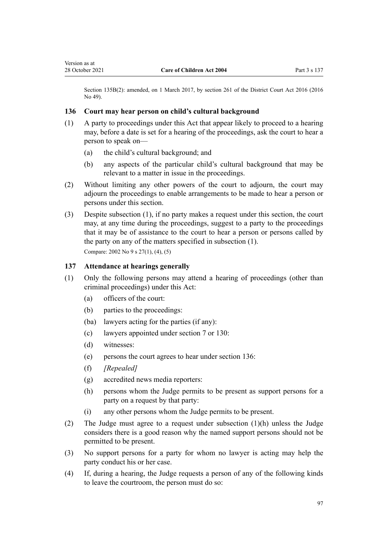<span id="page-96-0"></span>Section 135B(2): amended, on 1 March 2017, by [section 261](http://legislation.govt.nz/pdflink.aspx?id=DLM6942680) of the District Court Act 2016 (2016 No 49).

### **136 Court may hear person on child's cultural background**

- (1) A party to proceedings under this Act that appear likely to proceed to a hearing may, before a date is set for a hearing of the proceedings, ask the court to hear a person to speak on—
	- (a) the child's cultural background; and
	- (b) any aspects of the particular child's cultural background that may be relevant to a matter in issue in the proceedings.
- (2) Without limiting any other powers of the court to adjourn, the court may adjourn the proceedings to enable arrangements to be made to hear a person or persons under this section.
- (3) Despite subsection (1), if no party makes a request under this section, the court may, at any time during the proceedings, suggest to a party to the proceedings that it may be of assistance to the court to hear a person or persons called by the party on any of the matters specified in subsection (1). Compare: 2002 No 9 [s 27\(1\), \(4\), \(5\)](http://legislation.govt.nz/pdflink.aspx?id=DLM135583)

#### **137 Attendance at hearings generally**

- (1) Only the following persons may attend a hearing of proceedings (other than criminal proceedings) under this Act:
	- (a) officers of the court:
	- (b) parties to the proceedings:
	- (ba) lawyers acting for the parties (if any):
	- (c) lawyers appointed under [section 7](#page-11-0) or [130:](#page-87-0)
	- (d) witnesses:
	- (e) persons the court agrees to hear under section 136:
	- (f) *[Repealed]*
	- (g) accredited news media reporters:
	- (h) persons whom the Judge permits to be present as support persons for a party on a request by that party:
	- (i) any other persons whom the Judge permits to be present.
- (2) The Judge must agree to a request under subsection (1)(h) unless the Judge considers there is a good reason why the named support persons should not be permitted to be present.
- (3) No support persons for a party for whom no lawyer is acting may help the party conduct his or her case.
- (4) If, during a hearing, the Judge requests a person of any of the following kinds to leave the courtroom, the person must do so: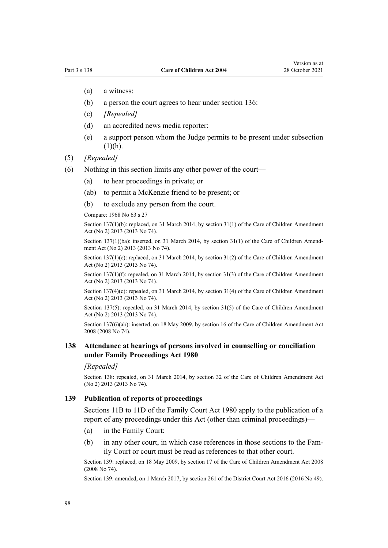- (a) a witness:
- (b) a person the court agrees to hear under [section 136:](#page-96-0)
- (c) *[Repealed]*
- (d) an accredited news media reporter:
- (e) a support person whom the Judge permits to be present under subsection  $(1)(h)$ .
- (5) *[Repealed]*
- (6) Nothing in this section limits any other power of the court—
	- (a) to hear proceedings in private; or
	- (ab) to permit a McKenzie friend to be present; or
	- (b) to exclude any person from the court.

Compare: 1968 No 63 s 27

Section 137(1)(b): replaced, on 31 March 2014, by [section 31\(1\)](http://legislation.govt.nz/pdflink.aspx?id=DLM4897378) of the Care of Children Amendment Act (No 2) 2013 (2013 No 74).

Section 137(1)(ba): inserted, on 31 March 2014, by [section 31\(1\)](http://legislation.govt.nz/pdflink.aspx?id=DLM4897378) of the Care of Children Amendment Act (No 2) 2013 (2013 No 74).

Section 137(1)(c): replaced, on 31 March 2014, by [section 31\(2\)](http://legislation.govt.nz/pdflink.aspx?id=DLM4897378) of the Care of Children Amendment Act (No 2) 2013 (2013 No 74).

Section 137(1)(f): repealed, on 31 March 2014, by [section 31\(3\)](http://legislation.govt.nz/pdflink.aspx?id=DLM4897378) of the Care of Children Amendment Act (No 2) 2013 (2013 No 74).

Section 137(4)(c): repealed, on 31 March 2014, by [section 31\(4\)](http://legislation.govt.nz/pdflink.aspx?id=DLM4897378) of the Care of Children Amendment Act (No 2) 2013 (2013 No 74).

Section 137(5): repealed, on 31 March 2014, by [section 31\(5\)](http://legislation.govt.nz/pdflink.aspx?id=DLM4897378) of the Care of Children Amendment Act (No 2) 2013 (2013 No 74).

Section 137(6)(ab): inserted, on 18 May 2009, by [section 16](http://legislation.govt.nz/pdflink.aspx?id=DLM1301659) of the Care of Children Amendment Act 2008 (2008 No 74).

# **138 Attendance at hearings of persons involved in counselling or conciliation under Family Proceedings Act 1980**

#### *[Repealed]*

Section 138: repealed, on 31 March 2014, by [section 32](http://legislation.govt.nz/pdflink.aspx?id=DLM4897379) of the Care of Children Amendment Act (No 2) 2013 (2013 No 74).

#### **139 Publication of reports of proceedings**

[Sections 11B to 11D](http://legislation.govt.nz/pdflink.aspx?id=DLM2061203) of the Family Court Act 1980 apply to the publication of a report of any proceedings under this Act (other than criminal proceedings)—

- (a) in the Family Court:
- (b) in any other court, in which case references in those sections to the Fam‐ ily Court or court must be read as references to that other court.

Section 139: replaced, on 18 May 2009, by [section 17](http://legislation.govt.nz/pdflink.aspx?id=DLM1301660) of the Care of Children Amendment Act 2008 (2008 No 74).

Section 139: amended, on 1 March 2017, by [section 261](http://legislation.govt.nz/pdflink.aspx?id=DLM6942680) of the District Court Act 2016 (2016 No 49).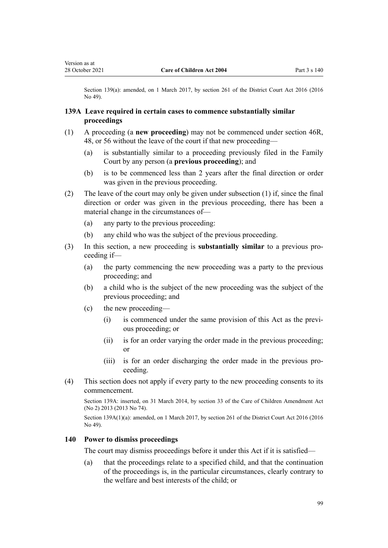Section 139(a): amended, on 1 March 2017, by [section 261](http://legislation.govt.nz/pdflink.aspx?id=DLM6942680) of the District Court Act 2016 (2016) No 49).

# **139A Leave required in certain cases to commence substantially similar proceedings**

- (1) A proceeding (a **new proceeding**) may not be commenced under [section 46R](#page-41-0), [48,](#page-44-0) or [56](#page-48-0) without the leave of the court if that new proceeding—
	- (a) is substantially similar to a proceeding previously filed in the Family Court by any person (a **previous proceeding**); and
	- (b) is to be commenced less than 2 years after the final direction or order was given in the previous proceeding.
- (2) The leave of the court may only be given under subsection (1) if, since the final direction or order was given in the previous proceeding, there has been a material change in the circumstances of—
	- (a) any party to the previous proceeding:
	- (b) any child who was the subject of the previous proceeding.
- (3) In this section, a new proceeding is **substantially similar** to a previous pro‐ ceeding if—
	- (a) the party commencing the new proceeding was a party to the previous proceeding; and
	- (b) a child who is the subject of the new proceeding was the subject of the previous proceeding; and
	- (c) the new proceeding—
		- (i) is commenced under the same provision of this Act as the previ‐ ous proceeding; or
		- (ii) is for an order varying the order made in the previous proceeding; or
		- (iii) is for an order discharging the order made in the previous proceeding.
- (4) This section does not apply if every party to the new proceeding consents to its commencement.

Section 139A: inserted, on 31 March 2014, by [section 33](http://legislation.govt.nz/pdflink.aspx?id=DLM4897380) of the Care of Children Amendment Act (No 2) 2013 (2013 No 74).

Section 139A(1)(a): amended, on 1 March 2017, by [section 261](http://legislation.govt.nz/pdflink.aspx?id=DLM6942680) of the District Court Act 2016 (2016 No 49).

### **140 Power to dismiss proceedings**

The court may dismiss proceedings before it under this Act if it is satisfied—

(a) that the proceedings relate to a specified child, and that the continuation of the proceedings is, in the particular circumstances, clearly contrary to the welfare and best interests of the child; or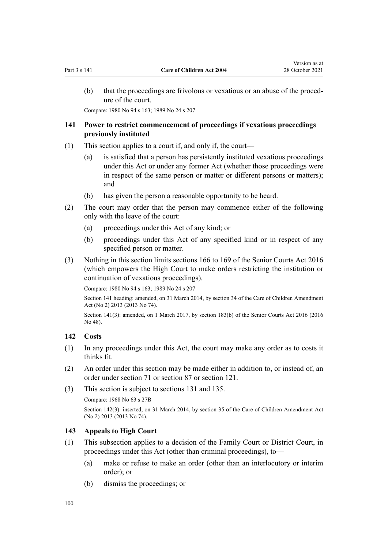<span id="page-99-0"></span>Compare: 1980 No 94 [s 163;](http://legislation.govt.nz/pdflink.aspx?id=DLM41846) 1989 No 24 [s 207](http://legislation.govt.nz/pdflink.aspx?id=DLM151672)

# **141 Power to restrict commencement of proceedings if vexatious proceedings previously instituted**

- (1) This section applies to a court if, and only if, the court—
	- (a) is satisfied that a person has persistently instituted vexatious proceedings under this Act or under any former Act (whether those proceedings were in respect of the same person or matter or different persons or matters); and
	- (b) has given the person a reasonable opportunity to be heard.
- (2) The court may order that the person may commence either of the following only with the leave of the court:
	- (a) proceedings under this Act of any kind; or
	- (b) proceedings under this Act of any specified kind or in respect of any specified person or matter.
- (3) Nothing in this section limits [sections 166 to 169](http://legislation.govt.nz/pdflink.aspx?id=DLM5759526) of the Senior Courts Act 2016 (which empowers the High Court to make orders restricting the institution or continuation of vexatious proceedings).

Compare: 1980 No 94 [s 163;](http://legislation.govt.nz/pdflink.aspx?id=DLM41846) 1989 No 24 [s 207](http://legislation.govt.nz/pdflink.aspx?id=DLM151672)

Section 141 heading: amended, on 31 March 2014, by [section 34](http://legislation.govt.nz/pdflink.aspx?id=DLM4897382) of the Care of Children Amendment Act (No 2) 2013 (2013 No 74).

Section 141(3): amended, on 1 March 2017, by [section 183\(b\)](http://legislation.govt.nz/pdflink.aspx?id=DLM5759564) of the Senior Courts Act 2016 (2016 No 48).

### **142 Costs**

- (1) In any proceedings under this Act, the court may make any order as to costs it thinks fit.
- (2) An order under this section may be made either in addition to, or instead of, an order under [section 71](#page-55-0) or [section 87](#page-65-0) or [section 121.](#page-81-0)
- (3) This section is subject to [sections 131](#page-87-0) and [135.](#page-94-0)

Compare: 1968 No 63 s 27B

Section 142(3): inserted, on 31 March 2014, by [section 35](http://legislation.govt.nz/pdflink.aspx?id=DLM5242829) of the Care of Children Amendment Act (No 2) 2013 (2013 No 74).

### **143 Appeals to High Court**

- (1) This subsection applies to a decision of the Family Court or District Court, in proceedings under this Act (other than criminal proceedings), to—
	- (a) make or refuse to make an order (other than an interlocutory or interim order); or
	- (b) dismiss the proceedings; or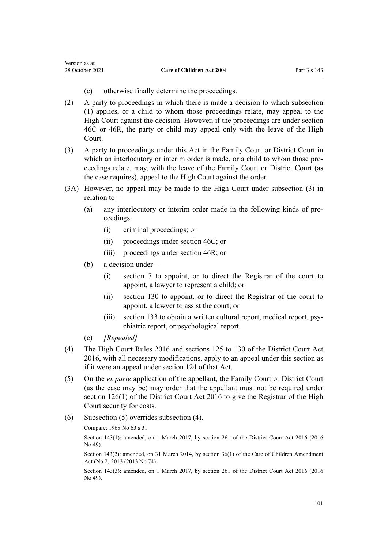- (c) otherwise finally determine the proceedings.
- (2) A party to proceedings in which there is made a decision to which subsection (1) applies, or a child to whom those proceedings relate, may appeal to the High Court against the decision. However, if the proceedings are under [section](#page-36-0) [46C](#page-36-0) or [46R](#page-41-0), the party or child may appeal only with the leave of the High Court.
- (3) A party to proceedings under this Act in the Family Court or District Court in which an interlocutory or interim order is made, or a child to whom those proceedings relate, may, with the leave of the Family Court or District Court (as the case requires), appeal to the High Court against the order.
- (3A) However, no appeal may be made to the High Court under subsection (3) in relation to—
	- (a) any interlocutory or interim order made in the following kinds of pro‐ ceedings:
		- (i) criminal proceedings; or
		- (ii) proceedings under [section 46C](#page-36-0); or
		- (iii) proceedings under [section 46R](#page-41-0); or
	- (b) a decision under—
		- (i) [section 7](#page-11-0) to appoint, or to direct the Registrar of the court to appoint, a lawyer to represent a child; or
		- (ii) [section 130](#page-87-0) to appoint, or to direct the Registrar of the court to appoint, a lawyer to assist the court; or
		- (iii) [section 133](#page-89-0) to obtain a written cultural report, medical report, psy‐ chiatric report, or psychological report.
	- (c) *[Repealed]*
- (4) The [High Court Rules 2016](http://legislation.govt.nz/pdflink.aspx?id=DLM6959800) and [sections 125 to 130](http://legislation.govt.nz/pdflink.aspx?id=DLM6942448) of the District Court Act 2016, with all necessary modifications, apply to an appeal under this section as if it were an appeal under [section 124](http://legislation.govt.nz/pdflink.aspx?id=DLM6942447) of that Act.
- (5) On the *ex parte* application of the appellant, the Family Court or District Court (as the case may be) may order that the appellant must not be required under [section 126\(1\)](http://legislation.govt.nz/pdflink.aspx?id=DLM6942449) of the District Court Act 2016 to give the Registrar of the High Court security for costs.
- (6) Subsection (5) overrides subsection (4).
	- Compare: 1968 No 63 s 31

Section 143(1): amended, on 1 March 2017, by [section 261](http://legislation.govt.nz/pdflink.aspx?id=DLM6942680) of the District Court Act 2016 (2016 No 49).

Section 143(2): amended, on 31 March 2014, by [section 36\(1\)](http://legislation.govt.nz/pdflink.aspx?id=DLM5574214) of the Care of Children Amendment Act (No 2) 2013 (2013 No 74).

Section 143(3): amended, on 1 March 2017, by [section 261](http://legislation.govt.nz/pdflink.aspx?id=DLM6942680) of the District Court Act 2016 (2016 No 49).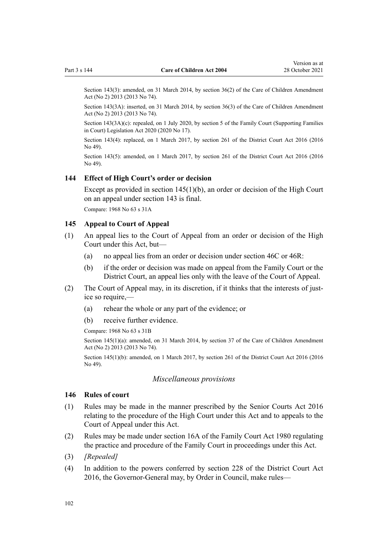Section 143(3): amended, on 31 March 2014, by [section 36\(2\)](http://legislation.govt.nz/pdflink.aspx?id=DLM5574214) of the Care of Children Amendment Act (No 2) 2013 (2013 No 74).

Section 143(3A): inserted, on 31 March 2014, by [section 36\(3\)](http://legislation.govt.nz/pdflink.aspx?id=DLM5574214) of the Care of Children Amendment Act (No 2) 2013 (2013 No 74).

Section 143(3A)(c): repealed, on 1 July 2020, by [section 5](http://legislation.govt.nz/pdflink.aspx?id=LMS344709) of the Family Court (Supporting Families in Court) Legislation Act 2020 (2020 No 17).

Section 143(4): replaced, on 1 March 2017, by [section 261](http://legislation.govt.nz/pdflink.aspx?id=DLM6942680) of the District Court Act 2016 (2016 No 49).

Section 143(5): amended, on 1 March 2017, by [section 261](http://legislation.govt.nz/pdflink.aspx?id=DLM6942680) of the District Court Act 2016 (2016 No 49).

#### **144 Effect of High Court's order or decision**

Except as provided in section 145(1)(b), an order or decision of the High Court on an appeal under [section 143](#page-99-0) is final.

Compare: 1968 No 63 s 31A

#### **145 Appeal to Court of Appeal**

- (1) An appeal lies to the Court of Appeal from an order or decision of the High Court under this Act, but—
	- (a) no appeal lies from an order or decision under [section 46C](#page-36-0) or [46R](#page-41-0):
	- (b) if the order or decision was made on appeal from the Family Court or the District Court, an appeal lies only with the leave of the Court of Appeal.
- (2) The Court of Appeal may, in its discretion, if it thinks that the interests of justice so require,—
	- (a) rehear the whole or any part of the evidence; or
	- (b) receive further evidence.

Compare: 1968 No 63 s 31B

Section 145(1)(a): amended, on 31 March 2014, by [section 37](http://legislation.govt.nz/pdflink.aspx?id=DLM5574215) of the Care of Children Amendment Act (No 2) 2013 (2013 No 74).

Section 145(1)(b): amended, on 1 March 2017, by [section 261](http://legislation.govt.nz/pdflink.aspx?id=DLM6942680) of the District Court Act 2016 (2016 No 49).

#### *Miscellaneous provisions*

#### **146 Rules of court**

- (1) Rules may be made in the manner prescribed by the [Senior Courts Act 2016](http://legislation.govt.nz/pdflink.aspx?id=DLM5759202) relating to the procedure of the High Court under this Act and to appeals to the Court of Appeal under this Act.
- (2) Rules may be made under [section 16A](http://legislation.govt.nz/pdflink.aspx?id=DLM42296) of the Family Court Act 1980 regulating the practice and procedure of the Family Court in proceedings under this Act.
- (3) *[Repealed]*
- (4) In addition to the powers conferred by [section 228](http://legislation.govt.nz/pdflink.aspx?id=DLM6942629) of the District Court Act 2016, the Governor-General may, by Order in Council, make rules—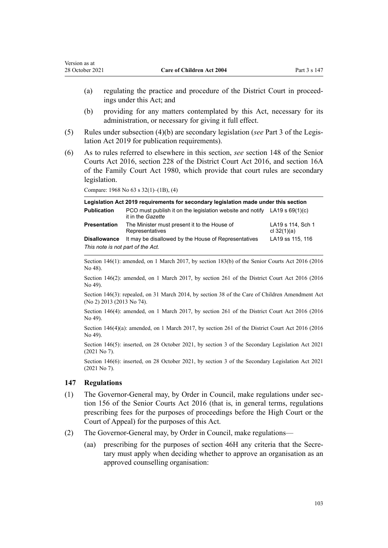- <span id="page-102-0"></span>(a) regulating the practice and procedure of the District Court in proceed‐ ings under this Act; and
- (b) providing for any matters contemplated by this Act, necessary for its administration, or necessary for giving it full effect.
- (5) Rules under subsection (4)(b) are secondary legislation (*see* [Part 3](http://legislation.govt.nz/pdflink.aspx?id=DLM7298343) of the Legis‐ lation Act 2019 for publication requirements).
- (6) As to rules referred to elsewhere in this section, *see* [section 148](http://legislation.govt.nz/pdflink.aspx?id=DLM5759504) of the Senior Courts Act 2016, [section 228](http://legislation.govt.nz/pdflink.aspx?id=DLM6942629) of the District Court Act 2016, and [section 16A](http://legislation.govt.nz/pdflink.aspx?id=DLM42296) of the Family Court Act 1980, which provide that court rules are secondary legislation.

Compare: 1968 No 63 s 32(1)–(1B), (4)

| Legislation Act 2019 requirements for secondary legislation made under this section |                                                                                                  |                                    |  |  |
|-------------------------------------------------------------------------------------|--------------------------------------------------------------------------------------------------|------------------------------------|--|--|
| <b>Publication</b>                                                                  | PCO must publish it on the legislation website and notify LA19 s $69(1)(c)$<br>it in the Gazette |                                    |  |  |
| <b>Presentation</b>                                                                 | The Minister must present it to the House of<br>Representatives                                  | LA19 s 114, Sch 1<br>cl $32(1)(a)$ |  |  |
| <b>Disallowance</b>                                                                 | It may be disallowed by the House of Representatives                                             | LA19 ss 115, 116                   |  |  |
| This note is not part of the Act.                                                   |                                                                                                  |                                    |  |  |

Section 146(1): amended, on 1 March 2017, by [section 183\(b\)](http://legislation.govt.nz/pdflink.aspx?id=DLM5759564) of the Senior Courts Act 2016 (2016 No 48).

Section 146(2): amended, on 1 March 2017, by [section 261](http://legislation.govt.nz/pdflink.aspx?id=DLM6942680) of the District Court Act 2016 (2016 No 49).

Section 146(3): repealed, on 31 March 2014, by [section 38](http://legislation.govt.nz/pdflink.aspx?id=DLM5574216) of the Care of Children Amendment Act (No 2) 2013 (2013 No 74).

Section 146(4): amended, on 1 March 2017, by [section 261](http://legislation.govt.nz/pdflink.aspx?id=DLM6942680) of the District Court Act 2016 (2016 No 49).

Section 146(4)(a): amended, on 1 March 2017, by [section 261](http://legislation.govt.nz/pdflink.aspx?id=DLM6942680) of the District Court Act 2016 (2016) No 49).

Section 146(5): inserted, on 28 October 2021, by [section 3](http://legislation.govt.nz/pdflink.aspx?id=LMS268932) of the Secondary Legislation Act 2021 (2021 No 7).

Section 146(6): inserted, on 28 October 2021, by [section 3](http://legislation.govt.nz/pdflink.aspx?id=LMS268932) of the Secondary Legislation Act 2021 (2021 No 7).

### **147 Regulations**

- (1) The Governor-General may, by Order in Council, make regulations under [sec‐](http://legislation.govt.nz/pdflink.aspx?id=DLM5759513) [tion 156](http://legislation.govt.nz/pdflink.aspx?id=DLM5759513) of the Senior Courts Act 2016 (that is, in general terms, regulations prescribing fees for the purposes of proceedings before the High Court or the Court of Appeal) for the purposes of this Act.
- (2) The Governor-General may, by Order in Council, make regulations
	- (aa) prescribing for the purposes of [section 46H](#page-39-0) any criteria that the Secretary must apply when deciding whether to approve an organisation as an approved counselling organisation: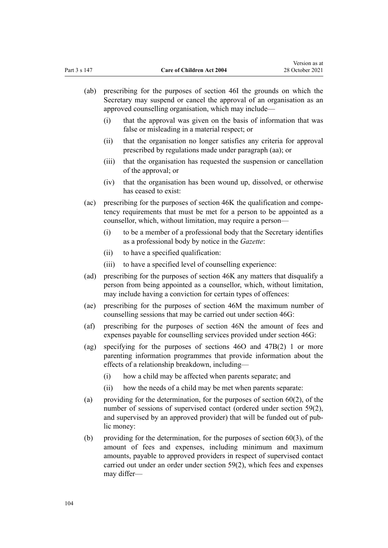- (ab) prescribing for the purposes of [section 46I](#page-39-0) the grounds on which the Secretary may suspend or cancel the approval of an organisation as an approved counselling organisation, which may include—
	- (i) that the approval was given on the basis of information that was false or misleading in a material respect; or
	- (ii) that the organisation no longer satisfies any criteria for approval prescribed by regulations made under paragraph (aa); or
	- (iii) that the organisation has requested the suspension or cancellation of the approval; or
	- (iv) that the organisation has been wound up, dissolved, or otherwise has ceased to exist:
- (ac) prescribing for the purposes of [section 46K](#page-39-0) the qualification and competency requirements that must be met for a person to be appointed as a counsellor, which, without limitation, may require a person—
	- (i) to be a member of a professional body that the Secretary identifies as a professional body by notice in the *Gazette*:
	- (ii) to have a specified qualification:
	- (iii) to have a specified level of counselling experience:
- (ad) prescribing for the purposes of [section 46K](#page-39-0) any matters that disqualify a person from being appointed as a counsellor, which, without limitation, may include having a conviction for certain types of offences:
- (ae) prescribing for the purposes of [section 46M](#page-40-0) the maximum number of counselling sessions that may be carried out under [section 46G:](#page-38-0)
- (af) prescribing for the purposes of [section 46N](#page-40-0) the amount of fees and expenses payable for counselling services provided under [section 46G](#page-38-0):
- (ag) specifying for the purposes of [sections 46O](#page-40-0) and [47B\(2\)](#page-43-0) 1 or more parenting information programmes that provide information about the effects of a relationship breakdown, including—
	- (i) how a child may be affected when parents separate; and
	- (ii) how the needs of a child may be met when parents separate:
- (a) providing for the determination, for the purposes of section  $60(2)$ , of the number of sessions of supervised contact (ordered under [section 59\(2\)](#page-51-0), and supervised by an approved provider) that will be funded out of pub‐ lic money:
- (b) providing for the determination, for the purposes of section  $60(3)$ , of the amount of fees and expenses, including minimum and maximum amounts, payable to approved providers in respect of supervised contact carried out under an order under [section 59\(2\),](#page-51-0) which fees and expenses may differ—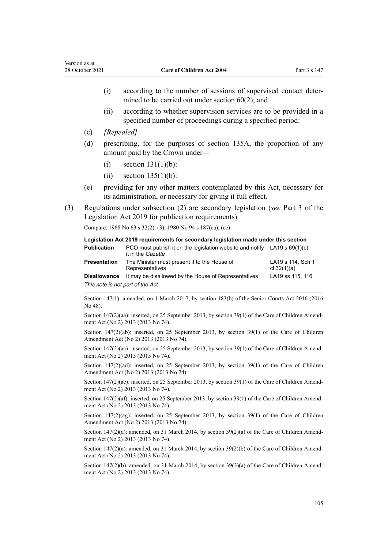- (i) according to the number of sessions of supervised contact deter‐ mined to be carried out under [section 60\(2\)](#page-52-0); and
- (ii) according to whether supervision services are to be provided in a specified number of proceedings during a specified period:
- (c) *[Repealed]*
- (d) prescribing, for the purposes of [section 135A,](#page-94-0) the proportion of any amount paid by the Crown under—
	- (i) section  $131(1)(b)$ :
	- (ii) section  $135(1)(b)$ :
- (e) providing for any other matters contemplated by this Act, necessary for its administration, or necessary for giving it full effect.
- (3) Regulations under subsection (2) are secondary legislation (*see* [Part 3](http://legislation.govt.nz/pdflink.aspx?id=DLM7298343) of the Legislation Act 2019 for publication requirements).

Compare: 1968 No 63 s 32(2), (3); 1980 No 94 [s 187\(ca\), \(cc\)](http://legislation.govt.nz/pdflink.aspx?id=DLM42205)

| Legislation Act 2019 requirements for secondary legislation made under this section |                                                                                                  |                                    |  |  |
|-------------------------------------------------------------------------------------|--------------------------------------------------------------------------------------------------|------------------------------------|--|--|
| <b>Publication</b>                                                                  | PCO must publish it on the legislation website and notify LA19 s $69(1)(c)$<br>it in the Gazette |                                    |  |  |
| <b>Presentation</b>                                                                 | The Minister must present it to the House of<br>Representatives                                  | LA19 s 114, Sch 1<br>cl $32(1)(a)$ |  |  |
| <b>Disallowance</b>                                                                 | It may be disallowed by the House of Representatives                                             | LA19 ss 115, 116                   |  |  |
| This note is not part of the Act.                                                   |                                                                                                  |                                    |  |  |

Section 147(1): amended, on 1 March 2017, by [section 183\(b\)](http://legislation.govt.nz/pdflink.aspx?id=DLM5759564) of the Senior Courts Act 2016 (2016 No 48).

Section 147(2)(aa): inserted, on 25 September 2013, by [section 39\(1\)](http://legislation.govt.nz/pdflink.aspx?id=DLM4897383) of the Care of Children Amendment Act (No 2) 2013 (2013 No 74).

Section 147(2)(ab): inserted, on 25 September 2013, by [section 39\(1\)](http://legislation.govt.nz/pdflink.aspx?id=DLM4897383) of the Care of Children Amendment Act (No 2) 2013 (2013 No 74).

Section 147(2)(ac): inserted, on 25 September 2013, by [section 39\(1\)](http://legislation.govt.nz/pdflink.aspx?id=DLM4897383) of the Care of Children Amendment Act (No 2) 2013 (2013 No 74).

Section 147(2)(ad): inserted, on 25 September 2013, by [section 39\(1\)](http://legislation.govt.nz/pdflink.aspx?id=DLM4897383) of the Care of Children Amendment Act (No 2) 2013 (2013 No 74).

Section 147(2)(ae): inserted, on 25 September 2013, by [section 39\(1\)](http://legislation.govt.nz/pdflink.aspx?id=DLM4897383) of the Care of Children Amendment Act (No 2) 2013 (2013 No 74).

Section 147(2)(af): inserted, on 25 September 2013, by [section 39\(1\)](http://legislation.govt.nz/pdflink.aspx?id=DLM4897383) of the Care of Children Amendment Act (No 2) 2013 (2013 No 74).

Section 147(2)(ag): inserted, on 25 September 2013, by [section 39\(1\)](http://legislation.govt.nz/pdflink.aspx?id=DLM4897383) of the Care of Children Amendment Act (No 2) 2013 (2013 No 74).

Section 147(2)(a): amended, on 31 March 2014, by [section 39\(2\)\(a\)](http://legislation.govt.nz/pdflink.aspx?id=DLM4897383) of the Care of Children Amendment Act (No 2) 2013 (2013 No 74).

Section 147(2)(a): amended, on 31 March 2014, by [section 39\(2\)\(b\)](http://legislation.govt.nz/pdflink.aspx?id=DLM4897383) of the Care of Children Amendment Act (No 2) 2013 (2013 No 74).

Section 147(2)(b): amended, on 31 March 2014, by [section 39\(3\)\(a\)](http://legislation.govt.nz/pdflink.aspx?id=DLM4897383) of the Care of Children Amendment Act (No 2) 2013 (2013 No 74).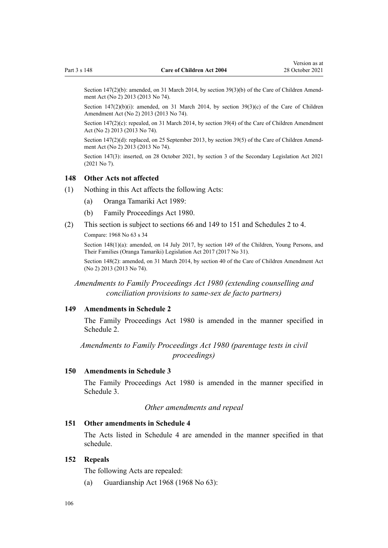Section 147(2)(b): amended, on 31 March 2014, by [section 39\(3\)\(b\)](http://legislation.govt.nz/pdflink.aspx?id=DLM4897383) of the Care of Children Amendment Act (No 2) 2013 (2013 No 74).

Section  $147(2)(b)(i)$ : amended, on 31 March 2014, by section  $39(3)(c)$  of the Care of Children Amendment Act (No 2) 2013 (2013 No 74).

Section 147(2)(c): repealed, on 31 March 2014, by [section 39\(4\)](http://legislation.govt.nz/pdflink.aspx?id=DLM4897383) of the Care of Children Amendment Act (No 2) 2013 (2013 No 74).

Section 147(2)(d): replaced, on 25 September 2013, by [section 39\(5\)](http://legislation.govt.nz/pdflink.aspx?id=DLM4897383) of the Care of Children Amendment Act (No 2) 2013 (2013 No 74).

Section 147(3): inserted, on 28 October 2021, by [section 3](http://legislation.govt.nz/pdflink.aspx?id=LMS268932) of the Secondary Legislation Act 2021 (2021 No 7).

### **148 Other Acts not affected**

- (1) Nothing in this Act affects the following Acts:
	- (a) [Oranga Tamariki Act 1989:](http://legislation.govt.nz/pdflink.aspx?id=DLM147087)
	- (b) [Family Proceedings Act 1980](http://legislation.govt.nz/pdflink.aspx?id=DLM39722).
- (2) This section is subject to [sections 66](#page-53-0) and 149 to 151 and [Schedules 2 to 4.](#page-122-0)

Compare: 1968 No 63 s 34

Section 148(1)(a): amended, on 14 July 2017, by [section 149](http://legislation.govt.nz/pdflink.aspx?id=DLM7287401) of the Children, Young Persons, and Their Families (Oranga Tamariki) Legislation Act 2017 (2017 No 31).

Section 148(2): amended, on 31 March 2014, by [section 40](http://legislation.govt.nz/pdflink.aspx?id=DLM4897384) of the Care of Children Amendment Act (No 2) 2013 (2013 No 74).

*Amendments to Family Proceedings Act 1980 (extending counselling and conciliation provisions to same-sex de facto partners)*

#### **149 Amendments in Schedule 2**

The [Family Proceedings Act 1980](http://legislation.govt.nz/pdflink.aspx?id=DLM39722) is amended in the manner specified in [Schedule 2.](#page-122-0)

*Amendments to Family Proceedings Act 1980 (parentage tests in civil proceedings)*

#### **150 Amendments in Schedule 3**

The [Family Proceedings Act 1980](http://legislation.govt.nz/pdflink.aspx?id=DLM39722) is amended in the manner specified in [Schedule 3.](#page-122-0)

#### *Other amendments and repeal*

### **151 Other amendments in Schedule 4**

The Acts listed in [Schedule 4](#page-122-0) are amended in the manner specified in that schedule.

# **152 Repeals**

The following Acts are repealed:

(a) Guardianship Act 1968 (1968 No 63):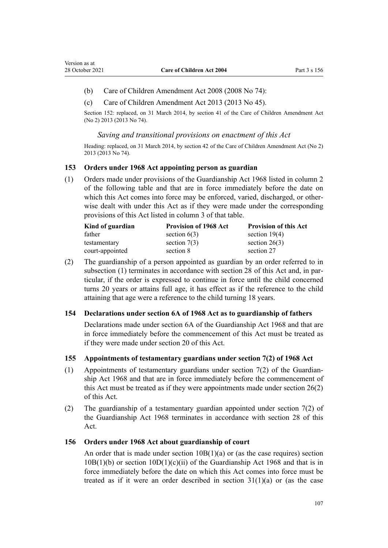- (b) [Care of Children Amendment Act 2008](http://legislation.govt.nz/pdflink.aspx?id=DLM1301602) (2008 No 74):
- (c) [Care of Children Amendment Act 2013](http://legislation.govt.nz/pdflink.aspx?id=DLM5300502) (2013 No 45).

Section 152: replaced, on 31 March 2014, by [section 41](http://legislation.govt.nz/pdflink.aspx?id=DLM5574217) of the Care of Children Amendment Act (No 2) 2013 (2013 No 74).

#### *Saving and transitional provisions on enactment of this Act*

Heading: replaced, on 31 March 2014, by [section 42](http://legislation.govt.nz/pdflink.aspx?id=DLM5574219) of the Care of Children Amendment Act (No 2) 2013 (2013 No 74).

### **153 Orders under 1968 Act appointing person as guardian**

(1) Orders made under provisions of the Guardianship Act 1968 listed in column 2 of the following table and that are in force immediately before the date on which this Act comes into force may be enforced, varied, discharged, or otherwise dealt with under this Act as if they were made under the corresponding provisions of this Act listed in column 3 of that table.

| Kind of guardian | <b>Provision of 1968 Act</b> | <b>Provision of this Act</b> |
|------------------|------------------------------|------------------------------|
| father           | section $6(3)$               | section $19(4)$              |
| testamentary     | section $7(3)$               | section $26(3)$              |
| court-appointed  | section 8                    | section 27                   |

(2) The guardianship of a person appointed as guardian by an order referred to in subsection (1) terminates in accordance with [section 28](#page-24-0) of this Act and, in particular, if the order is expressed to continue in force until the child concerned turns 20 years or attains full age, it has effect as if the reference to the child attaining that age were a reference to the child turning 18 years.

#### **154 Declarations under section 6A of 1968 Act as to guardianship of fathers**

Declarations made under section 6A of the Guardianship Act 1968 and that are in force immediately before the commencement of this Act must be treated as if they were made under [section 20](#page-18-0) of this Act.

#### **155 Appointments of testamentary guardians under section 7(2) of 1968 Act**

- (1) Appointments of testamentary guardians under section 7(2) of the Guardian‐ ship Act 1968 and that are in force immediately before the commencement of this Act must be treated as if they were appointments made under [section 26\(2\)](#page-23-0) of this Act.
- (2) The guardianship of a testamentary guardian appointed under section 7(2) of the Guardianship Act 1968 terminates in accordance with [section 28](#page-24-0) of this Act.

#### **156 Orders under 1968 Act about guardianship of court**

An order that is made under section  $10B(1)(a)$  or (as the case requires) section  $10B(1)(b)$  or section  $10D(1)(c)(ii)$  of the Guardianship Act 1968 and that is in force immediately before the date on which this Act comes into force must be treated as if it were an order described in section  $31(1)(a)$  or (as the case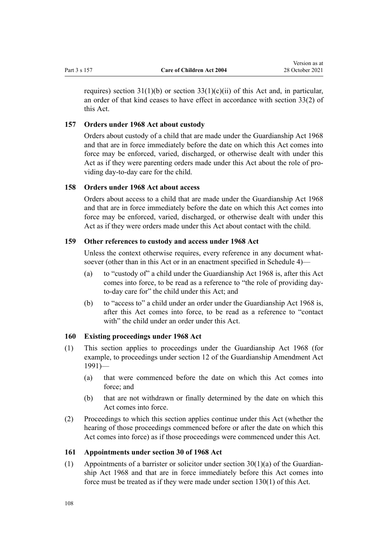requires) section  $31(1)(b)$  or section  $33(1)(c)(ii)$  of this Act and, in particular, an order of that kind ceases to have effect in accordance with section 33(2) of this Act.

### **157 Orders under 1968 Act about custody**

Orders about custody of a child that are made under the Guardianship Act 1968 and that are in force immediately before the date on which this Act comes into force may be enforced, varied, discharged, or otherwise dealt with under this Act as if they were parenting orders made under this Act about the role of providing day-to-day care for the child.

### **158 Orders under 1968 Act about access**

Orders about access to a child that are made under the Guardianship Act 1968 and that are in force immediately before the date on which this Act comes into force may be enforced, varied, discharged, or otherwise dealt with under this Act as if they were orders made under this Act about contact with the child.

### **159 Other references to custody and access under 1968 Act**

Unless the context otherwise requires, every reference in any document whatsoever (other than in this Act or in an enactment specified in [Schedule 4](#page-122-0))—

- (a) to "custody of" a child under the Guardianship Act 1968 is, after this Act comes into force, to be read as a reference to "the role of providing dayto-day care for" the child under this Act; and
- (b) to "access to" a child under an order under the Guardianship Act 1968 is, after this Act comes into force, to be read as a reference to "contact with" the child under an order under this Act.

# **160 Existing proceedings under 1968 Act**

- (1) This section applies to proceedings under the Guardianship Act 1968 (for example, to proceedings under section 12 of the Guardianship Amendment Act 1991)—
	- (a) that were commenced before the date on which this Act comes into force; and
	- (b) that are not withdrawn or finally determined by the date on which this Act comes into force.
- (2) Proceedings to which this section applies continue under this Act (whether the hearing of those proceedings commenced before or after the date on which this Act comes into force) as if those proceedings were commenced under this Act.

### **161 Appointments under section 30 of 1968 Act**

(1) Appointments of a barrister or solicitor under section  $30(1)(a)$  of the Guardianship Act 1968 and that are in force immediately before this Act comes into force must be treated as if they were made under [section 130\(1\)](#page-87-0) of this Act.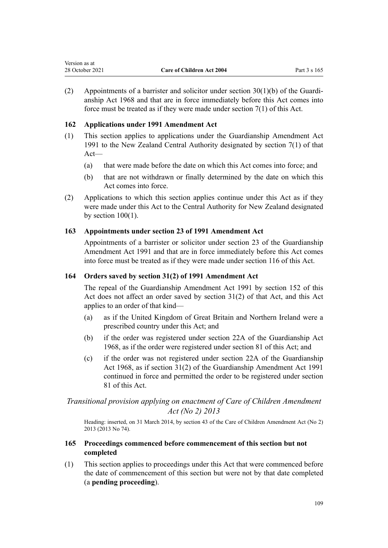(2) Appointments of a barrister and solicitor under section  $30(1)(b)$  of the Guardianship Act 1968 and that are in force immediately before this Act comes into force must be treated as if they were made under [section 7\(1\)](#page-11-0) of this Act.

#### **162 Applications under 1991 Amendment Act**

- (1) This section applies to applications under the Guardianship Amendment Act 1991 to the New Zealand Central Authority designated by section 7(1) of that Act—
	- (a) that were made before the date on which this Act comes into force; and
	- (b) that are not withdrawn or finally determined by the date on which this Act comes into force.
- (2) Applications to which this section applies continue under this Act as if they were made under this Act to the Central Authority for New Zealand designated by section  $100(1)$ .

#### **163 Appointments under section 23 of 1991 Amendment Act**

Appointments of a barrister or solicitor under section 23 of the Guardianship Amendment Act 1991 and that are in force immediately before this Act comes into force must be treated as if they were made under [section 116](#page-78-0) of this Act.

#### **164 Orders saved by section 31(2) of 1991 Amendment Act**

The repeal of the Guardianship Amendment Act 1991 by [section 152](#page-105-0) of this Act does not affect an order saved by section 31(2) of that Act, and this Act applies to an order of that kind—

- (a) as if the United Kingdom of Great Britain and Northern Ireland were a prescribed country under this Act; and
- (b) if the order was registered under section 22A of the Guardianship Act 1968, as if the order were registered under [section 81](#page-62-0) of this Act; and
- (c) if the order was not registered under section 22A of the Guardianship Act 1968, as if section 31(2) of the Guardianship Amendment Act 1991 continued in force and permitted the order to be registered under [section](#page-62-0) [81](#page-62-0) of this Act.

## *Transitional provision applying on enactment of Care of Children Amendment Act (No 2) 2013*

Heading: inserted, on 31 March 2014, by [section 43](http://legislation.govt.nz/pdflink.aspx?id=DLM4897386) of the Care of Children Amendment Act (No 2) 2013 (2013 No 74).

#### **165 Proceedings commenced before commencement of this section but not completed**

(1) This section applies to proceedings under this Act that were commenced before the date of commencement of this section but were not by that date completed (a **pending proceeding**).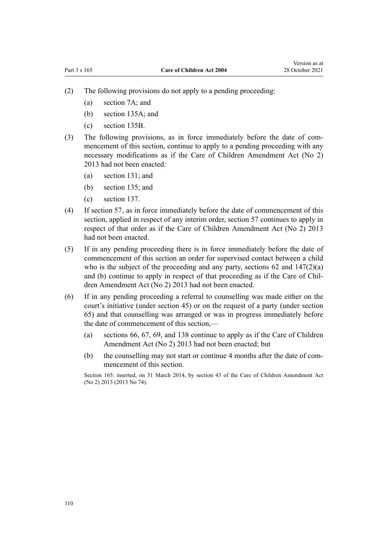- (2) The following provisions do not apply to a pending proceeding:
	- (a) [section 7A;](#page-11-0) and
	- (b) [section 135A](#page-94-0); and
	- (c) [section 135B.](#page-95-0)
- (3) The following provisions, as in force immediately before the date of commencement of this section, continue to apply to a pending proceeding with any necessary modifications as if the [Care of Children Amendment Act \(No 2\)](http://legislation.govt.nz/pdflink.aspx?id=DLM4896268) [2013](http://legislation.govt.nz/pdflink.aspx?id=DLM4896268) had not been enacted:
	- (a) [section 131;](#page-87-0) and
	- (b) [section 135;](#page-94-0) and
	- (c) [section 137.](#page-96-0)
- (4) If [section 57](#page-49-0), as in force immediately before the date of commencement of this section, applied in respect of any interim order, section 57 continues to apply in respect of that order as if the [Care of Children Amendment Act \(No 2\) 2013](http://legislation.govt.nz/pdflink.aspx?id=DLM4896268) had not been enacted.
- (5) If in any pending proceeding there is in force immediately before the date of commencement of this section an order for supervised contact between a child who is the subject of the proceeding and any party, sections  $62$  and  $147(2)(a)$ [and \(b\)](#page-102-0) continue to apply in respect of that proceeding as if the Care of Chil[dren Amendment Act \(No 2\) 2013](http://legislation.govt.nz/pdflink.aspx?id=DLM4896268) had not been enacted.
- (6) If in any pending proceeding a referral to counselling was made either on the court's initiative (under [section 45](#page-35-0)) or on the request of a party (under [section](#page-53-0) [65\)](#page-53-0) and that counselling was arranged or was in progress immediately before the date of commencement of this section,—
	- (a) [sections 66](#page-53-0), [67,](#page-53-0) [69](#page-54-0), and [138](#page-97-0) continue to apply as if the [Care of Children](http://legislation.govt.nz/pdflink.aspx?id=DLM4896268) [Amendment Act \(No 2\) 2013](http://legislation.govt.nz/pdflink.aspx?id=DLM4896268) had not been enacted; but
	- (b) the counselling may not start or continue 4 months after the date of commencement of this section.

Section 165: inserted, on 31 March 2014, by [section 43](http://legislation.govt.nz/pdflink.aspx?id=DLM4897386) of the Care of Children Amendment Act (No 2) 2013 (2013 No 74).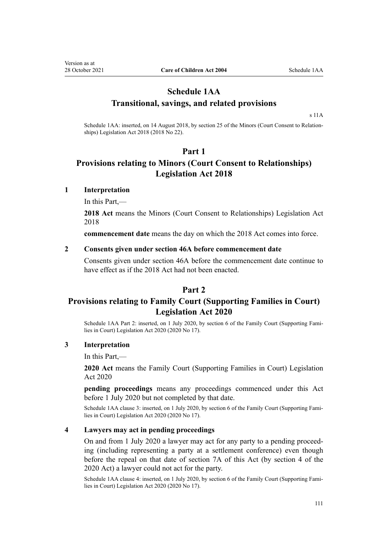# **Schedule 1AA Transitional, savings, and related provisions**

[s 11A](#page-14-0)

Schedule 1AA: inserted, on 14 August 2018, by [section 25](http://legislation.govt.nz/pdflink.aspx?id=LMS25393) of the Minors (Court Consent to Relationships) Legislation Act 2018 (2018 No 22).

### **Part 1**

# **Provisions relating to Minors (Court Consent to Relationships) Legislation Act 2018**

#### **1 Interpretation**

In this Part,—

**2018 Act** means the [Minors \(Court Consent to Relationships\) Legislation Act](http://legislation.govt.nz/pdflink.aspx?id=DLM4704100) [2018](http://legislation.govt.nz/pdflink.aspx?id=DLM4704100)

**commencement date** means the day on which the 2018 Act comes into force.

#### **2 Consents given under section 46A before commencement date**

Consents given under [section 46A](#page-35-0) before the commencement date continue to have effect as if the 2018 Act had not been enacted.

### **Part 2**

## **Provisions relating to Family Court (Supporting Families in Court) Legislation Act 2020**

Schedule 1AA Part 2: inserted, on 1 July 2020, by [section 6](http://legislation.govt.nz/pdflink.aspx?id=LMS344717) of the Family Court (Supporting Families in Court) Legislation Act 2020 (2020 No 17).

#### **3 Interpretation**

In this Part,—

**2020 Act** means the [Family Court \(Supporting Families in Court\) Legislation](http://legislation.govt.nz/pdflink.aspx?id=LMS344698) [Act 2020](http://legislation.govt.nz/pdflink.aspx?id=LMS344698)

**pending proceedings** means any proceedings commenced under this Act before 1 July 2020 but not completed by that date.

Schedule 1AA clause 3: inserted, on 1 July 2020, by [section 6](http://legislation.govt.nz/pdflink.aspx?id=LMS344717) of the Family Court (Supporting Families in Court) Legislation Act 2020 (2020 No 17).

#### **4 Lawyers may act in pending proceedings**

On and from 1 July 2020 a lawyer may act for any party to a pending proceed‐ ing (including representing a party at a settlement conference) even though before the repeal on that date of [section 7A](#page-11-0) of this Act (by [section 4](http://legislation.govt.nz/pdflink.aspx?id=LMS344708) of the 2020 Act) a lawyer could not act for the party.

Schedule 1AA clause 4: inserted, on 1 July 2020, by [section 6](http://legislation.govt.nz/pdflink.aspx?id=LMS344717) of the Family Court (Supporting Families in Court) Legislation Act 2020 (2020 No 17).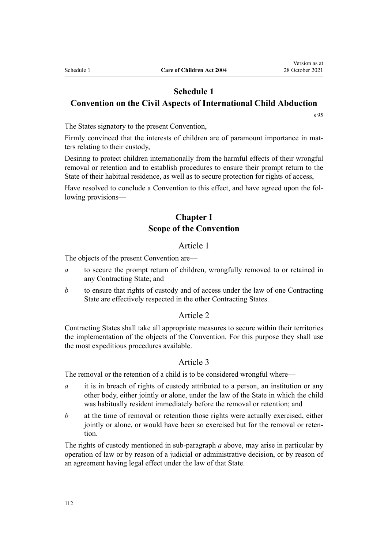## **Schedule 1**

# **Convention on the Civil Aspects of International Child Abduction**

[s 95](#page-69-0)

The States signatory to the present Convention,

Firmly convinced that the interests of children are of paramount importance in matters relating to their custody,

Desiring to protect children internationally from the harmful effects of their wrongful removal or retention and to establish procedures to ensure their prompt return to the State of their habitual residence, as well as to secure protection for rights of access,

Have resolved to conclude a Convention to this effect, and have agreed upon the following provisions—

# **Chapter I Scope of the Convention**

## Article 1

The objects of the present Convention are—

- *a* to secure the prompt return of children, wrongfully removed to or retained in any Contracting State; and
- *b* to ensure that rights of custody and of access under the law of one Contracting State are effectively respected in the other Contracting States.

#### Article 2

Contracting States shall take all appropriate measures to secure within their territories the implementation of the objects of the Convention. For this purpose they shall use the most expeditious procedures available.

## Article 3

The removal or the retention of a child is to be considered wrongful where—

- *a* it is in breach of rights of custody attributed to a person, an institution or any other body, either jointly or alone, under the law of the State in which the child was habitually resident immediately before the removal or retention; and
- *b* at the time of removal or retention those rights were actually exercised, either jointly or alone, or would have been so exercised but for the removal or retention.

The rights of custody mentioned in sub-paragraph *a* above, may arise in particular by operation of law or by reason of a judicial or administrative decision, or by reason of an agreement having legal effect under the law of that State.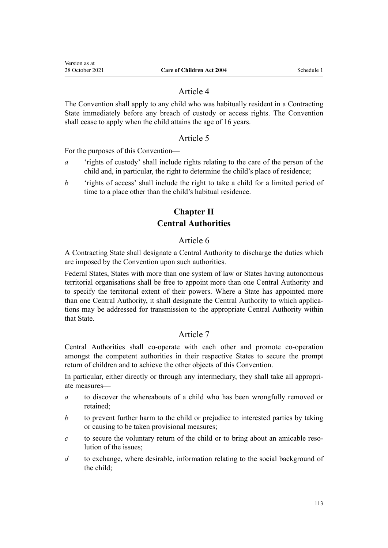The Convention shall apply to any child who was habitually resident in a Contracting State immediately before any breach of custody or access rights. The Convention shall cease to apply when the child attains the age of 16 years.

### Article 5

For the purposes of this Convention—

- *a* 'rights of custody' shall include rights relating to the care of the person of the child and, in particular, the right to determine the child's place of residence;
- *b* 'rights of access' shall include the right to take a child for a limited period of time to a place other than the child's habitual residence.

# **Chapter II Central Authorities**

## Article 6

A Contracting State shall designate a Central Authority to discharge the duties which are imposed by the Convention upon such authorities.

Federal States, States with more than one system of law or States having autonomous territorial organisations shall be free to appoint more than one Central Authority and to specify the territorial extent of their powers. Where a State has appointed more than one Central Authority, it shall designate the Central Authority to which applications may be addressed for transmission to the appropriate Central Authority within that State.

## Article 7

Central Authorities shall co-operate with each other and promote co-operation amongst the competent authorities in their respective States to secure the prompt return of children and to achieve the other objects of this Convention.

In particular, either directly or through any intermediary, they shall take all appropriate measures—

- *a* to discover the whereabouts of a child who has been wrongfully removed or retained;
- *b* to prevent further harm to the child or prejudice to interested parties by taking or causing to be taken provisional measures;
- $c$  to secure the voluntary return of the child or to bring about an amicable resolution of the issues;
- *d* to exchange, where desirable, information relating to the social background of the child;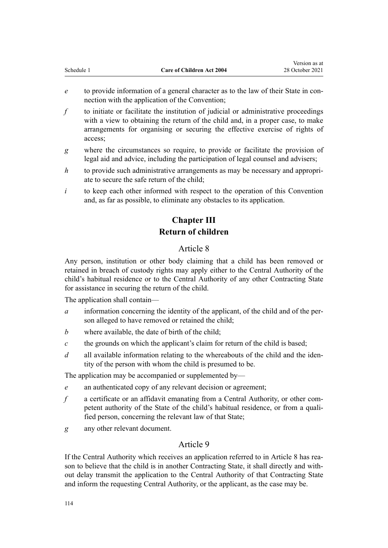- *e* to provide information of a general character as to the law of their State in connection with the application of the Convention;
- *f* to initiate or facilitate the institution of judicial or administrative proceedings with a view to obtaining the return of the child and, in a proper case, to make arrangements for organising or securing the effective exercise of rights of access;
- *g* where the circumstances so require, to provide or facilitate the provision of legal aid and advice, including the participation of legal counsel and advisers;
- *h* to provide such administrative arrangements as may be necessary and appropriate to secure the safe return of the child;
- *i* to keep each other informed with respect to the operation of this Convention and, as far as possible, to eliminate any obstacles to its application.

# **Chapter III Return of children**

## Article 8

Any person, institution or other body claiming that a child has been removed or retained in breach of custody rights may apply either to the Central Authority of the child's habitual residence or to the Central Authority of any other Contracting State for assistance in securing the return of the child.

The application shall contain—

- *a* information concerning the identity of the applicant, of the child and of the person alleged to have removed or retained the child;
- *b* where available, the date of birth of the child;
- *c* the grounds on which the applicant's claim for return of the child is based;
- *d* all available information relating to the whereabouts of the child and the identity of the person with whom the child is presumed to be.

The application may be accompanied or supplemented by—

- *e* an authenticated copy of any relevant decision or agreement;
- *f* a certificate or an affidavit emanating from a Central Authority, or other competent authority of the State of the child's habitual residence, or from a qualified person, concerning the relevant law of that State;
- *g* any other relevant document.

## Article 9

If the Central Authority which receives an application referred to in Article 8 has reason to believe that the child is in another Contracting State, it shall directly and without delay transmit the application to the Central Authority of that Contracting State and inform the requesting Central Authority, or the applicant, as the case may be.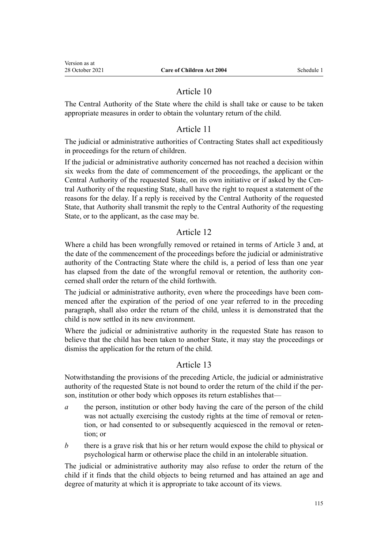The Central Authority of the State where the child is shall take or cause to be taken appropriate measures in order to obtain the voluntary return of the child.

## Article 11

The judicial or administrative authorities of Contracting States shall act expeditiously in proceedings for the return of children.

If the judicial or administrative authority concerned has not reached a decision within six weeks from the date of commencement of the proceedings, the applicant or the Central Authority of the requested State, on its own initiative or if asked by the Cen‐ tral Authority of the requesting State, shall have the right to request a statement of the reasons for the delay. If a reply is received by the Central Authority of the requested State, that Authority shall transmit the reply to the Central Authority of the requesting State, or to the applicant, as the case may be.

## Article 12

Where a child has been wrongfully removed or retained in terms of Article 3 and, at the date of the commencement of the proceedings before the judicial or administrative authority of the Contracting State where the child is, a period of less than one year has elapsed from the date of the wrongful removal or retention, the authority concerned shall order the return of the child forthwith.

The judicial or administrative authority, even where the proceedings have been commenced after the expiration of the period of one year referred to in the preceding paragraph, shall also order the return of the child, unless it is demonstrated that the child is now settled in its new environment.

Where the judicial or administrative authority in the requested State has reason to believe that the child has been taken to another State, it may stay the proceedings or dismiss the application for the return of the child.

## Article 13

Notwithstanding the provisions of the preceding Article, the judicial or administrative authority of the requested State is not bound to order the return of the child if the per‐ son, institution or other body which opposes its return establishes that—

- *a* the person, institution or other body having the care of the person of the child was not actually exercising the custody rights at the time of removal or retention, or had consented to or subsequently acquiesced in the removal or retention; or
- *b* there is a grave risk that his or her return would expose the child to physical or psychological harm or otherwise place the child in an intolerable situation.

The judicial or administrative authority may also refuse to order the return of the child if it finds that the child objects to being returned and has attained an age and degree of maturity at which it is appropriate to take account of its views.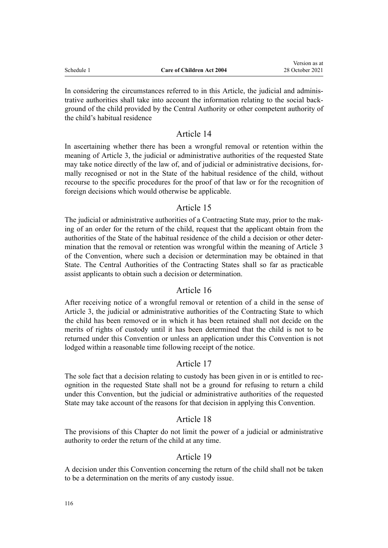In considering the circumstances referred to in this Article, the judicial and adminis‐ trative authorities shall take into account the information relating to the social back‐ ground of the child provided by the Central Authority or other competent authority of the child's habitual residence

### Article 14

In ascertaining whether there has been a wrongful removal or retention within the meaning of Article 3, the judicial or administrative authorities of the requested State may take notice directly of the law of, and of judicial or administrative decisions, for‐ mally recognised or not in the State of the habitual residence of the child, without recourse to the specific procedures for the proof of that law or for the recognition of foreign decisions which would otherwise be applicable.

#### Article 15

The judicial or administrative authorities of a Contracting State may, prior to the making of an order for the return of the child, request that the applicant obtain from the authorities of the State of the habitual residence of the child a decision or other deter‐ mination that the removal or retention was wrongful within the meaning of Article 3 of the Convention, where such a decision or determination may be obtained in that State. The Central Authorities of the Contracting States shall so far as practicable assist applicants to obtain such a decision or determination.

#### Article 16

After receiving notice of a wrongful removal or retention of a child in the sense of Article 3, the judicial or administrative authorities of the Contracting State to which the child has been removed or in which it has been retained shall not decide on the merits of rights of custody until it has been determined that the child is not to be returned under this Convention or unless an application under this Convention is not lodged within a reasonable time following receipt of the notice.

### Article 17

The sole fact that a decision relating to custody has been given in or is entitled to recognition in the requested State shall not be a ground for refusing to return a child under this Convention, but the judicial or administrative authorities of the requested State may take account of the reasons for that decision in applying this Convention.

#### Article 18

The provisions of this Chapter do not limit the power of a judicial or administrative authority to order the return of the child at any time.

## Article 19

A decision under this Convention concerning the return of the child shall not be taken to be a determination on the merits of any custody issue.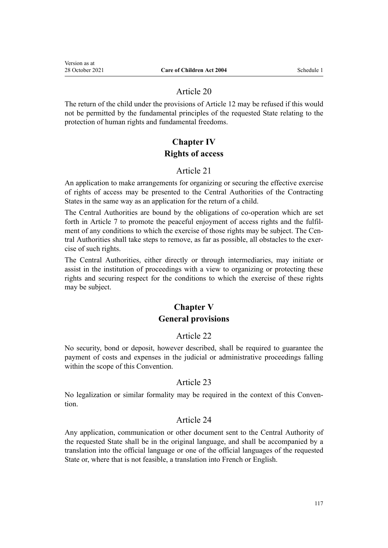The return of the child under the provisions of Article 12 may be refused if this would not be permitted by the fundamental principles of the requested State relating to the protection of human rights and fundamental freedoms.

# **Chapter IV Rights of access**

### Article 21

An application to make arrangements for organizing or securing the effective exercise of rights of access may be presented to the Central Authorities of the Contracting States in the same way as an application for the return of a child.

The Central Authorities are bound by the obligations of co-operation which are set forth in Article 7 to promote the peaceful enjoyment of access rights and the fulfil‐ ment of any conditions to which the exercise of those rights may be subject. The Central Authorities shall take steps to remove, as far as possible, all obstacles to the exer‐ cise of such rights.

The Central Authorities, either directly or through intermediaries, may initiate or assist in the institution of proceedings with a view to organizing or protecting these rights and securing respect for the conditions to which the exercise of these rights may be subject.

# **Chapter V General provisions**

### Article 22

No security, bond or deposit, however described, shall be required to guarantee the payment of costs and expenses in the judicial or administrative proceedings falling within the scope of this Convention.

#### Article 23

No legalization or similar formality may be required in the context of this Conven‐ tion.

### Article 24

Any application, communication or other document sent to the Central Authority of the requested State shall be in the original language, and shall be accompanied by a translation into the official language or one of the official languages of the requested State or, where that is not feasible, a translation into French or English.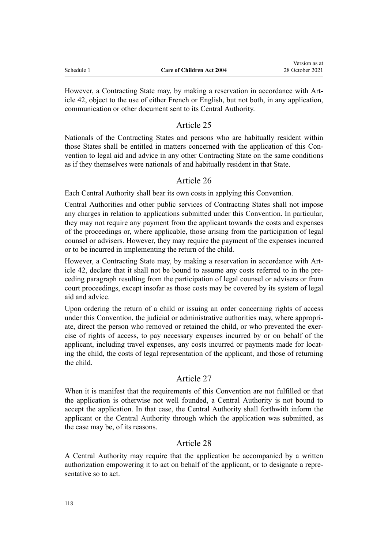However, a Contracting State may, by making a reservation in accordance with Article 42, object to the use of either French or English, but not both, in any application, communication or other document sent to its Central Authority.

#### Article 25

Nationals of the Contracting States and persons who are habitually resident within those States shall be entitled in matters concerned with the application of this Con‐ vention to legal aid and advice in any other Contracting State on the same conditions as if they themselves were nationals of and habitually resident in that State.

#### Article 26

Each Central Authority shall bear its own costs in applying this Convention.

Central Authorities and other public services of Contracting States shall not impose any charges in relation to applications submitted under this Convention. In particular, they may not require any payment from the applicant towards the costs and expenses of the proceedings or, where applicable, those arising from the participation of legal counsel or advisers. However, they may require the payment of the expenses incurred or to be incurred in implementing the return of the child.

However, a Contracting State may, by making a reservation in accordance with Article 42, declare that it shall not be bound to assume any costs referred to in the preceding paragraph resulting from the participation of legal counsel or advisers or from court proceedings, except insofar as those costs may be covered by its system of legal aid and advice.

Upon ordering the return of a child or issuing an order concerning rights of access under this Convention, the judicial or administrative authorities may, where appropriate, direct the person who removed or retained the child, or who prevented the exercise of rights of access, to pay necessary expenses incurred by or on behalf of the applicant, including travel expenses, any costs incurred or payments made for locating the child, the costs of legal representation of the applicant, and those of returning the child.

#### Article 27

When it is manifest that the requirements of this Convention are not fulfilled or that the application is otherwise not well founded, a Central Authority is not bound to accept the application. In that case, the Central Authority shall forthwith inform the applicant or the Central Authority through which the application was submitted, as the case may be, of its reasons.

### Article 28

A Central Authority may require that the application be accompanied by a written authorization empowering it to act on behalf of the applicant, or to designate a repre‐ sentative so to act.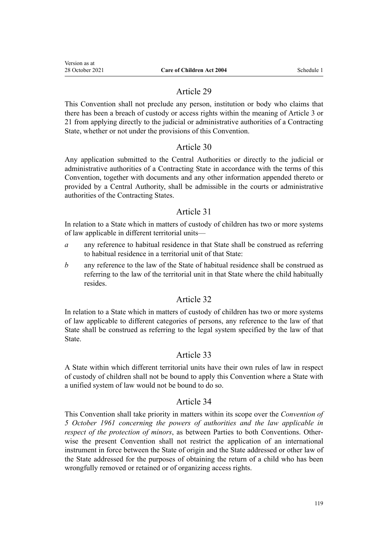This Convention shall not preclude any person, institution or body who claims that there has been a breach of custody or access rights within the meaning of Article 3 or 21 from applying directly to the judicial or administrative authorities of a Contracting State, whether or not under the provisions of this Convention.

## Article 30

Any application submitted to the Central Authorities or directly to the judicial or administrative authorities of a Contracting State in accordance with the terms of this Convention, together with documents and any other information appended thereto or provided by a Central Authority, shall be admissible in the courts or administrative authorities of the Contracting States.

## Article 31

In relation to a State which in matters of custody of children has two or more systems of law applicable in different territorial units—

- *a* any reference to habitual residence in that State shall be construed as referring to habitual residence in a territorial unit of that State:
- *b* any reference to the law of the State of habitual residence shall be construed as referring to the law of the territorial unit in that State where the child habitually resides.

## Article 32

In relation to a State which in matters of custody of children has two or more systems of law applicable to different categories of persons, any reference to the law of that State shall be construed as referring to the legal system specified by the law of that State.

## Article 33

A State within which different territorial units have their own rules of law in respect of custody of children shall not be bound to apply this Convention where a State with a unified system of law would not be bound to do so.

## Article 34

This Convention shall take priority in matters within its scope over the *Convention of 5 October 1961 concerning the powers of authorities and the law applicable in respect of the protection of minors*, as between Parties to both Conventions. Other‐ wise the present Convention shall not restrict the application of an international instrument in force between the State of origin and the State addressed or other law of the State addressed for the purposes of obtaining the return of a child who has been wrongfully removed or retained or of organizing access rights.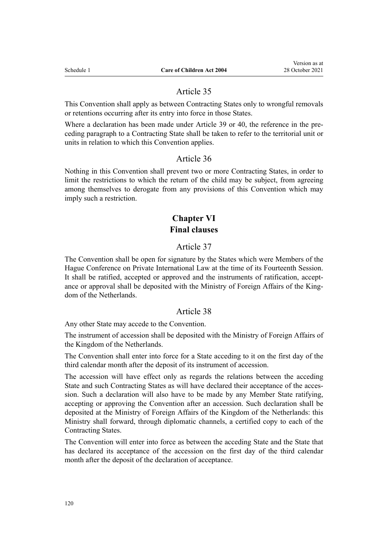This Convention shall apply as between Contracting States only to wrongful removals or retentions occurring after its entry into force in those States.

Where a declaration has been made under Article 39 or 40, the reference in the preceding paragraph to a Contracting State shall be taken to refer to the territorial unit or units in relation to which this Convention applies.

#### Article 36

Nothing in this Convention shall prevent two or more Contracting States, in order to limit the restrictions to which the return of the child may be subject, from agreeing among themselves to derogate from any provisions of this Convention which may imply such a restriction.

# **Chapter VI Final clauses**

### Article 37

The Convention shall be open for signature by the States which were Members of the Hague Conference on Private International Law at the time of its Fourteenth Session. It shall be ratified, accepted or approved and the instruments of ratification, acceptance or approval shall be deposited with the Ministry of Foreign Affairs of the Kingdom of the Netherlands.

### Article 38

Any other State may accede to the Convention.

The instrument of accession shall be deposited with the Ministry of Foreign Affairs of the Kingdom of the Netherlands.

The Convention shall enter into force for a State acceding to it on the first day of the third calendar month after the deposit of its instrument of accession.

The accession will have effect only as regards the relations between the acceding State and such Contracting States as will have declared their acceptance of the accession. Such a declaration will also have to be made by any Member State ratifying, accepting or approving the Convention after an accession. Such declaration shall be deposited at the Ministry of Foreign Affairs of the Kingdom of the Netherlands: this Ministry shall forward, through diplomatic channels, a certified copy to each of the Contracting States.

The Convention will enter into force as between the acceding State and the State that has declared its acceptance of the accession on the first day of the third calendar month after the deposit of the declaration of acceptance.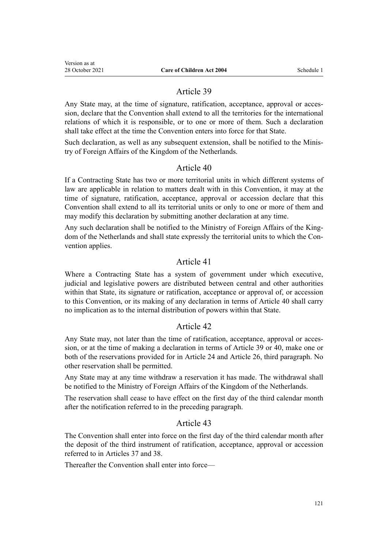Any State may, at the time of signature, ratification, acceptance, approval or accession, declare that the Convention shall extend to all the territories for the international relations of which it is responsible, or to one or more of them. Such a declaration shall take effect at the time the Convention enters into force for that State.

Such declaration, as well as any subsequent extension, shall be notified to the Minis‐ try of Foreign Affairs of the Kingdom of the Netherlands.

## Article 40

If a Contracting State has two or more territorial units in which different systems of law are applicable in relation to matters dealt with in this Convention, it may at the time of signature, ratification, acceptance, approval or accession declare that this Convention shall extend to all its territorial units or only to one or more of them and may modify this declaration by submitting another declaration at any time.

Any such declaration shall be notified to the Ministry of Foreign Affairs of the King‐ dom of the Netherlands and shall state expressly the territorial units to which the Convention applies.

### Article 41

Where a Contracting State has a system of government under which executive, judicial and legislative powers are distributed between central and other authorities within that State, its signature or ratification, acceptance or approval of, or accession to this Convention, or its making of any declaration in terms of Article 40 shall carry no implication as to the internal distribution of powers within that State.

### Article 42

Any State may, not later than the time of ratification, acceptance, approval or acces‐ sion, or at the time of making a declaration in terms of Article 39 or 40, make one or both of the reservations provided for in Article 24 and Article 26, third paragraph. No other reservation shall be permitted.

Any State may at any time withdraw a reservation it has made. The withdrawal shall be notified to the Ministry of Foreign Affairs of the Kingdom of the Netherlands.

The reservation shall cease to have effect on the first day of the third calendar month after the notification referred to in the preceding paragraph.

#### Article 43

The Convention shall enter into force on the first day of the third calendar month after the deposit of the third instrument of ratification, acceptance, approval or accession referred to in Articles 37 and 38.

Thereafter the Convention shall enter into force—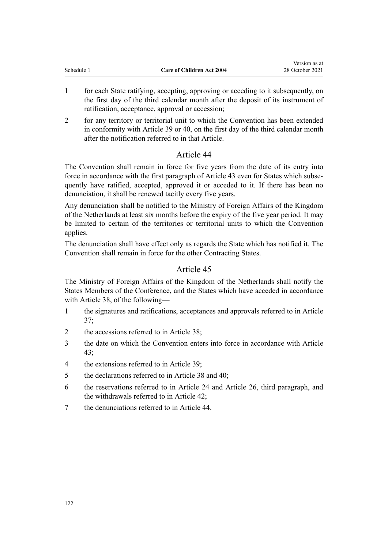| Schedule 1 | <b>Care of Children Act 2004</b> | $1.0101011$ as at<br>28 October 2021 |
|------------|----------------------------------|--------------------------------------|
|            |                                  |                                      |

Version as at

- 1 for each State ratifying, accepting, approving or acceding to it subsequently, on the first day of the third calendar month after the deposit of its instrument of ratification, acceptance, approval or accession;
- 2 for any territory or territorial unit to which the Convention has been extended in conformity with Article 39 or 40, on the first day of the third calendar month after the notification referred to in that Article.

## Article 44

The Convention shall remain in force for five years from the date of its entry into force in accordance with the first paragraph of Article 43 even for States which subsequently have ratified, accepted, approved it or acceded to it. If there has been no denunciation, it shall be renewed tacitly every five years.

Any denunciation shall be notified to the Ministry of Foreign Affairs of the Kingdom of the Netherlands at least six months before the expiry of the five year period. It may be limited to certain of the territories or territorial units to which the Convention applies.

The denunciation shall have effect only as regards the State which has notified it. The Convention shall remain in force for the other Contracting States.

## Article 45

The Ministry of Foreign Affairs of the Kingdom of the Netherlands shall notify the States Members of the Conference, and the States which have acceded in accordance with Article 38, of the following—

- 1 the signatures and ratifications, acceptances and approvals referred to in Article 37;
- 2 the accessions referred to in Article 38:
- 3 the date on which the Convention enters into force in accordance with Article 43;
- 4 the extensions referred to in Article 39;
- 5 the declarations referred to in Article 38 and 40;
- 6 the reservations referred to in Article 24 and Article 26, third paragraph, and the withdrawals referred to in Article 42;
- 7 the denunciations referred to in Article 44.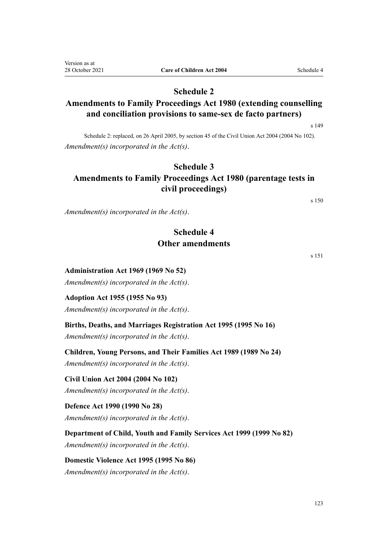# **Schedule 2**

# **Amendments to Family Proceedings Act 1980 (extending counselling and conciliation provisions to same-sex de facto partners)**

[s 149](#page-105-0)

Schedule 2: replaced, on 26 April 2005, by [section 45](http://legislation.govt.nz/pdflink.aspx?id=DLM323482) of the Civil Union Act 2004 (2004 No 102). *Amendment(s) incorporated in the [Act\(s\)](http://legislation.govt.nz/pdflink.aspx?id=DLM39728)*.

# **Schedule 3**

# **Amendments to Family Proceedings Act 1980 (parentage tests in civil proceedings)**

*Amendment(s) incorporated in the [Act\(s\)](http://legislation.govt.nz/pdflink.aspx?id=DLM39728)*.

# **Schedule 4 Other amendments**

[s 151](#page-105-0)

[s 150](#page-105-0)

## **Administration Act 1969 (1969 No 52)**

*Amendment(s) incorporated in the [Act\(s\)](http://legislation.govt.nz/pdflink.aspx?id=DLM393030)*.

**Adoption Act 1955 (1955 No 93)** *Amendment(s) incorporated in the [Act\(s\)](http://legislation.govt.nz/pdflink.aspx?id=DLM293129)*.

**Births, Deaths, and Marriages Registration Act 1995 (1995 No 16)**

*Amendment(s) incorporated in the [Act\(s\)](http://legislation.govt.nz/pdflink.aspx?id=DLM364112)*.

**Children, Young Persons, and Their Families Act 1989 (1989 No 24)**

*Amendment(s) incorporated in the [Act\(s\)](http://legislation.govt.nz/pdflink.aspx?id=DLM147094)*.

**Civil Union Act 2004 (2004 No 102)** *Amendment(s) incorporated in the [Act\(s\)](http://legislation.govt.nz/pdflink.aspx?id=DLM323391)*.

**Defence Act 1990 (1990 No 28)** *Amendment(s) incorporated in the [Act\(s\)](http://legislation.govt.nz/pdflink.aspx?id=DLM206046)*.

**Department of Child, Youth and Family Services Act 1999 (1999 No 82)** *Amendment(s) incorporated in the [Act\(s\)](http://legislation.govt.nz/pdflink.aspx?id=DLM31285)*.

**Domestic Violence Act 1995 (1995 No 86)** *Amendment(s) incorporated in the [Act\(s\)](http://legislation.govt.nz/pdflink.aspx?id=DLM372149)*.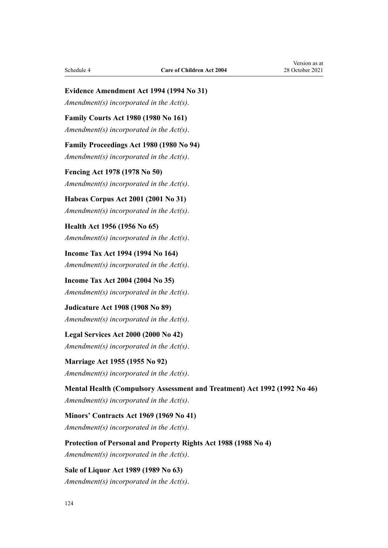**Evidence Amendment Act 1994 (1994 No 31)** *Amendment(s) incorporated in the [Act\(s\)](http://legislation.govt.nz/pdflink.aspx?id=DLM331063)*.

**Family Courts Act 1980 (1980 No 161)** *Amendment(s) incorporated in the [Act\(s\)](http://legislation.govt.nz/pdflink.aspx?id=DLM42279)*.

**Family Proceedings Act 1980 (1980 No 94)** *Amendment(s) incorporated in the [Act\(s\)](http://legislation.govt.nz/pdflink.aspx?id=DLM39728)*.

**Fencing Act 1978 (1978 No 50)** *Amendment(s) incorporated in the [Act\(s\)](http://legislation.govt.nz/pdflink.aspx?id=DLM21861)*.

**Habeas Corpus Act 2001 (2001 No 31)** *Amendment(s) incorporated in the [Act\(s\)](http://legislation.govt.nz/pdflink.aspx?id=DLM91789)*.

**Health Act 1956 (1956 No 65)** *Amendment(s) incorporated in the [Act\(s\)](http://legislation.govt.nz/pdflink.aspx?id=DLM308483)*.

**Income Tax Act 1994 (1994 No 164)** *Amendment(s) incorporated in the Act(s)*.

**Income Tax Act 2004 (2004 No 35)** *Amendment(s) incorporated in the [Act\(s\)](http://legislation.govt.nz/pdflink.aspx?id=DLM264309)*.

**Judicature Act 1908 (1908 No 89)** *Amendment(s) incorporated in the [Act\(s\)](http://legislation.govt.nz/pdflink.aspx?id=DLM146092)*.

**Legal Services Act 2000 (2000 No 42)** *Amendment(s) incorporated in the [Act\(s\)](http://legislation.govt.nz/pdflink.aspx?id=DLM71830)*.

**Marriage Act 1955 (1955 No 92)** *Amendment(s) incorporated in the Act(s)*.

**Mental Health (Compulsory Assessment and Treatment) Act 1992 (1992 No 46)** *Amendment(s) incorporated in the [Act\(s\)](http://legislation.govt.nz/pdflink.aspx?id=DLM263818)*.

**Minors' Contracts Act 1969 (1969 No 41)** *Amendment(s) incorporated in the Act(s)*.

**Protection of Personal and Property Rights Act 1988 (1988 No 4)** *Amendment(s) incorporated in the [Act\(s\)](http://legislation.govt.nz/pdflink.aspx?id=DLM126577)*.

**Sale of Liquor Act 1989 (1989 No 63)** *Amendment(s) incorporated in the [Act\(s\)](http://legislation.govt.nz/pdflink.aspx?id=DLM165121)*.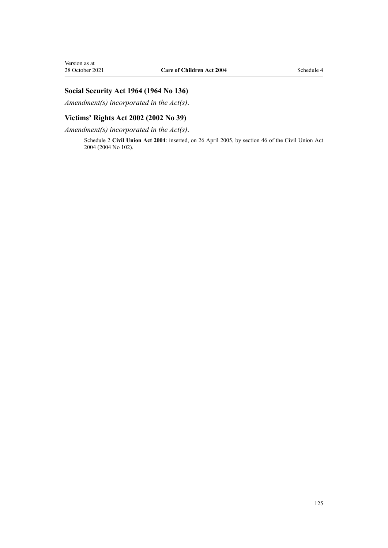## **Social Security Act 1964 (1964 No 136)**

*Amendment(s) incorporated in the [Act\(s\)](http://legislation.govt.nz/pdflink.aspx?id=DLM361253)*.

### **Victims' Rights Act 2002 (2002 No 39)**

*Amendment(s) incorporated in the [Act\(s\)](http://legislation.govt.nz/pdflink.aspx?id=DLM157820)*.

Schedule 2 **Civil Union Act 2004**: inserted, on 26 April 2005, by [section 46](http://legislation.govt.nz/pdflink.aspx?id=DLM323483) of the Civil Union Act 2004 (2004 No 102).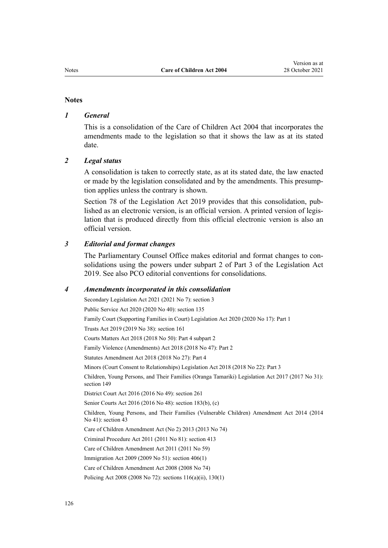#### **Notes**

#### *1 General*

This is a consolidation of the Care of Children Act 2004 that incorporates the amendments made to the legislation so that it shows the law as at its stated date.

#### *2 Legal status*

A consolidation is taken to correctly state, as at its stated date, the law enacted or made by the legislation consolidated and by the amendments. This presump‐ tion applies unless the contrary is shown.

[Section 78](http://legislation.govt.nz/pdflink.aspx?id=DLM7298365) of the Legislation Act 2019 provides that this consolidation, published as an electronic version, is an official version. A printed version of legis‐ lation that is produced directly from this official electronic version is also an official version.

#### *3 Editorial and format changes*

The Parliamentary Counsel Office makes editorial and format changes to con‐ solidations using the powers under [subpart 2](http://legislation.govt.nz/pdflink.aspx?id=DLM7298371) of Part 3 of the Legislation Act 2019. See also [PCO editorial conventions for consolidations](http://www.pco.govt.nz/editorial-conventions/).

#### *4 Amendments incorporated in this consolidation*

Secondary Legislation Act 2021 (2021 No 7): [section 3](http://legislation.govt.nz/pdflink.aspx?id=LMS268932) Public Service Act 2020 (2020 No 40): [section 135](http://legislation.govt.nz/pdflink.aspx?id=LMS176959) Family Court (Supporting Families in Court) Legislation Act 2020 (2020 No 17): [Part 1](http://legislation.govt.nz/pdflink.aspx?id=LMS344718) Trusts Act 2019 (2019 No 38): [section 161](http://legislation.govt.nz/pdflink.aspx?id=DLM7383110) Courts Matters Act 2018 (2018 No 50): Part 4 [subpart 2](http://legislation.govt.nz/pdflink.aspx?id=DLM7371808) Family Violence (Amendments) Act 2018 (2018 No 47): [Part 2](http://legislation.govt.nz/pdflink.aspx?id=LMS113473) Statutes Amendment Act 2018 (2018 No 27): [Part 4](http://legislation.govt.nz/pdflink.aspx?id=DLM7227061) Minors (Court Consent to Relationships) Legislation Act 2018 (2018 No 22): [Part 3](http://legislation.govt.nz/pdflink.aspx?id=LMS25376) Children, Young Persons, and Their Families (Oranga Tamariki) Legislation Act 2017 (2017 No 31): [section 149](http://legislation.govt.nz/pdflink.aspx?id=DLM7287401) District Court Act 2016 (2016 No 49): [section 261](http://legislation.govt.nz/pdflink.aspx?id=DLM6942680) Senior Courts Act 2016 (2016 No 48): [section 183\(b\), \(c\)](http://legislation.govt.nz/pdflink.aspx?id=DLM5759564) Children, Young Persons, and Their Families (Vulnerable Children) Amendment Act 2014 (2014 No 41): [section 43](http://legislation.govt.nz/pdflink.aspx?id=DLM6110589) [Care of Children Amendment Act \(No 2\) 2013](http://legislation.govt.nz/pdflink.aspx?id=DLM4896268) (2013 No 74) Criminal Procedure Act 2011 (2011 No 81): [section 413](http://legislation.govt.nz/pdflink.aspx?id=DLM3360714) [Care of Children Amendment Act 2011](http://legislation.govt.nz/pdflink.aspx?id=DLM3315002) (2011 No 59) Immigration Act 2009 (2009 No 51): [section 406\(1\)](http://legislation.govt.nz/pdflink.aspx?id=DLM1441347) [Care of Children Amendment Act 2008](http://legislation.govt.nz/pdflink.aspx?id=DLM1301602) (2008 No 74)